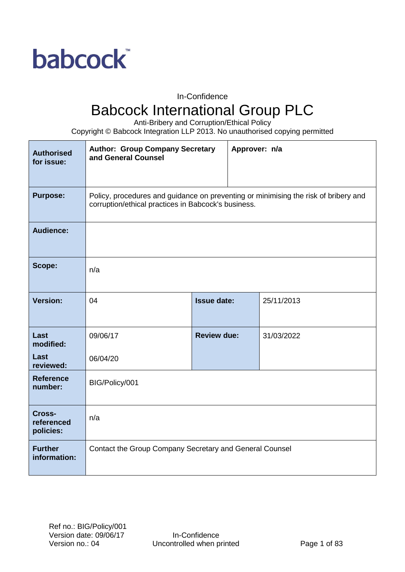

In-Confidence

# Babcock International Group PLC

Anti-Bribery and Corruption/Ethical Policy

Copyright © Babcock Integration LLP 2013. No unauthorised copying permitted

| <b>Authorised</b><br>for issue:   | <b>Author: Group Company Secretary</b><br>and General Counsel                                                                              |                    | Approver: n/a |            |
|-----------------------------------|--------------------------------------------------------------------------------------------------------------------------------------------|--------------------|---------------|------------|
| <b>Purpose:</b>                   | Policy, procedures and guidance on preventing or minimising the risk of bribery and<br>corruption/ethical practices in Babcock's business. |                    |               |            |
| <b>Audience:</b>                  |                                                                                                                                            |                    |               |            |
| Scope:                            | n/a                                                                                                                                        |                    |               |            |
| <b>Version:</b>                   | 04                                                                                                                                         | <b>Issue date:</b> |               | 25/11/2013 |
| Last<br>modified:                 | 09/06/17                                                                                                                                   | <b>Review due:</b> |               | 31/03/2022 |
| Last<br>reviewed:                 | 06/04/20                                                                                                                                   |                    |               |            |
| <b>Reference</b><br>number:       | BIG/Policy/001                                                                                                                             |                    |               |            |
| Cross-<br>referenced<br>policies: | n/a                                                                                                                                        |                    |               |            |
| <b>Further</b><br>information:    | Contact the Group Company Secretary and General Counsel                                                                                    |                    |               |            |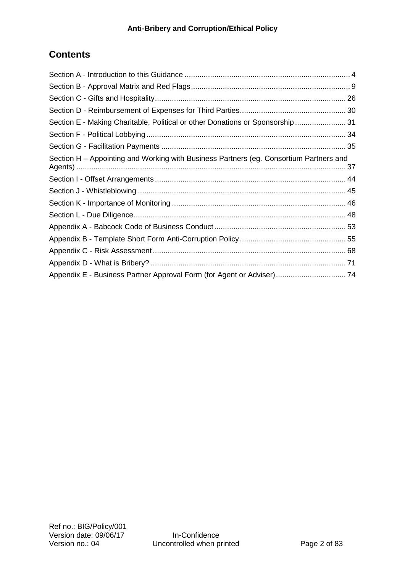# **Contents**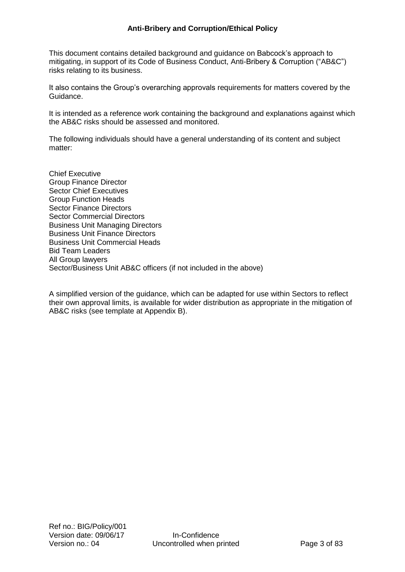#### **Anti-Bribery and Corruption/Ethical Policy**

This document contains detailed background and guidance on Babcock's approach to mitigating, in support of its Code of Business Conduct, Anti-Bribery & Corruption ("AB&C") risks relating to its business.

It also contains the Group's overarching approvals requirements for matters covered by the Guidance.

It is intended as a reference work containing the background and explanations against which the AB&C risks should be assessed and monitored.

The following individuals should have a general understanding of its content and subject matter:

Chief Executive Group Finance Director Sector Chief Executives Group Function Heads Sector Finance Directors Sector Commercial Directors Business Unit Managing Directors Business Unit Finance Directors Business Unit Commercial Heads Bid Team Leaders All Group lawyers Sector/Business Unit AB&C officers (if not included in the above)

A simplified version of the guidance, which can be adapted for use within Sectors to reflect their own approval limits, is available for wider distribution as appropriate in the mitigation of AB&C risks (see template at Appendix B).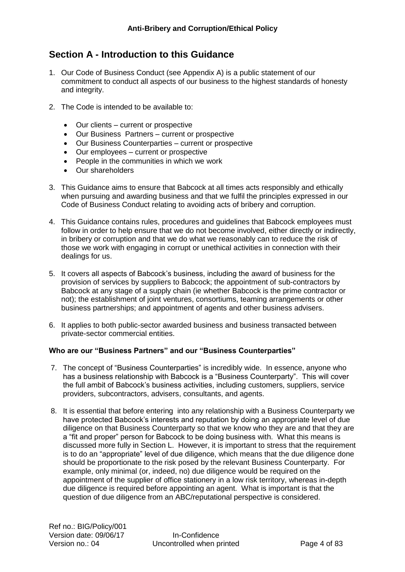# <span id="page-3-0"></span>**Section A - Introduction to this Guidance**

- 1. Our Code of Business Conduct (see Appendix A) is a public statement of our commitment to conduct all aspects of our business to the highest standards of honesty and integrity.
- 2. The Code is intended to be available to:
	- Our clients current or prospective
	- Our Business Partners current or prospective
	- Our Business Counterparties current or prospective
	- Our employees current or prospective
	- People in the communities in which we work
	- Our shareholders
- 3. This Guidance aims to ensure that Babcock at all times acts responsibly and ethically when pursuing and awarding business and that we fulfil the principles expressed in our Code of Business Conduct relating to avoiding acts of bribery and corruption.
- 4. This Guidance contains rules, procedures and guidelines that Babcock employees must follow in order to help ensure that we do not become involved, either directly or indirectly, in bribery or corruption and that we do what we reasonably can to reduce the risk of those we work with engaging in corrupt or unethical activities in connection with their dealings for us.
- 5. It covers all aspects of Babcock's business, including the award of business for the provision of services by suppliers to Babcock; the appointment of sub-contractors by Babcock at any stage of a supply chain (ie whether Babcock is the prime contractor or not); the establishment of joint ventures, consortiums, teaming arrangements or other business partnerships; and appointment of agents and other business advisers.
- 6. It applies to both public-sector awarded business and business transacted between private-sector commercial entities.

#### **Who are our "Business Partners" and our "Business Counterparties"**

- 7. The concept of "Business Counterparties" is incredibly wide. In essence, anyone who has a business relationship with Babcock is a "Business Counterparty". This will cover the full ambit of Babcock's business activities, including customers, suppliers, service providers, subcontractors, advisers, consultants, and agents.
- 8. It is essential that before entering into any relationship with a Business Counterparty we have protected Babcock's interests and reputation by doing an appropriate level of due diligence on that Business Counterparty so that we know who they are and that they are a "fit and proper" person for Babcock to be doing business with. What this means is discussed more fully in Section L. However, it is important to stress that the requirement is to do an "appropriate" level of due diligence, which means that the due diligence done should be proportionate to the risk posed by the relevant Business Counterparty. For example, only minimal (or, indeed, no) due diligence would be required on the appointment of the supplier of office stationery in a low risk territory, whereas in-depth due diligence is required before appointing an agent. What is important is that the question of due diligence from an ABC/reputational perspective is considered.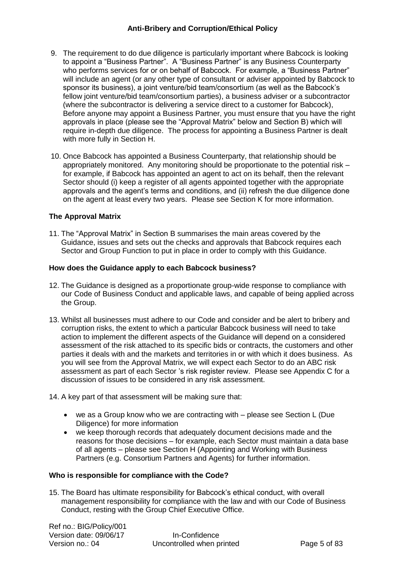#### **Anti-Bribery and Corruption/Ethical Policy**

- 9. The requirement to do due diligence is particularly important where Babcock is looking to appoint a "Business Partner". A "Business Partner" is any Business Counterparty who performs services for or on behalf of Babcock. For example, a "Business Partner" will include an agent (or any other type of consultant or adviser appointed by Babcock to sponsor its business), a joint venture/bid team/consortium (as well as the Babcock's fellow joint venture/bid team/consortium parties), a business adviser or a subcontractor (where the subcontractor is delivering a service direct to a customer for Babcock), Before anyone may appoint a Business Partner, you must ensure that you have the right approvals in place (please see the "Approval Matrix" below and Section B) which will require in-depth due diligence. The process for appointing a Business Partner is dealt with more fully in Section H.
- 10. Once Babcock has appointed a Business Counterparty, that relationship should be appropriately monitored. Any monitoring should be proportionate to the potential risk – for example, if Babcock has appointed an agent to act on its behalf, then the relevant Sector should (i) keep a register of all agents appointed together with the appropriate approvals and the agent's terms and conditions, and (ii) refresh the due diligence done on the agent at least every two years. Please see Section K for more information.

#### **The Approval Matrix**

11. The "Approval Matrix" in Section B summarises the main areas covered by the Guidance, issues and sets out the checks and approvals that Babcock requires each Sector and Group Function to put in place in order to comply with this Guidance.

#### **How does the Guidance apply to each Babcock business?**

- 12. The Guidance is designed as a proportionate group-wide response to compliance with our Code of Business Conduct and applicable laws, and capable of being applied across the Group.
- 13. Whilst all businesses must adhere to our Code and consider and be alert to bribery and corruption risks, the extent to which a particular Babcock business will need to take action to implement the different aspects of the Guidance will depend on a considered assessment of the risk attached to its specific bids or contracts, the customers and other parties it deals with and the markets and territories in or with which it does business. As you will see from the Approval Matrix, we will expect each Sector to do an ABC risk assessment as part of each Sector 's risk register review. Please see Appendix C for a discussion of issues to be considered in any risk assessment.
- 14. A key part of that assessment will be making sure that:
	- we as a Group know who we are contracting with please see Section L (Due Diligence) for more information
	- we keep thorough records that adequately document decisions made and the reasons for those decisions – for example, each Sector must maintain a data base of all agents – please see Section H (Appointing and Working with Business Partners (e.g. Consortium Partners and Agents) for further information.

#### **Who is responsible for compliance with the Code?**

15. The Board has ultimate responsibility for Babcock's ethical conduct, with overall management responsibility for compliance with the law and with our Code of Business Conduct, resting with the Group Chief Executive Office.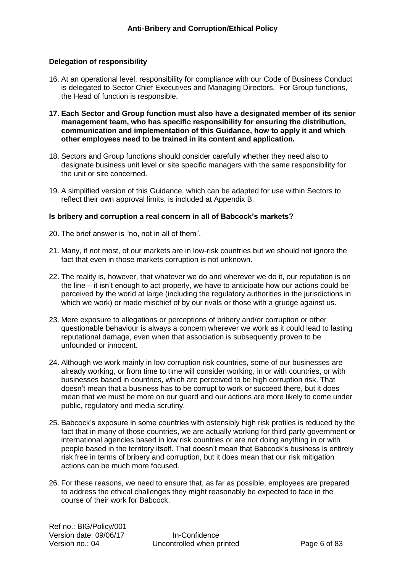#### **Delegation of responsibility**

- 16. At an operational level, responsibility for compliance with our Code of Business Conduct is delegated to Sector Chief Executives and Managing Directors. For Group functions, the Head of function is responsible.
- **17. Each Sector and Group function must also have a designated member of its senior management team, who has specific responsibility for ensuring the distribution, communication and implementation of this Guidance, how to apply it and which other employees need to be trained in its content and application.**
- 18. Sectors and Group functions should consider carefully whether they need also to designate business unit level or site specific managers with the same responsibility for the unit or site concerned.
- 19. A simplified version of this Guidance, which can be adapted for use within Sectors to reflect their own approval limits, is included at Appendix B.

#### **Is bribery and corruption a real concern in all of Babcock's markets?**

- 20. The brief answer is "no, not in all of them".
- 21. Many, if not most, of our markets are in low-risk countries but we should not ignore the fact that even in those markets corruption is not unknown.
- 22. The reality is, however, that whatever we do and wherever we do it, our reputation is on the line – it isn't enough to act properly, we have to anticipate how our actions could be perceived by the world at large (including the regulatory authorities in the jurisdictions in which we work) or made mischief of by our rivals or those with a grudge against us.
- 23. Mere exposure to allegations or perceptions of bribery and/or corruption or other questionable behaviour is always a concern wherever we work as it could lead to lasting reputational damage, even when that association is subsequently proven to be unfounded or innocent.
- 24. Although we work mainly in low corruption risk countries, some of our businesses are already working, or from time to time will consider working, in or with countries, or with businesses based in countries, which are perceived to be high corruption risk. That doesn't mean that a business has to be corrupt to work or succeed there, but it does mean that we must be more on our guard and our actions are more likely to come under public, regulatory and media scrutiny.
- 25. Babcock's exposure in some countries with ostensibly high risk profiles is reduced by the fact that in many of those countries, we are actually working for third party government or international agencies based in low risk countries or are not doing anything in or with people based in the territory itself. That doesn't mean that Babcock's business is entirely risk free in terms of bribery and corruption, but it does mean that our risk mitigation actions can be much more focused.
- 26. For these reasons, we need to ensure that, as far as possible, employees are prepared to address the ethical challenges they might reasonably be expected to face in the course of their work for Babcock.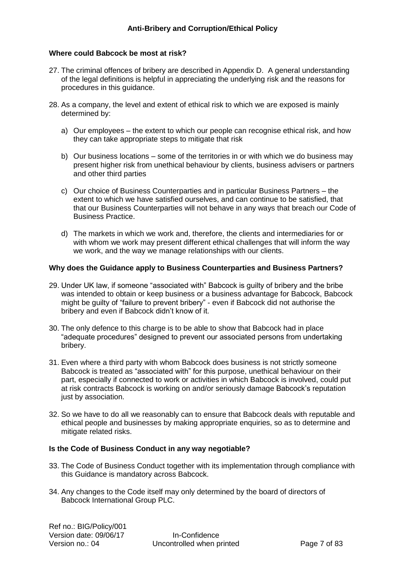#### **Where could Babcock be most at risk?**

- 27. The criminal offences of bribery are described in Appendix D. A general understanding of the legal definitions is helpful in appreciating the underlying risk and the reasons for procedures in this guidance.
- 28. As a company, the level and extent of ethical risk to which we are exposed is mainly determined by:
	- a) Our employees the extent to which our people can recognise ethical risk, and how they can take appropriate steps to mitigate that risk
	- b) Our business locations some of the territories in or with which we do business may present higher risk from unethical behaviour by clients, business advisers or partners and other third parties
	- c) Our choice of Business Counterparties and in particular Business Partners the extent to which we have satisfied ourselves, and can continue to be satisfied, that that our Business Counterparties will not behave in any ways that breach our Code of Business Practice.
	- d) The markets in which we work and, therefore, the clients and intermediaries for or with whom we work may present different ethical challenges that will inform the way we work, and the way we manage relationships with our clients.

#### **Why does the Guidance apply to Business Counterparties and Business Partners?**

- 29. Under UK law, if someone "associated with" Babcock is guilty of bribery and the bribe was intended to obtain or keep business or a business advantage for Babcock, Babcock might be guilty of "failure to prevent bribery" - even if Babcock did not authorise the bribery and even if Babcock didn't know of it.
- 30. The only defence to this charge is to be able to show that Babcock had in place "adequate procedures" designed to prevent our associated persons from undertaking bribery.
- 31. Even where a third party with whom Babcock does business is not strictly someone Babcock is treated as "associated with" for this purpose, unethical behaviour on their part, especially if connected to work or activities in which Babcock is involved, could put at risk contracts Babcock is working on and/or seriously damage Babcock's reputation just by association.
- 32. So we have to do all we reasonably can to ensure that Babcock deals with reputable and ethical people and businesses by making appropriate enquiries, so as to determine and mitigate related risks.

#### **Is the Code of Business Conduct in any way negotiable?**

- 33. The Code of Business Conduct together with its implementation through compliance with this Guidance is mandatory across Babcock.
- 34. Any changes to the Code itself may only determined by the board of directors of Babcock International Group PLC.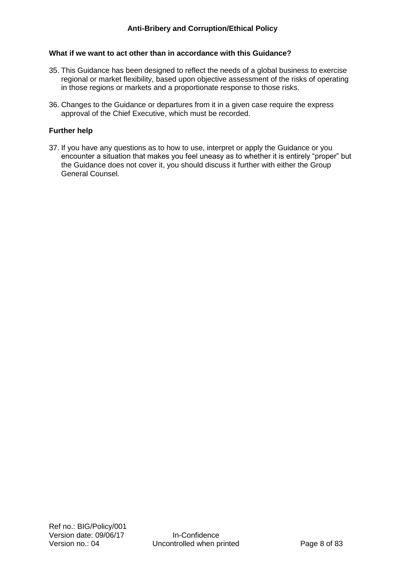#### **What if we want to act other than in accordance with this Guidance?**

- 35. This Guidance has been designed to reflect the needs of a global business to exercise regional or market flexibility, based upon objective assessment of the risks of operating in those regions or markets and a proportionate response to those risks.
- 36. Changes to the Guidance or departures from it in a given case require the express approval of the Chief Executive, which must be recorded.

#### **Further help**

37. If you have any questions as to how to use, interpret or apply the Guidance or you encounter a situation that makes you feel uneasy as to whether it is entirely "proper" but the Guidance does not cover it, you should discuss it further with either the Group General Counsel.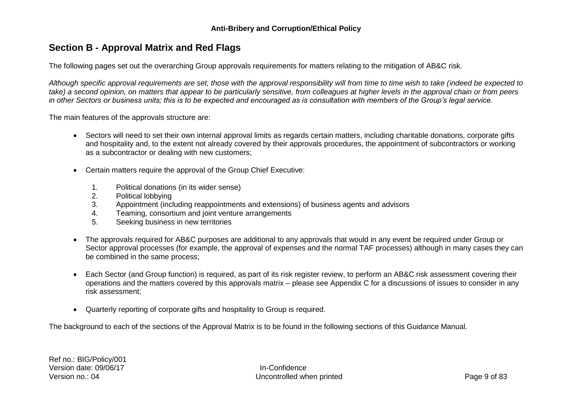### **Section B - Approval Matrix and Red Flags**

The following pages set out the overarching Group approvals requirements for matters relating to the mitigation of AB&C risk.

*Although specific approval requirements are set, those with the approval responsibility will from time to time wish to take (indeed be expected to take) a second opinion, on matters that appear to be particularly sensitive, from colleagues at higher levels in the approval chain or from peers in other Sectors or business units; this is to be expected and encouraged as is consultation with members of the Group's legal service.*

The main features of the approvals structure are:

- Sectors will need to set their own internal approval limits as regards certain matters, including charitable donations, corporate gifts and hospitality and, to the extent not already covered by their approvals procedures, the appointment of subcontractors or working as a subcontractor or dealing with new customers;
- Certain matters require the approval of the Group Chief Executive:
	- 1. Political donations (in its wider sense)
	- 2. Political lobbying
	- 3. Appointment (including reappointments and extensions) of business agents and advisors
	- 4. Teaming, consortium and joint venture arrangements
	- 5. Seeking business in new territories
- <span id="page-8-0"></span> The approvals required for AB&C purposes are additional to any approvals that would in any event be required under Group or Sector approval processes (for example, the approval of expenses and the normal TAF processes) although in many cases they can be combined in the same process;
- Each Sector (and Group function) is required, as part of its risk register review, to perform an AB&C risk assessment covering their operations and the matters covered by this approvals matrix – please see Appendix C for a discussions of issues to consider in any risk assessment;
- Quarterly reporting of corporate gifts and hospitality to Group is required.

The background to each of the sections of the Approval Matrix is to be found in the following sections of this Guidance Manual.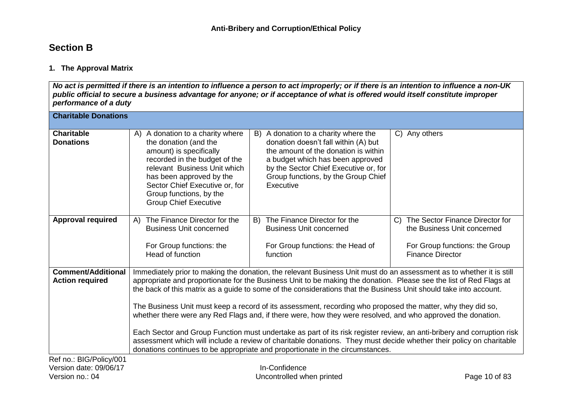### **Section B**

#### **1. The Approval Matrix**

*No act is permitted if there is an intention to influence a person to act improperly; or if there is an intention to influence a non-UK public official to secure a business advantage for anyone; or if acceptance of what is offered would itself constitute improper performance of a duty*

| <b>Charitable Donations</b>                                                           |                                                                                                                                                                                                                                                                                                                                                                                                                                                                                                                                                                                                                                                                                                                                                                                                                                                                                                                                 |                                                                                                                                                                                                                                                                        |  |  |
|---------------------------------------------------------------------------------------|---------------------------------------------------------------------------------------------------------------------------------------------------------------------------------------------------------------------------------------------------------------------------------------------------------------------------------------------------------------------------------------------------------------------------------------------------------------------------------------------------------------------------------------------------------------------------------------------------------------------------------------------------------------------------------------------------------------------------------------------------------------------------------------------------------------------------------------------------------------------------------------------------------------------------------|------------------------------------------------------------------------------------------------------------------------------------------------------------------------------------------------------------------------------------------------------------------------|--|--|
| <b>Charitable</b><br><b>Donations</b>                                                 | A) A donation to a charity where<br>the donation (and the<br>amount) is specifically<br>recorded in the budget of the<br>relevant Business Unit which<br>has been approved by the<br>Sector Chief Executive or, for<br>Group functions, by the<br><b>Group Chief Executive</b>                                                                                                                                                                                                                                                                                                                                                                                                                                                                                                                                                                                                                                                  | C) Any others<br>B) A donation to a charity where the<br>donation doesn't fall within (A) but<br>the amount of the donation is within<br>a budget which has been approved<br>by the Sector Chief Executive or, for<br>Group functions, by the Group Chief<br>Executive |  |  |
| <b>Approval required</b>                                                              | A) The Finance Director for the<br><b>Business Unit concerned</b><br>For Group functions: the<br>Head of function                                                                                                                                                                                                                                                                                                                                                                                                                                                                                                                                                                                                                                                                                                                                                                                                               | The Finance Director for the<br>C) The Sector Finance Director for<br>B)<br><b>Business Unit concerned</b><br>the Business Unit concerned<br>For Group functions: the Head of<br>For Group functions: the Group<br><b>Finance Director</b><br>function                 |  |  |
| <b>Comment/Additional</b><br><b>Action required</b><br>$Dof no \cdot DIC/Dolic v/001$ | Immediately prior to making the donation, the relevant Business Unit must do an assessment as to whether it is still<br>appropriate and proportionate for the Business Unit to be making the donation. Please see the list of Red Flags at<br>the back of this matrix as a guide to some of the considerations that the Business Unit should take into account.<br>The Business Unit must keep a record of its assessment, recording who proposed the matter, why they did so,<br>whether there were any Red Flags and, if there were, how they were resolved, and who approved the donation.<br>Each Sector and Group Function must undertake as part of its risk register review, an anti-bribery and corruption risk<br>assessment which will include a review of charitable donations. They must decide whether their policy on charitable<br>donations continues to be appropriate and proportionate in the circumstances. |                                                                                                                                                                                                                                                                        |  |  |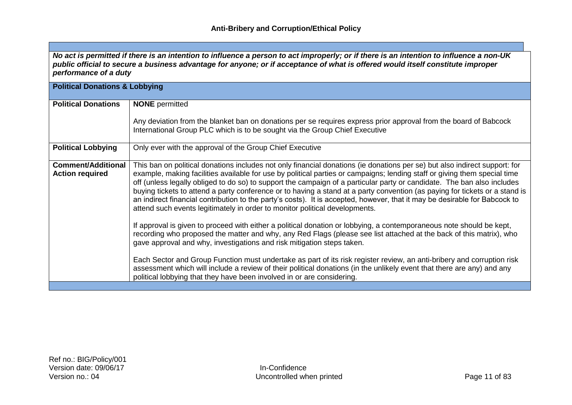| <b>Political Donations &amp; Lobbying</b>           |                                                                                                                                                                                                                                                                                                                                                                                                                                                                                                                                                                                                                                                                                                                                                                                                                                                                                                                                                                                                                                                                                                                                                                                                                                                                                                                                                                                       |  |  |  |
|-----------------------------------------------------|---------------------------------------------------------------------------------------------------------------------------------------------------------------------------------------------------------------------------------------------------------------------------------------------------------------------------------------------------------------------------------------------------------------------------------------------------------------------------------------------------------------------------------------------------------------------------------------------------------------------------------------------------------------------------------------------------------------------------------------------------------------------------------------------------------------------------------------------------------------------------------------------------------------------------------------------------------------------------------------------------------------------------------------------------------------------------------------------------------------------------------------------------------------------------------------------------------------------------------------------------------------------------------------------------------------------------------------------------------------------------------------|--|--|--|
| <b>Political Donations</b>                          | <b>NONE</b> permitted                                                                                                                                                                                                                                                                                                                                                                                                                                                                                                                                                                                                                                                                                                                                                                                                                                                                                                                                                                                                                                                                                                                                                                                                                                                                                                                                                                 |  |  |  |
|                                                     | Any deviation from the blanket ban on donations per se requires express prior approval from the board of Babcock<br>International Group PLC which is to be sought via the Group Chief Executive                                                                                                                                                                                                                                                                                                                                                                                                                                                                                                                                                                                                                                                                                                                                                                                                                                                                                                                                                                                                                                                                                                                                                                                       |  |  |  |
|                                                     |                                                                                                                                                                                                                                                                                                                                                                                                                                                                                                                                                                                                                                                                                                                                                                                                                                                                                                                                                                                                                                                                                                                                                                                                                                                                                                                                                                                       |  |  |  |
| <b>Political Lobbying</b>                           | Only ever with the approval of the Group Chief Executive                                                                                                                                                                                                                                                                                                                                                                                                                                                                                                                                                                                                                                                                                                                                                                                                                                                                                                                                                                                                                                                                                                                                                                                                                                                                                                                              |  |  |  |
| <b>Comment/Additional</b><br><b>Action required</b> | This ban on political donations includes not only financial donations (ie donations per se) but also indirect support: for<br>example, making facilities available for use by political parties or campaigns; lending staff or giving them special time<br>off (unless legally obliged to do so) to support the campaign of a particular party or candidate. The ban also includes<br>buying tickets to attend a party conference or to having a stand at a party convention (as paying for tickets or a stand is<br>an indirect financial contribution to the party's costs). It is accepted, however, that it may be desirable for Babcock to<br>attend such events legitimately in order to monitor political developments.<br>If approval is given to proceed with either a political donation or lobbying, a contemporaneous note should be kept,<br>recording who proposed the matter and why, any Red Flags (please see list attached at the back of this matrix), who<br>gave approval and why, investigations and risk mitigation steps taken.<br>Each Sector and Group Function must undertake as part of its risk register review, an anti-bribery and corruption risk<br>assessment which will include a review of their political donations (in the unlikely event that there are any) and any<br>political lobbying that they have been involved in or are considering. |  |  |  |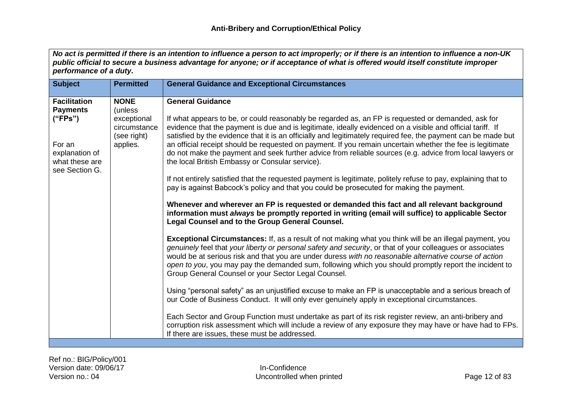| No act is permitted if there is an intention to influence a person to act improperly; or if there is an intention to influence a non-UK |
|-----------------------------------------------------------------------------------------------------------------------------------------|
| public official to secure a business advantage for anyone; or if acceptance of what is offered would itself constitute improper         |
| performance of a duty.                                                                                                                  |

| <b>Subject</b>                                                                                                    | <b>Permitted</b>                                                                 | <b>General Guidance and Exceptional Circumstances</b>                                                                                                                                                                                                                                                                                                                                                                                                                                                                                                                                                                                                                                                                                                                                                                                                                                                                                                                                                                                                                                                                                                                                                                                                                                                                                                                                                                                                                                                                                                                                                                                                                                                                                                                                                                                                                                                                                                                                                                                                                                                    |
|-------------------------------------------------------------------------------------------------------------------|----------------------------------------------------------------------------------|----------------------------------------------------------------------------------------------------------------------------------------------------------------------------------------------------------------------------------------------------------------------------------------------------------------------------------------------------------------------------------------------------------------------------------------------------------------------------------------------------------------------------------------------------------------------------------------------------------------------------------------------------------------------------------------------------------------------------------------------------------------------------------------------------------------------------------------------------------------------------------------------------------------------------------------------------------------------------------------------------------------------------------------------------------------------------------------------------------------------------------------------------------------------------------------------------------------------------------------------------------------------------------------------------------------------------------------------------------------------------------------------------------------------------------------------------------------------------------------------------------------------------------------------------------------------------------------------------------------------------------------------------------------------------------------------------------------------------------------------------------------------------------------------------------------------------------------------------------------------------------------------------------------------------------------------------------------------------------------------------------------------------------------------------------------------------------------------------------|
| <b>Facilitation</b><br><b>Payments</b><br>("FPs")<br>For an<br>explanation of<br>what these are<br>see Section G. | <b>NONE</b><br>(unless<br>exceptional<br>circumstance<br>(see right)<br>applies. | <b>General Guidance</b><br>If what appears to be, or could reasonably be regarded as, an FP is requested or demanded, ask for<br>evidence that the payment is due and is legitimate, ideally evidenced on a visible and official tariff. If<br>satisfied by the evidence that it is an officially and legitimately required fee, the payment can be made but<br>an official receipt should be requested on payment. If you remain uncertain whether the fee is legitimate<br>do not make the payment and seek further advice from reliable sources (e.g. advice from local lawyers or<br>the local British Embassy or Consular service).<br>If not entirely satisfied that the requested payment is legitimate, politely refuse to pay, explaining that to<br>pay is against Babcock's policy and that you could be prosecuted for making the payment.<br>Whenever and wherever an FP is requested or demanded this fact and all relevant background<br>information must always be promptly reported in writing (email will suffice) to applicable Sector<br>Legal Counsel and to the Group General Counsel.<br><b>Exceptional Circumstances:</b> If, as a result of not making what you think will be an illegal payment, you<br>genuinely feel that your liberty or personal safety and security, or that of your colleagues or associates<br>would be at serious risk and that you are under duress with no reasonable alternative course of action<br>open to you, you may pay the demanded sum, following which you should promptly report the incident to<br>Group General Counsel or your Sector Legal Counsel.<br>Using "personal safety" as an unjustified excuse to make an FP is unacceptable and a serious breach of<br>our Code of Business Conduct. It will only ever genuinely apply in exceptional circumstances.<br>Each Sector and Group Function must undertake as part of its risk register review, an anti-bribery and<br>corruption risk assessment which will include a review of any exposure they may have or have had to FPs.<br>If there are issues, these must be addressed. |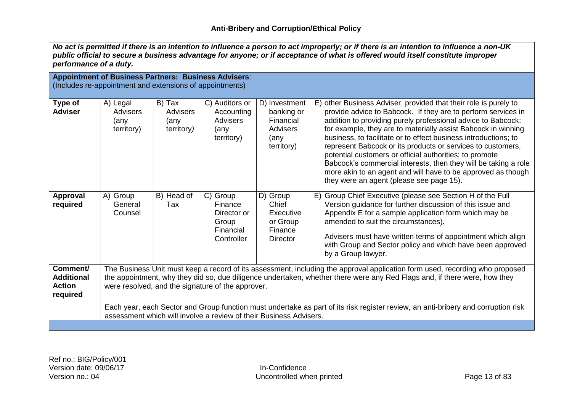#### **Appointment of Business Partners: Business Advisers**:

(Includes re-appointment and extensions of appointments)

| Type of<br><b>Adviser</b>                                                                                                                                                                                                                                                                                                                                                                                                                                                                                                                                                               | A) Legal<br><b>Advisers</b><br>(any<br>territory) | B) Tax<br><b>Advisers</b><br>(any<br>territory) | C) Auditors or<br>Accounting<br><b>Advisers</b><br>(any<br>territory)  | D) Investment<br>banking or<br>Financial<br><b>Advisers</b><br>(any<br>territory) | E) other Business Adviser, provided that their role is purely to<br>provide advice to Babcock. If they are to perform services in<br>addition to providing purely professional advice to Babcock:<br>for example, they are to materially assist Babcock in winning<br>business, to facilitate or to effect business introductions; to<br>represent Babcock or its products or services to customers,<br>potential customers or official authorities; to promote<br>Babcock's commercial interests, then they will be taking a role<br>more akin to an agent and will have to be approved as though<br>they were an agent (please see page 15). |
|-----------------------------------------------------------------------------------------------------------------------------------------------------------------------------------------------------------------------------------------------------------------------------------------------------------------------------------------------------------------------------------------------------------------------------------------------------------------------------------------------------------------------------------------------------------------------------------------|---------------------------------------------------|-------------------------------------------------|------------------------------------------------------------------------|-----------------------------------------------------------------------------------|------------------------------------------------------------------------------------------------------------------------------------------------------------------------------------------------------------------------------------------------------------------------------------------------------------------------------------------------------------------------------------------------------------------------------------------------------------------------------------------------------------------------------------------------------------------------------------------------------------------------------------------------|
| Approval<br>required                                                                                                                                                                                                                                                                                                                                                                                                                                                                                                                                                                    | A) Group<br>General<br>Counsel                    | B) Head of<br>Tax                               | C) Group<br>Finance<br>Director or<br>Group<br>Financial<br>Controller | D) Group<br>Chief<br>Executive<br>or Group<br>Finance<br>Director                 | E)<br>Group Chief Executive (please see Section H of the Full<br>Version guidance for further discussion of this issue and<br>Appendix E for a sample application form which may be<br>amended to suit the circumstances).<br>Advisers must have written terms of appointment which align<br>with Group and Sector policy and which have been approved<br>by a Group lawyer.                                                                                                                                                                                                                                                                   |
| Comment/<br>The Business Unit must keep a record of its assessment, including the approval application form used, recording who proposed<br>the appointment, why they did so, due diligence undertaken, whether there were any Red Flags and, if there were, how they<br><b>Additional</b><br><b>Action</b><br>were resolved, and the signature of the approver.<br>required<br>Each year, each Sector and Group function must undertake as part of its risk register review, an anti-bribery and corruption risk<br>assessment which will involve a review of their Business Advisers. |                                                   |                                                 |                                                                        |                                                                                   |                                                                                                                                                                                                                                                                                                                                                                                                                                                                                                                                                                                                                                                |
|                                                                                                                                                                                                                                                                                                                                                                                                                                                                                                                                                                                         |                                                   |                                                 |                                                                        |                                                                                   |                                                                                                                                                                                                                                                                                                                                                                                                                                                                                                                                                                                                                                                |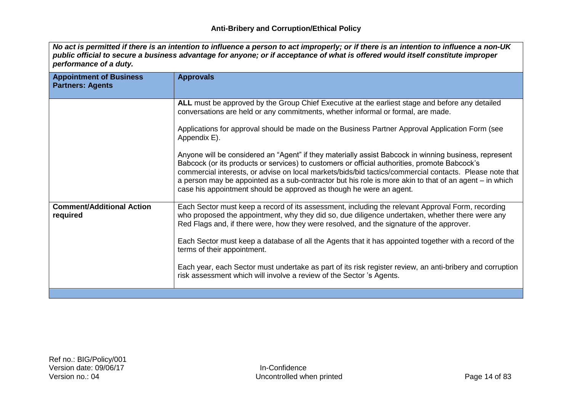| <b>Appointment of Business</b><br><b>Partners: Agents</b> | <b>Approvals</b>                                                                                                                                                                                                                                                                                                                                                                                                                                                                                   |
|-----------------------------------------------------------|----------------------------------------------------------------------------------------------------------------------------------------------------------------------------------------------------------------------------------------------------------------------------------------------------------------------------------------------------------------------------------------------------------------------------------------------------------------------------------------------------|
|                                                           | ALL must be approved by the Group Chief Executive at the earliest stage and before any detailed<br>conversations are held or any commitments, whether informal or formal, are made.                                                                                                                                                                                                                                                                                                                |
|                                                           | Applications for approval should be made on the Business Partner Approval Application Form (see<br>Appendix E).                                                                                                                                                                                                                                                                                                                                                                                    |
|                                                           | Anyone will be considered an "Agent" if they materially assist Babcock in winning business, represent<br>Babcock (or its products or services) to customers or official authorities, promote Babcock's<br>commercial interests, or advise on local markets/bids/bid tactics/commercial contacts. Please note that<br>a person may be appointed as a sub-contractor but his role is more akin to that of an agent – in which<br>case his appointment should be approved as though he were an agent. |
| <b>Comment/Additional Action</b><br>required              | Each Sector must keep a record of its assessment, including the relevant Approval Form, recording<br>who proposed the appointment, why they did so, due diligence undertaken, whether there were any<br>Red Flags and, if there were, how they were resolved, and the signature of the approver.                                                                                                                                                                                                   |
|                                                           | Each Sector must keep a database of all the Agents that it has appointed together with a record of the<br>terms of their appointment.                                                                                                                                                                                                                                                                                                                                                              |
|                                                           | Each year, each Sector must undertake as part of its risk register review, an anti-bribery and corruption<br>risk assessment which will involve a review of the Sector 's Agents.                                                                                                                                                                                                                                                                                                                  |
|                                                           |                                                                                                                                                                                                                                                                                                                                                                                                                                                                                                    |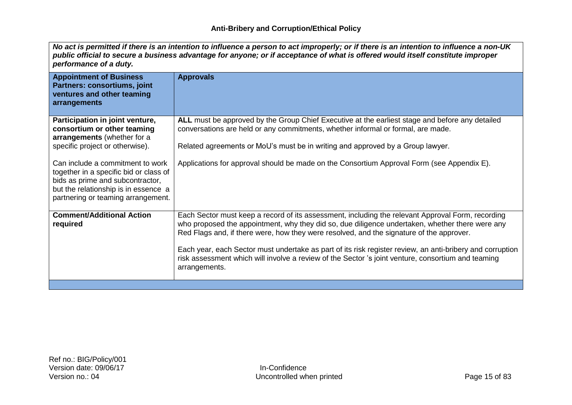| <b>Appointment of Business</b><br>Partners: consortiums, joint<br>ventures and other teaming<br>arrangements                                                                                 | <b>Approvals</b>                                                                                                                                                                                                                                                                                                                                                                                                                                                                                                                     |
|----------------------------------------------------------------------------------------------------------------------------------------------------------------------------------------------|--------------------------------------------------------------------------------------------------------------------------------------------------------------------------------------------------------------------------------------------------------------------------------------------------------------------------------------------------------------------------------------------------------------------------------------------------------------------------------------------------------------------------------------|
| Participation in joint venture,<br>consortium or other teaming<br>arrangements (whether for a<br>specific project or otherwise).                                                             | ALL must be approved by the Group Chief Executive at the earliest stage and before any detailed<br>conversations are held or any commitments, whether informal or formal, are made.<br>Related agreements or MoU's must be in writing and approved by a Group lawyer.                                                                                                                                                                                                                                                                |
| Can include a commitment to work<br>together in a specific bid or class of<br>bids as prime and subcontractor,<br>but the relationship is in essence a<br>partnering or teaming arrangement. | Applications for approval should be made on the Consortium Approval Form (see Appendix E).                                                                                                                                                                                                                                                                                                                                                                                                                                           |
| <b>Comment/Additional Action</b><br>required                                                                                                                                                 | Each Sector must keep a record of its assessment, including the relevant Approval Form, recording<br>who proposed the appointment, why they did so, due diligence undertaken, whether there were any<br>Red Flags and, if there were, how they were resolved, and the signature of the approver.<br>Each year, each Sector must undertake as part of its risk register review, an anti-bribery and corruption<br>risk assessment which will involve a review of the Sector 's joint venture, consortium and teaming<br>arrangements. |
|                                                                                                                                                                                              |                                                                                                                                                                                                                                                                                                                                                                                                                                                                                                                                      |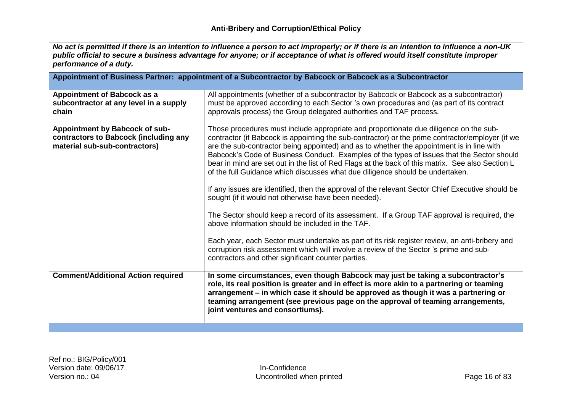**Appointment of Business Partner: appointment of a Subcontractor by Babcock or Babcock as a Subcontractor**

| Appointment of Babcock as a<br>subcontractor at any level in a supply<br>chain<br>Appointment by Babcock of sub-<br>contractors to Babcock (including any<br>material sub-sub-contractors) | All appointments (whether of a subcontractor by Babcock or Babcock as a subcontractor)<br>must be approved according to each Sector 's own procedures and (as part of its contract<br>approvals process) the Group delegated authorities and TAF process.<br>Those procedures must include appropriate and proportionate due diligence on the sub-<br>contractor (if Babcock is appointing the sub-contractor) or the prime contractor/employer (if we<br>are the sub-contractor being appointed) and as to whether the appointment is in line with<br>Babcock's Code of Business Conduct. Examples of the types of issues that the Sector should<br>bear in mind are set out in the list of Red Flags at the back of this matrix. See also Section L<br>of the full Guidance which discusses what due diligence should be undertaken. |
|--------------------------------------------------------------------------------------------------------------------------------------------------------------------------------------------|----------------------------------------------------------------------------------------------------------------------------------------------------------------------------------------------------------------------------------------------------------------------------------------------------------------------------------------------------------------------------------------------------------------------------------------------------------------------------------------------------------------------------------------------------------------------------------------------------------------------------------------------------------------------------------------------------------------------------------------------------------------------------------------------------------------------------------------|
|                                                                                                                                                                                            | If any issues are identified, then the approval of the relevant Sector Chief Executive should be<br>sought (if it would not otherwise have been needed).<br>The Sector should keep a record of its assessment. If a Group TAF approval is required, the<br>above information should be included in the TAF.                                                                                                                                                                                                                                                                                                                                                                                                                                                                                                                            |
|                                                                                                                                                                                            | Each year, each Sector must undertake as part of its risk register review, an anti-bribery and<br>corruption risk assessment which will involve a review of the Sector 's prime and sub-<br>contractors and other significant counter parties.                                                                                                                                                                                                                                                                                                                                                                                                                                                                                                                                                                                         |
| <b>Comment/Additional Action required</b>                                                                                                                                                  | In some circumstances, even though Babcock may just be taking a subcontractor's<br>role, its real position is greater and in effect is more akin to a partnering or teaming<br>arrangement – in which case it should be approved as though it was a partnering or<br>teaming arrangement (see previous page on the approval of teaming arrangements,<br>joint ventures and consortiums).                                                                                                                                                                                                                                                                                                                                                                                                                                               |
|                                                                                                                                                                                            |                                                                                                                                                                                                                                                                                                                                                                                                                                                                                                                                                                                                                                                                                                                                                                                                                                        |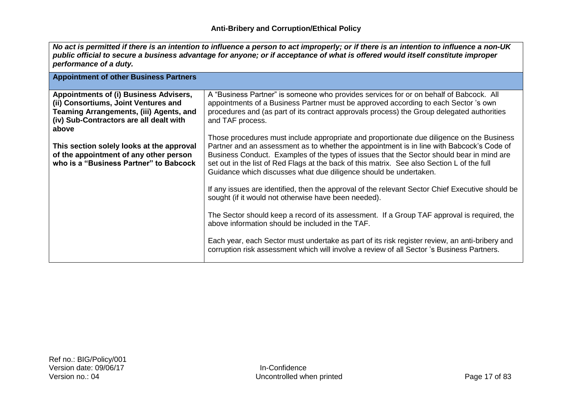| No act is permitted if there is an intention to influence a person to act improperly; or if there is an intention to influence a non-UK |
|-----------------------------------------------------------------------------------------------------------------------------------------|
| public official to secure a business advantage for anyone; or if acceptance of what is offered would itself constitute improper         |
| performance of a duty.                                                                                                                  |

#### **Appointment of other Business Partners**

| Appointments of (i) Business Advisers,<br>(ii) Consortiums, Joint Ventures and<br>Teaming Arrangements, (iii) Agents, and<br>(iv) Sub-Contractors are all dealt with<br>above | A "Business Partner" is someone who provides services for or on behalf of Babcock. All<br>appointments of a Business Partner must be approved according to each Sector 's own<br>procedures and (as part of its contract approvals process) the Group delegated authorities<br>and TAF process.                                                                                                                                                         |
|-------------------------------------------------------------------------------------------------------------------------------------------------------------------------------|---------------------------------------------------------------------------------------------------------------------------------------------------------------------------------------------------------------------------------------------------------------------------------------------------------------------------------------------------------------------------------------------------------------------------------------------------------|
| This section solely looks at the approval<br>of the appointment of any other person<br>who is a "Business Partner" to Babcock                                                 | Those procedures must include appropriate and proportionate due diligence on the Business<br>Partner and an assessment as to whether the appointment is in line with Babcock's Code of<br>Business Conduct. Examples of the types of issues that the Sector should bear in mind are<br>set out in the list of Red Flags at the back of this matrix. See also Section L of the full<br>Guidance which discusses what due diligence should be undertaken. |
|                                                                                                                                                                               | If any issues are identified, then the approval of the relevant Sector Chief Executive should be<br>sought (if it would not otherwise have been needed).                                                                                                                                                                                                                                                                                                |
|                                                                                                                                                                               | The Sector should keep a record of its assessment. If a Group TAF approval is required, the<br>above information should be included in the TAF.                                                                                                                                                                                                                                                                                                         |
|                                                                                                                                                                               | Each year, each Sector must undertake as part of its risk register review, an anti-bribery and<br>corruption risk assessment which will involve a review of all Sector 's Business Partners.                                                                                                                                                                                                                                                            |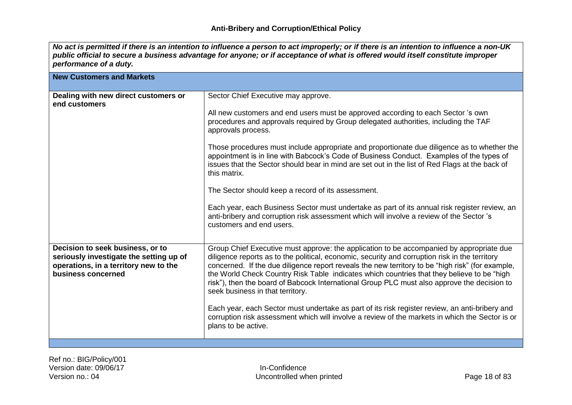| No act is permitted if there is an intention to influence a person to act improperly; or if there is an intention to influence a non-UK |
|-----------------------------------------------------------------------------------------------------------------------------------------|
| public official to secure a business advantage for anyone; or if acceptance of what is offered would itself constitute improper         |
| performance of a duty.                                                                                                                  |

| <b>New Customers and Markets</b>                                                                                                           |                                                                                                                                                                                                                                                                                                                                                                                                                                                                                                                                                                                                                                                                                                                                                                                                                                 |  |  |
|--------------------------------------------------------------------------------------------------------------------------------------------|---------------------------------------------------------------------------------------------------------------------------------------------------------------------------------------------------------------------------------------------------------------------------------------------------------------------------------------------------------------------------------------------------------------------------------------------------------------------------------------------------------------------------------------------------------------------------------------------------------------------------------------------------------------------------------------------------------------------------------------------------------------------------------------------------------------------------------|--|--|
| Dealing with new direct customers or<br>end customers                                                                                      | Sector Chief Executive may approve.<br>All new customers and end users must be approved according to each Sector 's own<br>procedures and approvals required by Group delegated authorities, including the TAF<br>approvals process.<br>Those procedures must include appropriate and proportionate due diligence as to whether the<br>appointment is in line with Babcock's Code of Business Conduct. Examples of the types of<br>issues that the Sector should bear in mind are set out in the list of Red Flags at the back of<br>this matrix.<br>The Sector should keep a record of its assessment.<br>Each year, each Business Sector must undertake as part of its annual risk register review, an<br>anti-bribery and corruption risk assessment which will involve a review of the Sector's<br>customers and end users. |  |  |
| Decision to seek business, or to<br>seriously investigate the setting up of<br>operations, in a territory new to the<br>business concerned | Group Chief Executive must approve: the application to be accompanied by appropriate due<br>diligence reports as to the political, economic, security and corruption risk in the territory<br>concerned. If the due diligence report reveals the new territory to be "high risk" (for example,<br>the World Check Country Risk Table indicates which countries that they believe to be "high<br>risk"), then the board of Babcock International Group PLC must also approve the decision to<br>seek business in that territory.<br>Each year, each Sector must undertake as part of its risk register review, an anti-bribery and<br>corruption risk assessment which will involve a review of the markets in which the Sector is or<br>plans to be active.                                                                     |  |  |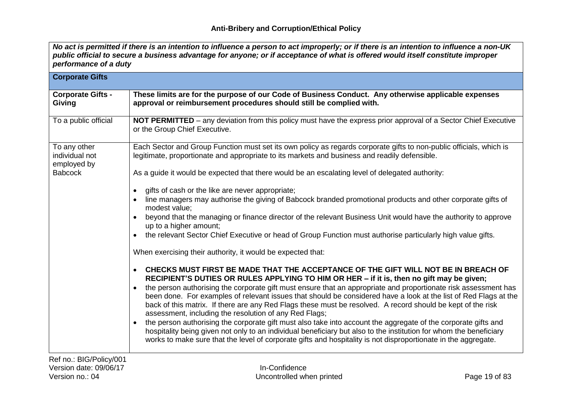| No act is permitted if there is an intention to influence a person to act improperly; or if there is an intention to influence a non-UK<br>public official to secure a business advantage for anyone; or if acceptance of what is offered would itself constitute improper<br>performance of a duty<br><b>Corporate Gifts</b>                                                                                                                                                                                                                                                                                                                                                                                                                                                                                                                                                                                                                                                                                                                                                                                                                                                                                                                                                                                                                                                                                                                                                                                                                                                                                                                                                                                           |  |  |  |  |
|-------------------------------------------------------------------------------------------------------------------------------------------------------------------------------------------------------------------------------------------------------------------------------------------------------------------------------------------------------------------------------------------------------------------------------------------------------------------------------------------------------------------------------------------------------------------------------------------------------------------------------------------------------------------------------------------------------------------------------------------------------------------------------------------------------------------------------------------------------------------------------------------------------------------------------------------------------------------------------------------------------------------------------------------------------------------------------------------------------------------------------------------------------------------------------------------------------------------------------------------------------------------------------------------------------------------------------------------------------------------------------------------------------------------------------------------------------------------------------------------------------------------------------------------------------------------------------------------------------------------------------------------------------------------------------------------------------------------------|--|--|--|--|
|                                                                                                                                                                                                                                                                                                                                                                                                                                                                                                                                                                                                                                                                                                                                                                                                                                                                                                                                                                                                                                                                                                                                                                                                                                                                                                                                                                                                                                                                                                                                                                                                                                                                                                                         |  |  |  |  |
| NOT PERMITTED – any deviation from this policy must have the express prior approval of a Sector Chief Executive<br>or the Group Chief Executive.                                                                                                                                                                                                                                                                                                                                                                                                                                                                                                                                                                                                                                                                                                                                                                                                                                                                                                                                                                                                                                                                                                                                                                                                                                                                                                                                                                                                                                                                                                                                                                        |  |  |  |  |
| Each Sector and Group Function must set its own policy as regards corporate gifts to non-public officials, which is<br>legitimate, proportionate and appropriate to its markets and business and readily defensible.<br>As a guide it would be expected that there would be an escalating level of delegated authority:<br>gifts of cash or the like are never appropriate;<br>line managers may authorise the giving of Babcock branded promotional products and other corporate gifts of<br>modest value;<br>beyond that the managing or finance director of the relevant Business Unit would have the authority to approve<br>up to a higher amount;<br>the relevant Sector Chief Executive or head of Group Function must authorise particularly high value gifts.<br>$\bullet$<br>When exercising their authority, it would be expected that:<br>CHECKS MUST FIRST BE MADE THAT THE ACCEPTANCE OF THE GIFT WILL NOT BE IN BREACH OF<br>$\bullet$<br>RECIPIENT'S DUTIES OR RULES APPLYING TO HIM OR HER - if it is, then no gift may be given;<br>the person authorising the corporate gift must ensure that an appropriate and proportionate risk assessment has<br>been done. For examples of relevant issues that should be considered have a look at the list of Red Flags at the<br>back of this matrix. If there are any Red Flags these must be resolved. A record should be kept of the risk<br>assessment, including the resolution of any Red Flags;<br>the person authorising the corporate gift must also take into account the aggregate of the corporate gifts and<br>$\bullet$<br>hospitality being given not only to an individual beneficiary but also to the institution for whom the beneficiary |  |  |  |  |
|                                                                                                                                                                                                                                                                                                                                                                                                                                                                                                                                                                                                                                                                                                                                                                                                                                                                                                                                                                                                                                                                                                                                                                                                                                                                                                                                                                                                                                                                                                                                                                                                                                                                                                                         |  |  |  |  |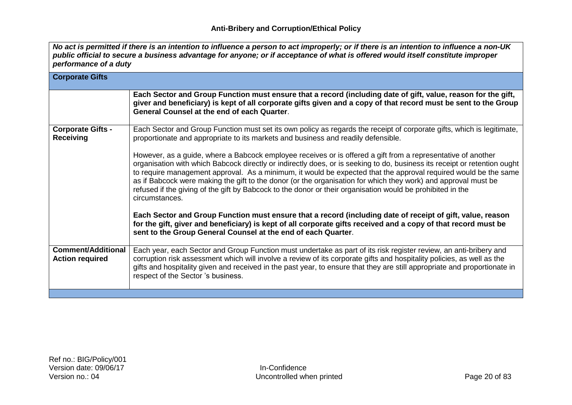| No act is permitted if there is an intention to influence a person to act improperly; or if there is an intention to influence a non-UK |
|-----------------------------------------------------------------------------------------------------------------------------------------|
| public official to secure a business advantage for anyone; or if acceptance of what is offered would itself constitute improper         |
| performance of a duty                                                                                                                   |

| <b>Corporate Gifts</b>                              |                                                                                                                                                                                                                                                                                                                                                                                                                                                                                                                                                                                                                |
|-----------------------------------------------------|----------------------------------------------------------------------------------------------------------------------------------------------------------------------------------------------------------------------------------------------------------------------------------------------------------------------------------------------------------------------------------------------------------------------------------------------------------------------------------------------------------------------------------------------------------------------------------------------------------------|
|                                                     | Each Sector and Group Function must ensure that a record (including date of gift, value, reason for the gift,<br>giver and beneficiary) is kept of all corporate gifts given and a copy of that record must be sent to the Group<br><b>General Counsel at the end of each Quarter.</b>                                                                                                                                                                                                                                                                                                                         |
| <b>Corporate Gifts -</b><br><b>Receiving</b>        | Each Sector and Group Function must set its own policy as regards the receipt of corporate gifts, which is legitimate,<br>proportionate and appropriate to its markets and business and readily defensible.                                                                                                                                                                                                                                                                                                                                                                                                    |
|                                                     | However, as a guide, where a Babcock employee receives or is offered a gift from a representative of another<br>organisation with which Babcock directly or indirectly does, or is seeking to do, business its receipt or retention ought<br>to require management approval. As a minimum, it would be expected that the approval required would be the same<br>as if Babcock were making the gift to the donor (or the organisation for which they work) and approval must be<br>refused if the giving of the gift by Babcock to the donor or their organisation would be prohibited in the<br>circumstances. |
|                                                     | Each Sector and Group Function must ensure that a record (including date of receipt of gift, value, reason<br>for the gift, giver and beneficiary) is kept of all corporate gifts received and a copy of that record must be<br>sent to the Group General Counsel at the end of each Quarter.                                                                                                                                                                                                                                                                                                                  |
| <b>Comment/Additional</b><br><b>Action required</b> | Each year, each Sector and Group Function must undertake as part of its risk register review, an anti-bribery and<br>corruption risk assessment which will involve a review of its corporate gifts and hospitality policies, as well as the<br>gifts and hospitality given and received in the past year, to ensure that they are still appropriate and proportionate in<br>respect of the Sector 's business.                                                                                                                                                                                                 |
|                                                     |                                                                                                                                                                                                                                                                                                                                                                                                                                                                                                                                                                                                                |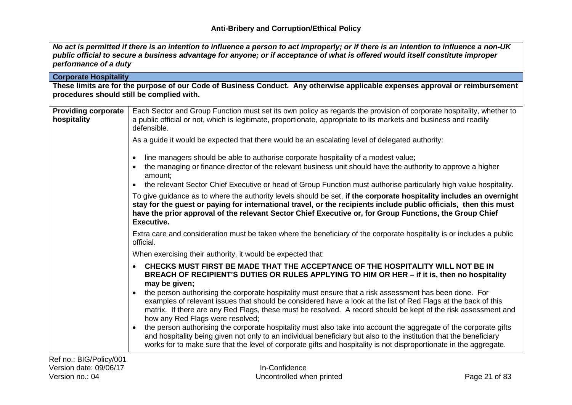| No act is permitted if there is an intention to influence a person to act improperly; or if there is an intention to influence a non-UK<br>public official to secure a business advantage for anyone; or if acceptance of what is offered would itself constitute improper<br>performance of a duty |                                                                                                                                                                                                                                                                                                                                                                                             |  |  |  |
|-----------------------------------------------------------------------------------------------------------------------------------------------------------------------------------------------------------------------------------------------------------------------------------------------------|---------------------------------------------------------------------------------------------------------------------------------------------------------------------------------------------------------------------------------------------------------------------------------------------------------------------------------------------------------------------------------------------|--|--|--|
| <b>Corporate Hospitality</b>                                                                                                                                                                                                                                                                        |                                                                                                                                                                                                                                                                                                                                                                                             |  |  |  |
| These limits are for the purpose of our Code of Business Conduct. Any otherwise applicable expenses approval or reimbursement<br>procedures should still be complied with.                                                                                                                          |                                                                                                                                                                                                                                                                                                                                                                                             |  |  |  |
| <b>Providing corporate</b><br>hospitality                                                                                                                                                                                                                                                           | Each Sector and Group Function must set its own policy as regards the provision of corporate hospitality, whether to<br>a public official or not, which is legitimate, proportionate, appropriate to its markets and business and readily<br>defensible.                                                                                                                                    |  |  |  |
|                                                                                                                                                                                                                                                                                                     | As a guide it would be expected that there would be an escalating level of delegated authority:                                                                                                                                                                                                                                                                                             |  |  |  |
|                                                                                                                                                                                                                                                                                                     | line managers should be able to authorise corporate hospitality of a modest value;<br>$\bullet$                                                                                                                                                                                                                                                                                             |  |  |  |
|                                                                                                                                                                                                                                                                                                     | the managing or finance director of the relevant business unit should have the authority to approve a higher<br>$\bullet$<br>amount:                                                                                                                                                                                                                                                        |  |  |  |
|                                                                                                                                                                                                                                                                                                     | the relevant Sector Chief Executive or head of Group Function must authorise particularly high value hospitality.<br>$\bullet$                                                                                                                                                                                                                                                              |  |  |  |
|                                                                                                                                                                                                                                                                                                     | To give guidance as to where the authority levels should be set, if the corporate hospitality includes an overnight<br>stay for the guest or paying for international travel, or the recipients include public officials, then this must<br>have the prior approval of the relevant Sector Chief Executive or, for Group Functions, the Group Chief<br>Executive.                           |  |  |  |
|                                                                                                                                                                                                                                                                                                     | Extra care and consideration must be taken where the beneficiary of the corporate hospitality is or includes a public<br>official.                                                                                                                                                                                                                                                          |  |  |  |
|                                                                                                                                                                                                                                                                                                     | When exercising their authority, it would be expected that:                                                                                                                                                                                                                                                                                                                                 |  |  |  |
|                                                                                                                                                                                                                                                                                                     | CHECKS MUST FIRST BE MADE THAT THE ACCEPTANCE OF THE HOSPITALITY WILL NOT BE IN<br>$\bullet$<br>BREACH OF RECIPIENT'S DUTIES OR RULES APPLYING TO HIM OR HER - if it is, then no hospitality<br>may be given;                                                                                                                                                                               |  |  |  |
|                                                                                                                                                                                                                                                                                                     | the person authorising the corporate hospitality must ensure that a risk assessment has been done. For<br>$\bullet$<br>examples of relevant issues that should be considered have a look at the list of Red Flags at the back of this<br>matrix. If there are any Red Flags, these must be resolved. A record should be kept of the risk assessment and<br>how any Red Flags were resolved; |  |  |  |
|                                                                                                                                                                                                                                                                                                     | the person authorising the corporate hospitality must also take into account the aggregate of the corporate gifts<br>$\bullet$<br>and hospitality being given not only to an individual beneficiary but also to the institution that the beneficiary<br>works for to make sure that the level of corporate gifts and hospitality is not disproportionate in the aggregate.                  |  |  |  |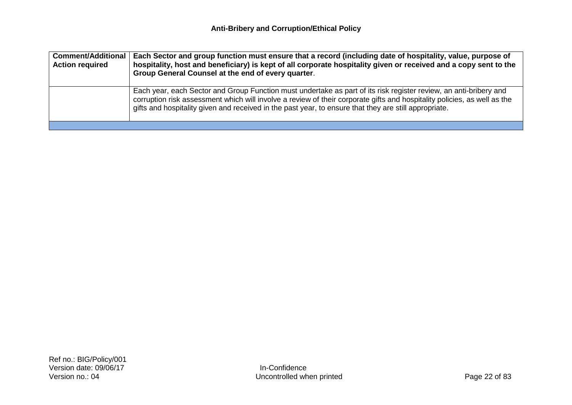| <b>Comment/Additional</b><br><b>Action required</b> | Each Sector and group function must ensure that a record (including date of hospitality, value, purpose of<br>hospitality, host and beneficiary) is kept of all corporate hospitality given or received and a copy sent to the<br>Group General Counsel at the end of every quarter.                                                                   |  |
|-----------------------------------------------------|--------------------------------------------------------------------------------------------------------------------------------------------------------------------------------------------------------------------------------------------------------------------------------------------------------------------------------------------------------|--|
|                                                     | Each year, each Sector and Group Function must undertake as part of its risk register review, an anti-bribery and<br>corruption risk assessment which will involve a review of their corporate gifts and hospitality policies, as well as the<br>gifts and hospitality given and received in the past year, to ensure that they are still appropriate. |  |
|                                                     |                                                                                                                                                                                                                                                                                                                                                        |  |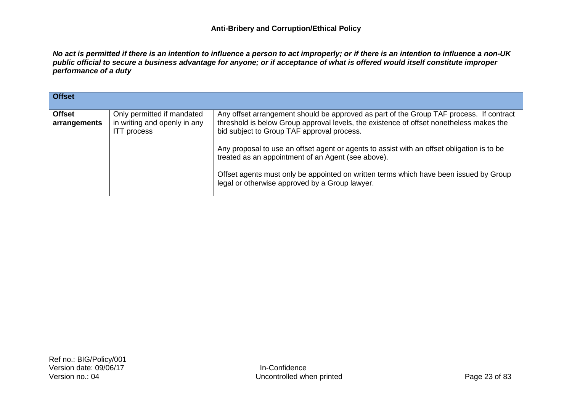| No act is permitted if there is an intention to influence a person to act improperly; or if there is an intention to influence a non-UK |
|-----------------------------------------------------------------------------------------------------------------------------------------|
| public official to secure a business advantage for anyone; or if acceptance of what is offered would itself constitute improper         |
| performance of a duty                                                                                                                   |

| <b>Offset</b>                 |                                                                                  |                                                                                                                                                                                                                                  |
|-------------------------------|----------------------------------------------------------------------------------|----------------------------------------------------------------------------------------------------------------------------------------------------------------------------------------------------------------------------------|
| <b>Offset</b><br>arrangements | Only permitted if mandated<br>in writing and openly in any<br><b>ITT</b> process | Any offset arrangement should be approved as part of the Group TAF process. If contract<br>threshold is below Group approval levels, the existence of offset nonetheless makes the<br>bid subject to Group TAF approval process. |
|                               |                                                                                  | Any proposal to use an offset agent or agents to assist with an offset obligation is to be<br>treated as an appointment of an Agent (see above).                                                                                 |
|                               |                                                                                  | Offset agents must only be appointed on written terms which have been issued by Group<br>legal or otherwise approved by a Group lawyer.                                                                                          |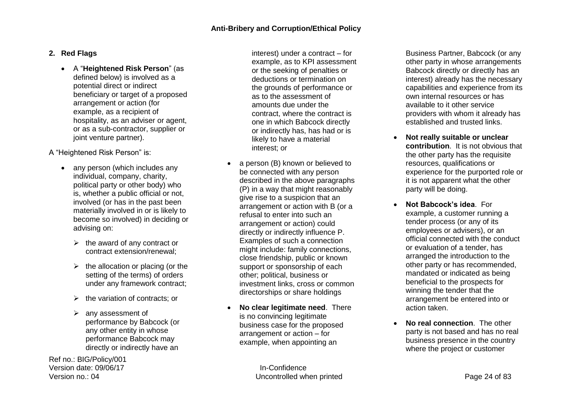#### **2. Red Flags**

 A "**Heightened Risk Person**" (as defined below) is involved as a potential direct or indirect beneficiary or target of a proposed arrangement or action (for example, as a recipient of hospitality, as an adviser or agent, or as a sub-contractor, supplier or joint venture partner).

A "Heightened Risk Person" is:

- any person (which includes any individual, company, charity, political party or other body) who is, whether a public official or not, involved (or has in the past been materially involved in or is likely to become so involved) in deciding or advising on:
	- $\triangleright$  the award of any contract or contract extension/renewal;
	- $\triangleright$  the allocation or placing (or the setting of the terms) of orders under any framework contract;
	- $\triangleright$  the variation of contracts; or
	- $\triangleright$  any assessment of performance by Babcock (or any other entity in whose performance Babcock may directly or indirectly have an

Ref no.: BIG/Policy/001 Version date: 09/06/17 In-Confidence

interest) under a contract – for example, as to KPI assessment or the seeking of penalties or deductions or termination on the grounds of performance or as to the assessment of amounts due under the contract, where the contract is one in which Babcock directly or indirectly has, has had or is likely to have a material interest; or

- a person (B) known or believed to be connected with any person described in the above paragraphs (P) in a way that might reasonably give rise to a suspicion that an arrangement or action with B (or a refusal to enter into such an arrangement or action) could directly or indirectly influence P. Examples of such a connection might include: family connections, close friendship, public or known support or sponsorship of each other; political, business or investment links, cross or common directorships or share holdings
- **No clear legitimate need**. There is no convincing legitimate business case for the proposed arrangement or action – for example, when appointing an

Version no.: 04 Uncontrolled when printed Page 24 of 83

Business Partner, Babcock (or any other party in whose arrangements Babcock directly or directly has an interest) already has the necessary capabilities and experience from its own internal resources or has available to it other service providers with whom it already has established and trusted links.

- **Not really suitable or unclear contribution**. It is not obvious that the other party has the requisite resources, qualifications or experience for the purported role or it is not apparent what the other party will be doing.
- **Not Babcock's idea**. For example, a customer running a tender process (or any of its employees or advisers), or an official connected with the conduct or evaluation of a tender, has arranged the introduction to the other party or has recommended, mandated or indicated as being beneficial to the prospects for winning the tender that the arrangement be entered into or action taken.
- **No real connection**. The other party is not based and has no real business presence in the country where the project or customer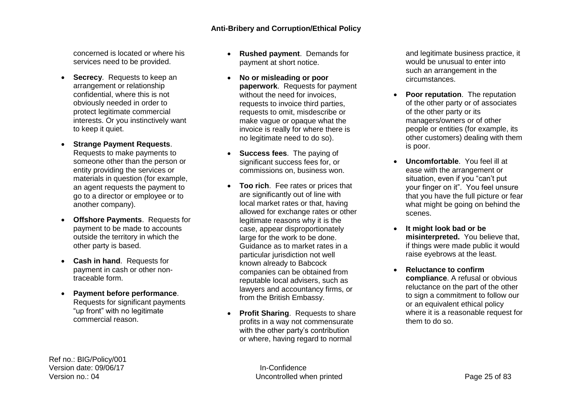concerned is located or where his services need to be provided.

- **Secrecy.** Requests to keep an arrangement or relationship confidential, where this is not obviously needed in order to protect legitimate commercial interests. Or you instinctively want to keep it quiet.
- **Strange Payment Requests**. Requests to make payments to someone other than the person or entity providing the services or materials in question (for example, an agent requests the payment to go to a director or employee or to another company).
- **Offshore Payments**. Requests for payment to be made to accounts outside the territory in which the other party is based.
- **Cash in hand**. Requests for payment in cash or other nontraceable form.
- **Payment before performance**. Requests for significant payments "up front" with no legitimate commercial reason.
- Ref no.: BIG/Policy/001 Version date: 09/06/17 In-Confidence
- **Rushed payment**. Demands for payment at short notice.
- **No or misleading or poor paperwork**. Requests for payment without the need for invoices. requests to invoice third parties, requests to omit, misdescribe or make vague or opaque what the invoice is really for where there is no legitimate need to do so).
- **Success fees**. The paying of significant success fees for, or commissions on, business won.
- **Too rich**. Fee rates or prices that are significantly out of line with local market rates or that, having allowed for exchange rates or other legitimate reasons why it is the case, appear disproportionately large for the work to be done. Guidance as to market rates in a particular jurisdiction not well known already to Babcock companies can be obtained from reputable local advisers, such as lawyers and accountancy firms, or from the British Embassy.
- **Profit Sharing**. Requests to share profits in a way not commensurate with the other party's contribution or where, having regard to normal

and legitimate business practice, it would be unusual to enter into such an arrangement in the circumstances.

- **Poor reputation**. The reputation of the other party or of associates of the other party or its managers/owners or of other people or entities (for example, its other customers) dealing with them is poor.
- **Uncomfortable**. You feel ill at ease with the arrangement or situation, even if you "can't put your finger on it". You feel unsure that you have the full picture or fear what might be going on behind the scenes.
- **It might look bad or be misinterpreted.** You believe that, if things were made public it would raise eyebrows at the least.
- **Reluctance to confirm compliance**. A refusal or obvious reluctance on the part of the other to sign a commitment to follow our or an equivalent ethical policy where it is a reasonable request for them to do so.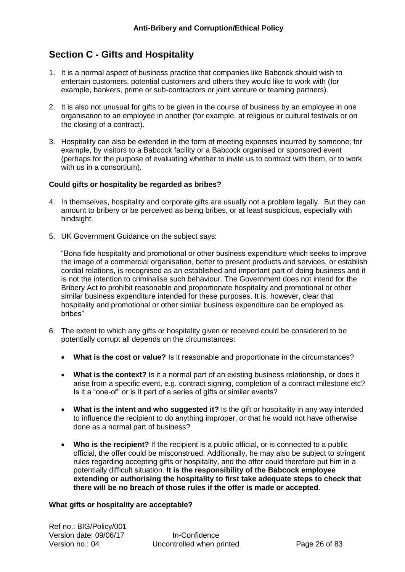# <span id="page-25-0"></span>**Section C - Gifts and Hospitality**

- 1. It is a normal aspect of business practice that companies like Babcock should wish to entertain customers, potential customers and others they would like to work with (for example, bankers, prime or sub-contractors or joint venture or teaming partners).
- 2. It is also not unusual for gifts to be given in the course of business by an employee in one organisation to an employee in another (for example, at religious or cultural festivals or on the closing of a contract).
- 3. Hospitality can also be extended in the form of meeting expenses incurred by someone; for example, by visitors to a Babcock facility or a Babcock organised or sponsored event (perhaps for the purpose of evaluating whether to invite us to contract with them, or to work with us in a consortium).

#### **Could gifts or hospitality be regarded as bribes?**

- 4. In themselves, hospitality and corporate gifts are usually not a problem legally. But they can amount to bribery or be perceived as being bribes, or at least suspicious, especially with hindsight.
- 5. UK Government Guidance on the subject says:

"Bona fide hospitality and promotional or other business expenditure which seeks to improve the image of a commercial organisation, better to present products and services, or establish cordial relations, is recognised as an established and important part of doing business and it is not the intention to criminalise such behaviour. The Government does not intend for the Bribery Act to prohibit reasonable and proportionate hospitality and promotional or other similar business expenditure intended for these purposes. It is, however, clear that hospitality and promotional or other similar business expenditure can be employed as bribes"

- 6. The extent to which any gifts or hospitality given or received could be considered to be potentially corrupt all depends on the circumstances:
	- **What is the cost or value?** Is it reasonable and proportionate in the circumstances?
	- **What is the context?** Is it a normal part of an existing business relationship, or does it arise from a specific event, e.g. contract signing, completion of a contract milestone etc? Is it a "one-of" or is it part of a series of gifts or similar events?
	- **What is the intent and who suggested it?** Is the gift or hospitality in any way intended to influence the recipient to do anything improper, or that he would not have otherwise done as a normal part of business?
	- **Who is the recipient?** If the recipient is a public official, or is connected to a public official, the offer could be misconstrued. Additionally, he may also be subject to stringent rules regarding accepting gifts or hospitality, and the offer could therefore put him in a potentially difficult situation. **It is the responsibility of the Babcock employee extending or authorising the hospitality to first take adequate steps to check that there will be no breach of those rules if the offer is made or accepted**.

#### **What gifts or hospitality are acceptable?**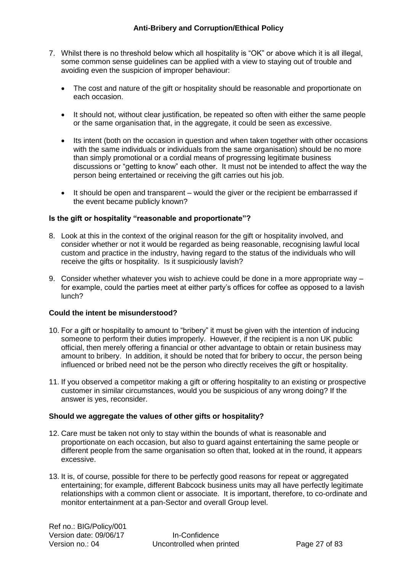#### **Anti-Bribery and Corruption/Ethical Policy**

- 7. Whilst there is no threshold below which all hospitality is "OK" or above which it is all illegal, some common sense guidelines can be applied with a view to staying out of trouble and avoiding even the suspicion of improper behaviour:
	- The cost and nature of the gift or hospitality should be reasonable and proportionate on each occasion.
	- It should not, without clear justification, be repeated so often with either the same people or the same organisation that, in the aggregate, it could be seen as excessive.
	- Its intent (both on the occasion in question and when taken together with other occasions with the same individuals or individuals from the same organisation) should be no more than simply promotional or a cordial means of progressing legitimate business discussions or "getting to know" each other. It must not be intended to affect the way the person being entertained or receiving the gift carries out his job.
	- It should be open and transparent would the giver or the recipient be embarrassed if the event became publicly known?

#### **Is the gift or hospitality "reasonable and proportionate"?**

- 8. Look at this in the context of the original reason for the gift or hospitality involved, and consider whether or not it would be regarded as being reasonable, recognising lawful local custom and practice in the industry, having regard to the status of the individuals who will receive the gifts or hospitality. Is it suspiciously lavish?
- 9. Consider whether whatever you wish to achieve could be done in a more appropriate way for example, could the parties meet at either party's offices for coffee as opposed to a lavish lunch?

#### **Could the intent be misunderstood?**

- 10. For a gift or hospitality to amount to "bribery" it must be given with the intention of inducing someone to perform their duties improperly. However, if the recipient is a non UK public official, then merely offering a financial or other advantage to obtain or retain business may amount to bribery. In addition, it should be noted that for bribery to occur, the person being influenced or bribed need not be the person who directly receives the gift or hospitality.
- 11. If you observed a competitor making a gift or offering hospitality to an existing or prospective customer in similar circumstances, would you be suspicious of any wrong doing? If the answer is yes, reconsider.

#### **Should we aggregate the values of other gifts or hospitality?**

- 12. Care must be taken not only to stay within the bounds of what is reasonable and proportionate on each occasion, but also to guard against entertaining the same people or different people from the same organisation so often that, looked at in the round, it appears excessive.
- 13. It is, of course, possible for there to be perfectly good reasons for repeat or aggregated entertaining; for example, different Babcock business units may all have perfectly legitimate relationships with a common client or associate. It is important, therefore, to co-ordinate and monitor entertainment at a pan-Sector and overall Group level.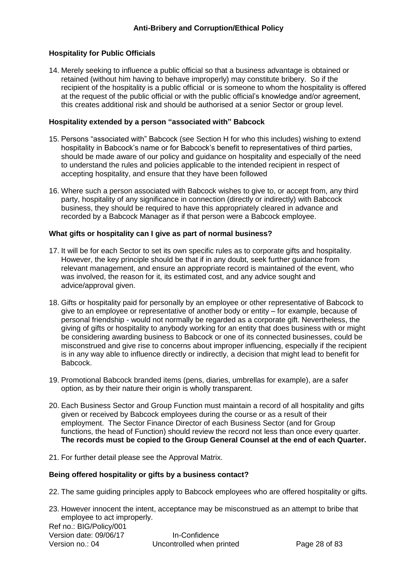#### **Hospitality for Public Officials**

14. Merely seeking to influence a public official so that a business advantage is obtained or retained (without him having to behave improperly) may constitute bribery. So if the recipient of the hospitality is a public official or is someone to whom the hospitality is offered at the request of the public official or with the public official's knowledge and/or agreement, this creates additional risk and should be authorised at a senior Sector or group level.

#### **Hospitality extended by a person "associated with" Babcock**

- 15. Persons "associated with" Babcock (see Section H for who this includes) wishing to extend hospitality in Babcock's name or for Babcock's benefit to representatives of third parties, should be made aware of our policy and guidance on hospitality and especially of the need to understand the rules and policies applicable to the intended recipient in respect of accepting hospitality, and ensure that they have been followed
- 16. Where such a person associated with Babcock wishes to give to, or accept from, any third party, hospitality of any significance in connection (directly or indirectly) with Babcock business, they should be required to have this appropriately cleared in advance and recorded by a Babcock Manager as if that person were a Babcock employee.

#### **What gifts or hospitality can I give as part of normal business?**

- 17. It will be for each Sector to set its own specific rules as to corporate gifts and hospitality. However, the key principle should be that if in any doubt, seek further guidance from relevant management, and ensure an appropriate record is maintained of the event, who was involved, the reason for it, its estimated cost, and any advice sought and advice/approval given.
- 18. Gifts or hospitality paid for personally by an employee or other representative of Babcock to give to an employee or representative of another body or entity – for example, because of personal friendship - would not normally be regarded as a corporate gift. Nevertheless, the giving of gifts or hospitality to anybody working for an entity that does business with or might be considering awarding business to Babcock or one of its connected businesses, could be misconstrued and give rise to concerns about improper influencing, especially if the recipient is in any way able to influence directly or indirectly, a decision that might lead to benefit for Babcock.
- 19. Promotional Babcock branded items (pens, diaries, umbrellas for example), are a safer option, as by their nature their origin is wholly transparent.
- 20. Each Business Sector and Group Function must maintain a record of all hospitality and gifts given or received by Babcock employees during the course or as a result of their employment. The Sector Finance Director of each Business Sector (and for Group functions, the head of Function) should review the record not less than once every quarter. **The records must be copied to the Group General Counsel at the end of each Quarter.**
- 21. For further detail please see the Approval Matrix.

#### **Being offered hospitality or gifts by a business contact?**

- 22. The same guiding principles apply to Babcock employees who are offered hospitality or gifts.
- 23. However innocent the intent, acceptance may be misconstrued as an attempt to bribe that employee to act improperly.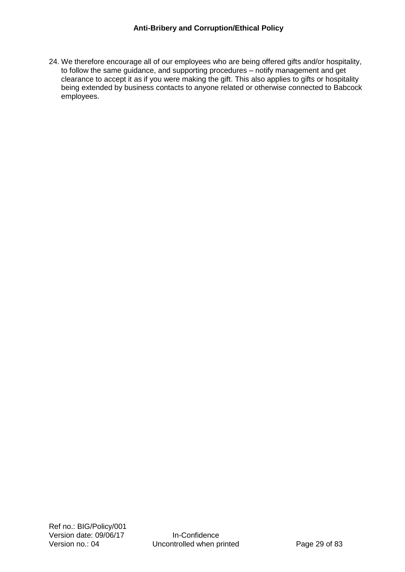24. We therefore encourage all of our employees who are being offered gifts and/or hospitality, to follow the same guidance, and supporting procedures – notify management and get clearance to accept it as if you were making the gift. This also applies to gifts or hospitality being extended by business contacts to anyone related or otherwise connected to Babcock employees.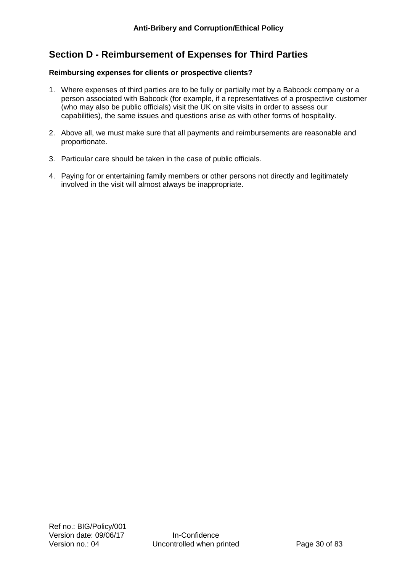## <span id="page-29-0"></span>**Section D - Reimbursement of Expenses for Third Parties**

#### **Reimbursing expenses for clients or prospective clients?**

- 1. Where expenses of third parties are to be fully or partially met by a Babcock company or a person associated with Babcock (for example, if a representatives of a prospective customer (who may also be public officials) visit the UK on site visits in order to assess our capabilities), the same issues and questions arise as with other forms of hospitality.
- 2. Above all, we must make sure that all payments and reimbursements are reasonable and proportionate.
- 3. Particular care should be taken in the case of public officials.
- 4. Paying for or entertaining family members or other persons not directly and legitimately involved in the visit will almost always be inappropriate.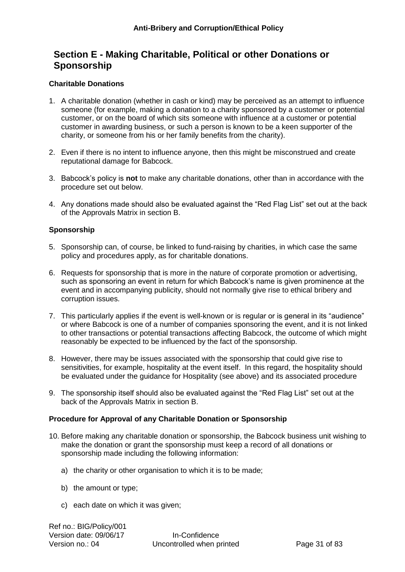### <span id="page-30-0"></span>**Section E - Making Charitable, Political or other Donations or Sponsorship**

#### **Charitable Donations**

- 1. A charitable donation (whether in cash or kind) may be perceived as an attempt to influence someone (for example, making a donation to a charity sponsored by a customer or potential customer, or on the board of which sits someone with influence at a customer or potential customer in awarding business, or such a person is known to be a keen supporter of the charity, or someone from his or her family benefits from the charity).
- 2. Even if there is no intent to influence anyone, then this might be misconstrued and create reputational damage for Babcock.
- 3. Babcock's policy is **not** to make any charitable donations, other than in accordance with the procedure set out below.
- 4. Any donations made should also be evaluated against the "Red Flag List" set out at the back of the Approvals Matrix in section B.

#### **Sponsorship**

- 5. Sponsorship can, of course, be linked to fund-raising by charities, in which case the same policy and procedures apply, as for charitable donations.
- 6. Requests for sponsorship that is more in the nature of corporate promotion or advertising, such as sponsoring an event in return for which Babcock's name is given prominence at the event and in accompanying publicity, should not normally give rise to ethical bribery and corruption issues.
- 7. This particularly applies if the event is well-known or is regular or is general in its "audience" or where Babcock is one of a number of companies sponsoring the event, and it is not linked to other transactions or potential transactions affecting Babcock, the outcome of which might reasonably be expected to be influenced by the fact of the sponsorship.
- 8. However, there may be issues associated with the sponsorship that could give rise to sensitivities, for example, hospitality at the event itself. In this regard, the hospitality should be evaluated under the guidance for Hospitality (see above) and its associated procedure
- 9. The sponsorship itself should also be evaluated against the "Red Flag List" set out at the back of the Approvals Matrix in section B.

#### **Procedure for Approval of any Charitable Donation or Sponsorship**

- 10. Before making any charitable donation or sponsorship, the Babcock business unit wishing to make the donation or grant the sponsorship must keep a record of all donations or sponsorship made including the following information:
	- a) the charity or other organisation to which it is to be made;
	- b) the amount or type;
	- c) each date on which it was given;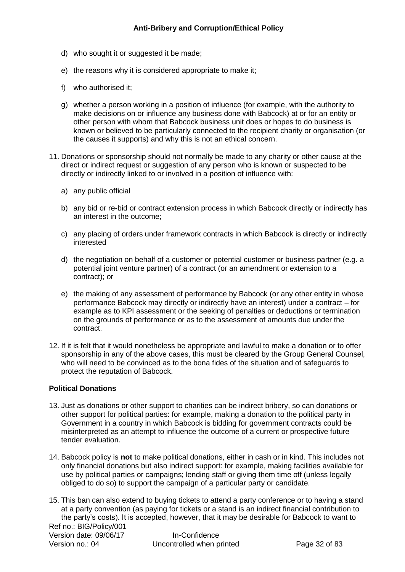- d) who sought it or suggested it be made;
- e) the reasons why it is considered appropriate to make it;
- f) who authorised it;
- g) whether a person working in a position of influence (for example, with the authority to make decisions on or influence any business done with Babcock) at or for an entity or other person with whom that Babcock business unit does or hopes to do business is known or believed to be particularly connected to the recipient charity or organisation (or the causes it supports) and why this is not an ethical concern.
- 11. Donations or sponsorship should not normally be made to any charity or other cause at the direct or indirect request or suggestion of any person who is known or suspected to be directly or indirectly linked to or involved in a position of influence with:
	- a) any public official
	- b) any bid or re-bid or contract extension process in which Babcock directly or indirectly has an interest in the outcome;
	- c) any placing of orders under framework contracts in which Babcock is directly or indirectly interested
	- d) the negotiation on behalf of a customer or potential customer or business partner (e.g. a potential joint venture partner) of a contract (or an amendment or extension to a contract); or
	- e) the making of any assessment of performance by Babcock (or any other entity in whose performance Babcock may directly or indirectly have an interest) under a contract – for example as to KPI assessment or the seeking of penalties or deductions or termination on the grounds of performance or as to the assessment of amounts due under the contract.
- 12. If it is felt that it would nonetheless be appropriate and lawful to make a donation or to offer sponsorship in any of the above cases, this must be cleared by the Group General Counsel, who will need to be convinced as to the bona fides of the situation and of safeguards to protect the reputation of Babcock.

#### **Political Donations**

- 13. Just as donations or other support to charities can be indirect bribery, so can donations or other support for political parties: for example, making a donation to the political party in Government in a country in which Babcock is bidding for government contracts could be misinterpreted as an attempt to influence the outcome of a current or prospective future tender evaluation.
- 14. Babcock policy is **not** to make political donations, either in cash or in kind. This includes not only financial donations but also indirect support: for example, making facilities available for use by political parties or campaigns; lending staff or giving them time off (unless legally obliged to do so) to support the campaign of a particular party or candidate.
- 15. This ban can also extend to buying tickets to attend a party conference or to having a stand at a party convention (as paying for tickets or a stand is an indirect financial contribution to the party's costs). It is accepted, however, that it may be desirable for Babcock to want to

Ref no.: BIG/Policy/001 Version date: 09/06/17 In-Confidence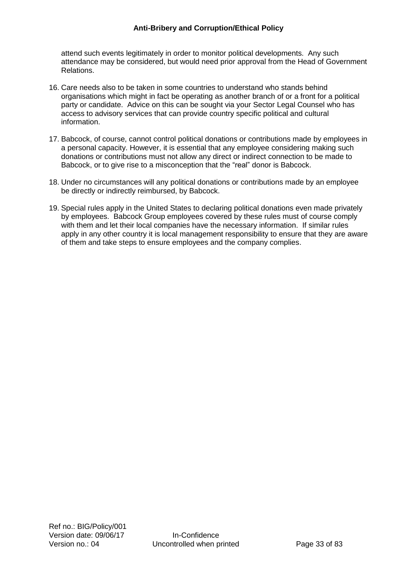#### **Anti-Bribery and Corruption/Ethical Policy**

attend such events legitimately in order to monitor political developments. Any such attendance may be considered, but would need prior approval from the Head of Government Relations.

- 16. Care needs also to be taken in some countries to understand who stands behind organisations which might in fact be operating as another branch of or a front for a political party or candidate. Advice on this can be sought via your Sector Legal Counsel who has access to advisory services that can provide country specific political and cultural information.
- 17. Babcock, of course, cannot control political donations or contributions made by employees in a personal capacity. However, it is essential that any employee considering making such donations or contributions must not allow any direct or indirect connection to be made to Babcock, or to give rise to a misconception that the "real" donor is Babcock.
- 18. Under no circumstances will any political donations or contributions made by an employee be directly or indirectly reimbursed, by Babcock.
- 19. Special rules apply in the United States to declaring political donations even made privately by employees. Babcock Group employees covered by these rules must of course comply with them and let their local companies have the necessary information. If similar rules apply in any other country it is local management responsibility to ensure that they are aware of them and take steps to ensure employees and the company complies.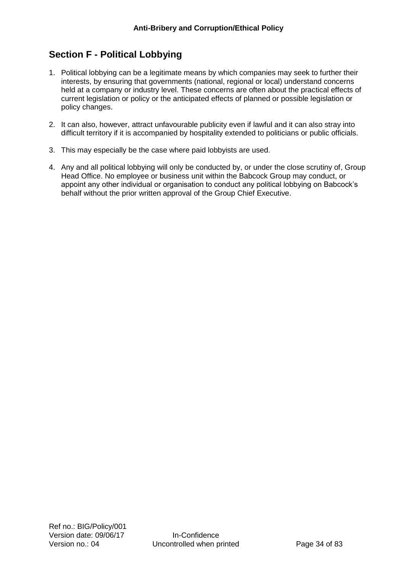# <span id="page-33-0"></span>**Section F - Political Lobbying**

- 1. Political lobbying can be a legitimate means by which companies may seek to further their interests, by ensuring that governments (national, regional or local) understand concerns held at a company or industry level. These concerns are often about the practical effects of current legislation or policy or the anticipated effects of planned or possible legislation or policy changes.
- 2. It can also, however, attract unfavourable publicity even if lawful and it can also stray into difficult territory if it is accompanied by hospitality extended to politicians or public officials.
- 3. This may especially be the case where paid lobbyists are used.
- 4. Any and all political lobbying will only be conducted by, or under the close scrutiny of, Group Head Office. No employee or business unit within the Babcock Group may conduct, or appoint any other individual or organisation to conduct any political lobbying on Babcock's behalf without the prior written approval of the Group Chief Executive.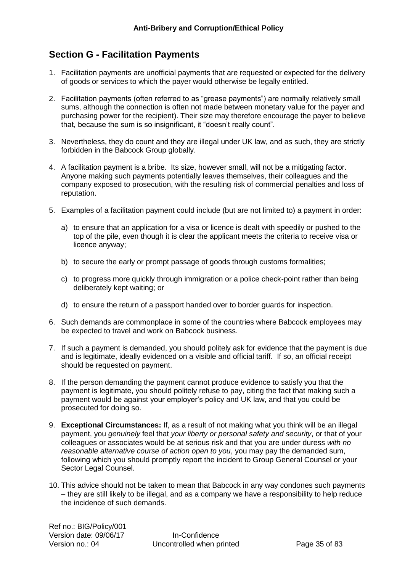# <span id="page-34-0"></span>**Section G - Facilitation Payments**

- 1. Facilitation payments are unofficial payments that are requested or expected for the delivery of goods or services to which the payer would otherwise be legally entitled.
- 2. Facilitation payments (often referred to as "grease payments") are normally relatively small sums, although the connection is often not made between monetary value for the payer and purchasing power for the recipient). Their size may therefore encourage the payer to believe that, because the sum is so insignificant, it "doesn't really count".
- 3. Nevertheless, they do count and they are illegal under UK law, and as such, they are strictly forbidden in the Babcock Group globally.
- 4. A facilitation payment is a bribe. Its size, however small, will not be a mitigating factor. Anyone making such payments potentially leaves themselves, their colleagues and the company exposed to prosecution, with the resulting risk of commercial penalties and loss of reputation.
- 5. Examples of a facilitation payment could include (but are not limited to) a payment in order:
	- a) to ensure that an application for a visa or licence is dealt with speedily or pushed to the top of the pile, even though it is clear the applicant meets the criteria to receive visa or licence anyway;
	- b) to secure the early or prompt passage of goods through customs formalities;
	- c) to progress more quickly through immigration or a police check-point rather than being deliberately kept waiting; or
	- d) to ensure the return of a passport handed over to border guards for inspection.
- 6. Such demands are commonplace in some of the countries where Babcock employees may be expected to travel and work on Babcock business.
- 7. If such a payment is demanded, you should politely ask for evidence that the payment is due and is legitimate, ideally evidenced on a visible and official tariff. If so, an official receipt should be requested on payment.
- 8. If the person demanding the payment cannot produce evidence to satisfy you that the payment is legitimate, you should politely refuse to pay, citing the fact that making such a payment would be against your employer's policy and UK law, and that you could be prosecuted for doing so.
- 9. **Exceptional Circumstances:** If, as a result of not making what you think will be an illegal payment, you *genuinely* feel that *your liberty or personal safety and security*, or that of your colleagues or associates would be at serious risk and that you are under duress *with no reasonable alternative course of action open to you*, you may pay the demanded sum, following which you should promptly report the incident to Group General Counsel or your Sector Legal Counsel.
- 10. This advice should not be taken to mean that Babcock in any way condones such payments – they are still likely to be illegal, and as a company we have a responsibility to help reduce the incidence of such demands.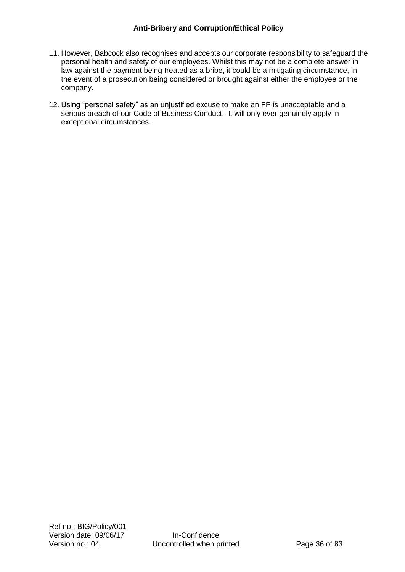- 11. However, Babcock also recognises and accepts our corporate responsibility to safeguard the personal health and safety of our employees. Whilst this may not be a complete answer in law against the payment being treated as a bribe, it could be a mitigating circumstance, in the event of a prosecution being considered or brought against either the employee or the company.
- 12. Using "personal safety" as an unjustified excuse to make an FP is unacceptable and a serious breach of our Code of Business Conduct. It will only ever genuinely apply in exceptional circumstances.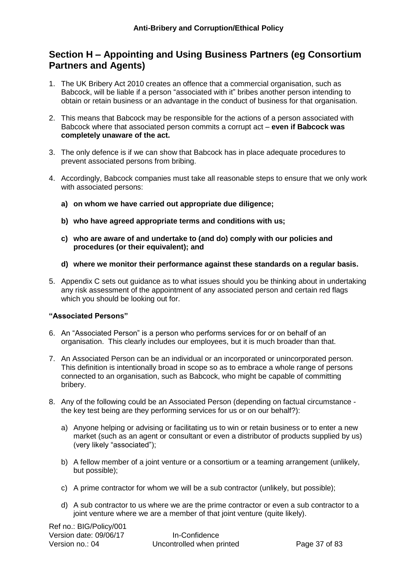# **Section H – Appointing and Using Business Partners (eg Consortium Partners and Agents)**

- 1. The UK Bribery Act 2010 creates an offence that a commercial organisation, such as Babcock, will be liable if a person "associated with it" bribes another person intending to obtain or retain business or an advantage in the conduct of business for that organisation.
- 2. This means that Babcock may be responsible for the actions of a person associated with Babcock where that associated person commits a corrupt act – **even if Babcock was completely unaware of the act.**
- 3. The only defence is if we can show that Babcock has in place adequate procedures to prevent associated persons from bribing.
- 4. Accordingly, Babcock companies must take all reasonable steps to ensure that we only work with associated persons:
	- **a) on whom we have carried out appropriate due diligence;**
	- **b) who have agreed appropriate terms and conditions with us;**
	- **c) who are aware of and undertake to (and do) comply with our policies and procedures (or their equivalent); and**
	- **d) where we monitor their performance against these standards on a regular basis.**
- 5. Appendix C sets out guidance as to what issues should you be thinking about in undertaking any risk assessment of the appointment of any associated person and certain red flags which you should be looking out for.

### **"Associated Persons"**

- 6. An "Associated Person" is a person who performs services for or on behalf of an organisation. This clearly includes our employees, but it is much broader than that.
- 7. An Associated Person can be an individual or an incorporated or unincorporated person. This definition is intentionally broad in scope so as to embrace a whole range of persons connected to an organisation, such as Babcock, who might be capable of committing bribery.
- 8. Any of the following could be an Associated Person (depending on factual circumstance the key test being are they performing services for us or on our behalf?):
	- a) Anyone helping or advising or facilitating us to win or retain business or to enter a new market (such as an agent or consultant or even a distributor of products supplied by us) (very likely "associated");
	- b) A fellow member of a joint venture or a consortium or a teaming arrangement (unlikely, but possible);
	- c) A prime contractor for whom we will be a sub contractor (unlikely, but possible);
	- d) A sub contractor to us where we are the prime contractor or even a sub contractor to a joint venture where we are a member of that joint venture (quite likely).

Ref no.: BIG/Policy/001 Version date: 09/06/17 In-Confidence

Version no.: 04 Uncontrolled when printed Page 37 of 83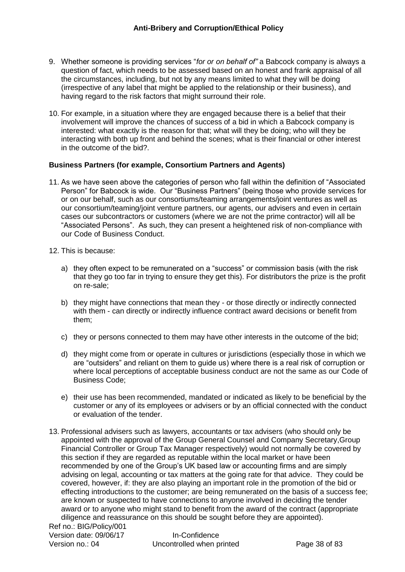- 9. Whether someone is providing services "*for or on behalf of"* a Babcock company is always a question of fact, which needs to be assessed based on an honest and frank appraisal of all the circumstances, including, but not by any means limited to what they will be doing (irrespective of any label that might be applied to the relationship or their business), and having regard to the risk factors that might surround their role.
- 10. For example, in a situation where they are engaged because there is a belief that their involvement will improve the chances of success of a bid in which a Babcock company is interested: what exactly is the reason for that; what will they be doing; who will they be interacting with both up front and behind the scenes; what is their financial or other interest in the outcome of the bid?.

### **Business Partners (for example, Consortium Partners and Agents)**

- 11. As we have seen above the categories of person who fall within the definition of "Associated Person" for Babcock is wide. Our "Business Partners" (being those who provide services for or on our behalf, such as our consortiums/teaming arrangements/joint ventures as well as our consortium/teaming/joint venture partners, our agents, our advisers and even in certain cases our subcontractors or customers (where we are not the prime contractor) will all be "Associated Persons". As such, they can present a heightened risk of non-compliance with our Code of Business Conduct.
- 12. This is because:
	- a) they often expect to be remunerated on a "success" or commission basis (with the risk that they go too far in trying to ensure they get this). For distributors the prize is the profit on re-sale;
	- b) they might have connections that mean they or those directly or indirectly connected with them - can directly or indirectly influence contract award decisions or benefit from them;
	- c) they or persons connected to them may have other interests in the outcome of the bid;
	- d) they might come from or operate in cultures or jurisdictions (especially those in which we are "outsiders" and reliant on them to guide us) where there is a real risk of corruption or where local perceptions of acceptable business conduct are not the same as our Code of Business Code;
	- e) their use has been recommended, mandated or indicated as likely to be beneficial by the customer or any of its employees or advisers or by an official connected with the conduct or evaluation of the tender.
- 13. Professional advisers such as lawyers, accountants or tax advisers (who should only be appointed with the approval of the Group General Counsel and Company Secretary,Group Financial Controller or Group Tax Manager respectively) would not normally be covered by this section if they are regarded as reputable within the local market or have been recommended by one of the Group's UK based law or accounting firms and are simply advising on legal, accounting or tax matters at the going rate for that advice. They could be covered, however, if: they are also playing an important role in the promotion of the bid or effecting introductions to the customer; are being remunerated on the basis of a success fee; are known or suspected to have connections to anyone involved in deciding the tender award or to anyone who might stand to benefit from the award of the contract (appropriate diligence and reassurance on this should be sought before they are appointed).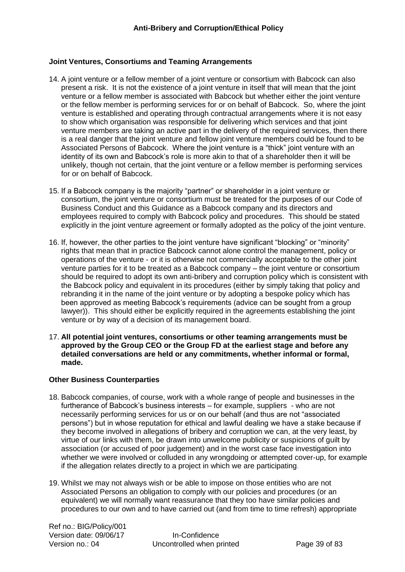## **Joint Ventures, Consortiums and Teaming Arrangements**

- 14. A joint venture or a fellow member of a joint venture or consortium with Babcock can also present a risk. It is not the existence of a joint venture in itself that will mean that the joint venture or a fellow member is associated with Babcock but whether either the joint venture or the fellow member is performing services for or on behalf of Babcock. So, where the joint venture is established and operating through contractual arrangements where it is not easy to show which organisation was responsible for delivering which services and that joint venture members are taking an active part in the delivery of the required services, then there is a real danger that the joint venture and fellow joint venture members could be found to be Associated Persons of Babcock. Where the joint venture is a "thick" joint venture with an identity of its own and Babcock's role is more akin to that of a shareholder then it will be unlikely, though not certain, that the joint venture or a fellow member is performing services for or on behalf of Babcock.
- 15. If a Babcock company is the majority "partner" or shareholder in a joint venture or consortium, the joint venture or consortium must be treated for the purposes of our Code of Business Conduct and this Guidance as a Babcock company and its directors and employees required to comply with Babcock policy and procedures. This should be stated explicitly in the joint venture agreement or formally adopted as the policy of the joint venture.
- 16. If, however, the other parties to the joint venture have significant "blocking" or "minority" rights that mean that in practice Babcock cannot alone control the management, policy or operations of the venture - or it is otherwise not commercially acceptable to the other joint venture parties for it to be treated as a Babcock company – the joint venture or consortium should be required to adopt its own anti-bribery and corruption policy which is consistent with the Babcock policy and equivalent in its procedures (either by simply taking that policy and rebranding it in the name of the joint venture or by adopting a bespoke policy which has been approved as meeting Babcock's requirements (advice can be sought from a group lawyer)). This should either be explicitly required in the agreements establishing the joint venture or by way of a decision of its management board.
- 17. **All potential joint ventures, consortiums or other teaming arrangements must be approved by the Group CEO or the Group FD at the earliest stage and before any detailed conversations are held or any commitments, whether informal or formal, made.**

### **Other Business Counterparties**

- 18. Babcock companies, of course, work with a whole range of people and businesses in the furtherance of Babcock's business interests – for example, suppliers - who are not necessarily performing services for us or on our behalf (and thus are not "associated persons") but in whose reputation for ethical and lawful dealing we have a stake because if they become involved in allegations of bribery and corruption we can, at the very least, by virtue of our links with them, be drawn into unwelcome publicity or suspicions of guilt by association (or accused of poor judgement) and in the worst case face investigation into whether we were involved or colluded in any wrongdoing or attempted cover-up, for example if the allegation relates directly to a project in which we are participating.
- 19. Whilst we may not always wish or be able to impose on those entities who are not Associated Persons an obligation to comply with our policies and procedures (or an equivalent) we will normally want reassurance that they too have similar policies and procedures to our own and to have carried out (and from time to time refresh) appropriate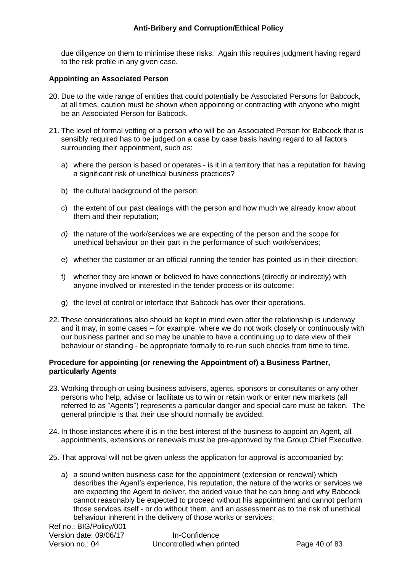due diligence on them to minimise these risks. Again this requires judgment having regard to the risk profile in any given case.

### **Appointing an Associated Person**

- 20. Due to the wide range of entities that could potentially be Associated Persons for Babcock, at all times, caution must be shown when appointing or contracting with anyone who might be an Associated Person for Babcock.
- 21. The level of formal vetting of a person who will be an Associated Person for Babcock that is sensibly required has to be judged on a case by case basis having regard to all factors surrounding their appointment, such as:
	- a) where the person is based or operates is it in a territory that has a reputation for having a significant risk of unethical business practices?
	- b) the cultural background of the person;
	- c) the extent of our past dealings with the person and how much we already know about them and their reputation;
	- *d)* the nature of the work/services we are expecting of the person and the scope for unethical behaviour on their part in the performance of such work/services;
	- e) whether the customer or an official running the tender has pointed us in their direction;
	- f) whether they are known or believed to have connections (directly or indirectly) with anyone involved or interested in the tender process or its outcome;
	- g) the level of control or interface that Babcock has over their operations.
- 22. These considerations also should be kept in mind even after the relationship is underway and it may, in some cases – for example, where we do not work closely or continuously with our business partner and so may be unable to have a continuing up to date view of their behaviour or standing - be appropriate formally to re-run such checks from time to time.

#### **Procedure for appointing (or renewing the Appointment of) a Business Partner, particularly Agents**

- 23. Working through or using business advisers, agents, sponsors or consultants or any other persons who help, advise or facilitate us to win or retain work or enter new markets (all referred to as "Agents") represents a particular danger and special care must be taken. The general principle is that their use should normally be avoided.
- 24. In those instances where it is in the best interest of the business to appoint an Agent, all appointments, extensions or renewals must be pre-approved by the Group Chief Executive.
- 25. That approval will not be given unless the application for approval is accompanied by:
	- a) a sound written business case for the appointment (extension or renewal) which describes the Agent's experience, his reputation, the nature of the works or services we are expecting the Agent to deliver, the added value that he can bring and why Babcock cannot reasonably be expected to proceed without his appointment and cannot perform those services itself - or do without them, and an assessment as to the risk of unethical behaviour inherent in the delivery of those works or services;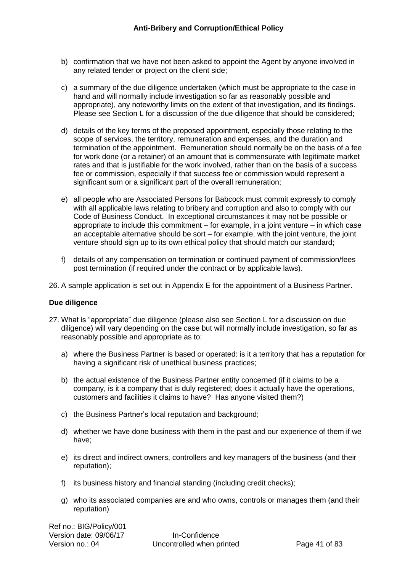- b) confirmation that we have not been asked to appoint the Agent by anyone involved in any related tender or project on the client side;
- c) a summary of the due diligence undertaken (which must be appropriate to the case in hand and will normally include investigation so far as reasonably possible and appropriate), any noteworthy limits on the extent of that investigation, and its findings. Please see Section L for a discussion of the due diligence that should be considered;
- d) details of the key terms of the proposed appointment, especially those relating to the scope of services, the territory, remuneration and expenses, and the duration and termination of the appointment. Remuneration should normally be on the basis of a fee for work done (or a retainer) of an amount that is commensurate with legitimate market rates and that is justifiable for the work involved, rather than on the basis of a success fee or commission, especially if that success fee or commission would represent a significant sum or a significant part of the overall remuneration;
- e) all people who are Associated Persons for Babcock must commit expressly to comply with all applicable laws relating to bribery and corruption and also to comply with our Code of Business Conduct. In exceptional circumstances it may not be possible or appropriate to include this commitment – for example, in a joint venture – in which case an acceptable alternative should be sort – for example, with the joint venture, the joint venture should sign up to its own ethical policy that should match our standard;
- f) details of any compensation on termination or continued payment of commission/fees post termination (if required under the contract or by applicable laws).
- 26. A sample application is set out in Appendix E for the appointment of a Business Partner.

### **Due diligence**

- 27. What is "appropriate" due diligence (please also see Section L for a discussion on due diligence) will vary depending on the case but will normally include investigation, so far as reasonably possible and appropriate as to:
	- a) where the Business Partner is based or operated: is it a territory that has a reputation for having a significant risk of unethical business practices:
	- b) the actual existence of the Business Partner entity concerned (if it claims to be a company, is it a company that is duly registered; does it actually have the operations, customers and facilities it claims to have? Has anyone visited them?)
	- c) the Business Partner's local reputation and background;
	- d) whether we have done business with them in the past and our experience of them if we have;
	- e) its direct and indirect owners, controllers and key managers of the business (and their reputation);
	- f) its business history and financial standing (including credit checks);
	- g) who its associated companies are and who owns, controls or manages them (and their reputation)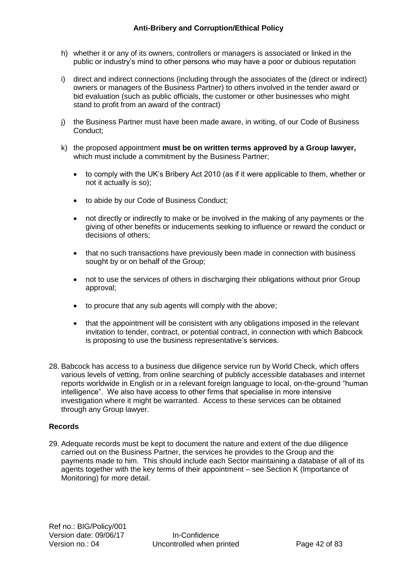- h) whether it or any of its owners, controllers or managers is associated or linked in the public or industry's mind to other persons who may have a poor or dubious reputation
- i) direct and indirect connections (including through the associates of the (direct or indirect) owners or managers of the Business Partner) to others involved in the tender award or bid evaluation (such as public officials, the customer or other businesses who might stand to profit from an award of the contract)
- j) the Business Partner must have been made aware, in writing, of our Code of Business Conduct;
- k) the proposed appointment **must be on written terms approved by a Group lawyer,** which must include a commitment by the Business Partner;
	- to comply with the UK's Bribery Act 2010 (as if it were applicable to them, whether or not it actually is so);
	- to abide by our Code of Business Conduct;
	- not directly or indirectly to make or be involved in the making of any payments or the giving of other benefits or inducements seeking to influence or reward the conduct or decisions of others;
	- that no such transactions have previously been made in connection with business sought by or on behalf of the Group;
	- not to use the services of others in discharging their obligations without prior Group approval;
	- to procure that any sub agents will comply with the above;
	- that the appointment will be consistent with any obligations imposed in the relevant invitation to tender, contract, or potential contract, in connection with which Babcock is proposing to use the business representative's services.
- 28. Babcock has access to a business due diligence service run by World Check, which offers various levels of vetting, from online searching of publicly accessible databases and internet reports worldwide in English or in a relevant foreign language to local, on-the-ground "human intelligence". We also have access to other firms that specialise in more intensive investigation where it might be warranted. Access to these services can be obtained through any Group lawyer.

#### **Records**

29. Adequate records must be kept to document the nature and extent of the due diligence carried out on the Business Partner, the services he provides to the Group and the payments made to him. This should include each Sector maintaining a database of all of its agents together with the key terms of their appointment – see Section K (Importance of Monitoring) for more detail.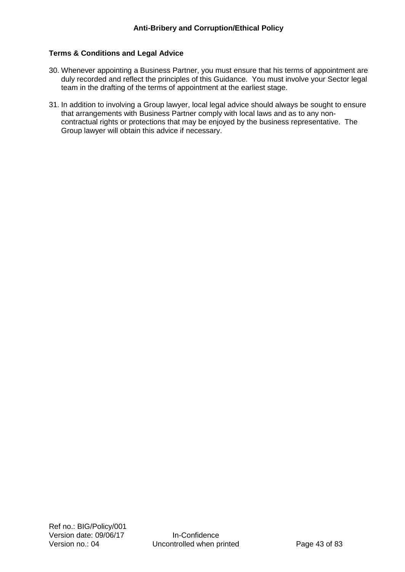### **Terms & Conditions and Legal Advice**

- 30. Whenever appointing a Business Partner, you must ensure that his terms of appointment are duly recorded and reflect the principles of this Guidance. You must involve your Sector legal team in the drafting of the terms of appointment at the earliest stage.
- 31. In addition to involving a Group lawyer, local legal advice should always be sought to ensure that arrangements with Business Partner comply with local laws and as to any noncontractual rights or protections that may be enjoyed by the business representative. The Group lawyer will obtain this advice if necessary.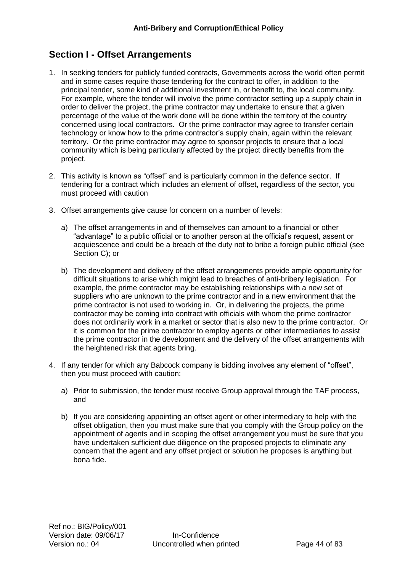# **Section I - Offset Arrangements**

- 1. In seeking tenders for publicly funded contracts, Governments across the world often permit and in some cases require those tendering for the contract to offer, in addition to the principal tender, some kind of additional investment in, or benefit to, the local community. For example, where the tender will involve the prime contractor setting up a supply chain in order to deliver the project, the prime contractor may undertake to ensure that a given percentage of the value of the work done will be done within the territory of the country concerned using local contractors. Or the prime contractor may agree to transfer certain technology or know how to the prime contractor's supply chain, again within the relevant territory. Or the prime contractor may agree to sponsor projects to ensure that a local community which is being particularly affected by the project directly benefits from the project.
- 2. This activity is known as "offset" and is particularly common in the defence sector. If tendering for a contract which includes an element of offset, regardless of the sector, you must proceed with caution
- 3. Offset arrangements give cause for concern on a number of levels:
	- a) The offset arrangements in and of themselves can amount to a financial or other "advantage" to a public official or to another person at the official's request, assent or acquiescence and could be a breach of the duty not to bribe a foreign public official (see Section C); or
	- b) The development and delivery of the offset arrangements provide ample opportunity for difficult situations to arise which might lead to breaches of anti-bribery legislation. For example, the prime contractor may be establishing relationships with a new set of suppliers who are unknown to the prime contractor and in a new environment that the prime contractor is not used to working in. Or, in delivering the projects, the prime contractor may be coming into contract with officials with whom the prime contractor does not ordinarily work in a market or sector that is also new to the prime contractor. Or it is common for the prime contractor to employ agents or other intermediaries to assist the prime contractor in the development and the delivery of the offset arrangements with the heightened risk that agents bring.
- 4. If any tender for which any Babcock company is bidding involves any element of "offset", then you must proceed with caution:
	- a) Prior to submission, the tender must receive Group approval through the TAF process, and
	- b) If you are considering appointing an offset agent or other intermediary to help with the offset obligation, then you must make sure that you comply with the Group policy on the appointment of agents and in scoping the offset arrangement you must be sure that you have undertaken sufficient due diligence on the proposed projects to eliminate any concern that the agent and any offset project or solution he proposes is anything but bona fide.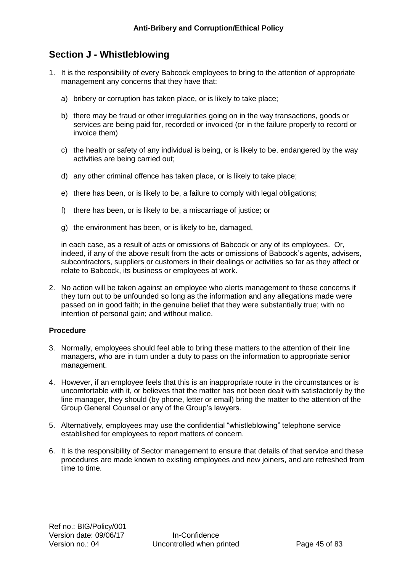# **Section J - Whistleblowing**

- 1. It is the responsibility of every Babcock employees to bring to the attention of appropriate management any concerns that they have that:
	- a) bribery or corruption has taken place, or is likely to take place;
	- b) there may be fraud or other irregularities going on in the way transactions, goods or services are being paid for, recorded or invoiced (or in the failure properly to record or invoice them)
	- c) the health or safety of any individual is being, or is likely to be, endangered by the way activities are being carried out;
	- d) any other criminal offence has taken place, or is likely to take place;
	- e) there has been, or is likely to be, a failure to comply with legal obligations;
	- f) there has been, or is likely to be, a miscarriage of justice; or
	- g) the environment has been, or is likely to be, damaged,

in each case, as a result of acts or omissions of Babcock or any of its employees. Or, indeed, if any of the above result from the acts or omissions of Babcock's agents, advisers, subcontractors, suppliers or customers in their dealings or activities so far as they affect or relate to Babcock, its business or employees at work.

2. No action will be taken against an employee who alerts management to these concerns if they turn out to be unfounded so long as the information and any allegations made were passed on in good faith; in the genuine belief that they were substantially true; with no intention of personal gain; and without malice.

## **Procedure**

- 3. Normally, employees should feel able to bring these matters to the attention of their line managers, who are in turn under a duty to pass on the information to appropriate senior management.
- 4. However, if an employee feels that this is an inappropriate route in the circumstances or is uncomfortable with it, or believes that the matter has not been dealt with satisfactorily by the line manager, they should (by phone, letter or email) bring the matter to the attention of the Group General Counsel or any of the Group's lawyers.
- 5. Alternatively, employees may use the confidential "whistleblowing" telephone service established for employees to report matters of concern.
- 6. It is the responsibility of Sector management to ensure that details of that service and these procedures are made known to existing employees and new joiners, and are refreshed from time to time.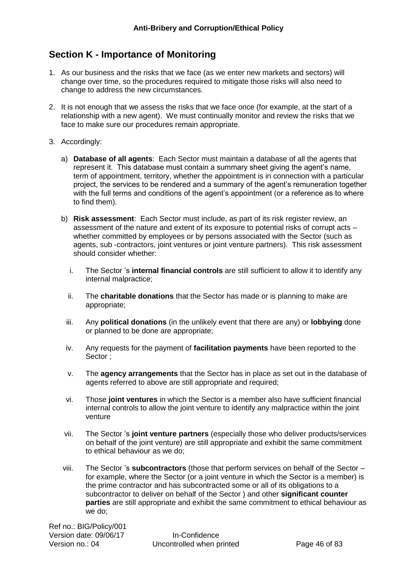# **Section K - Importance of Monitoring**

- 1. As our business and the risks that we face (as we enter new markets and sectors) will change over time, so the procedures required to mitigate those risks will also need to change to address the new circumstances.
- 2. It is not enough that we assess the risks that we face once (for example, at the start of a relationship with a new agent). We must continually monitor and review the risks that we face to make sure our procedures remain appropriate.
- 3. Accordingly:
	- a) **Database of all agents**: Each Sector must maintain a database of all the agents that represent it. This database must contain a summary sheet giving the agent's name, term of appointment, territory, whether the appointment is in connection with a particular project, the services to be rendered and a summary of the agent's remuneration together with the full terms and conditions of the agent's appointment (or a reference as to where to find them).
	- b) **Risk assessment**: Each Sector must include, as part of its risk register review, an assessment of the nature and extent of its exposure to potential risks of corrupt acts – whether committed by employees or by persons associated with the Sector (such as agents, sub -contractors, joint ventures or joint venture partners). This risk assessment should consider whether:
		- i. The Sector 's **internal financial controls** are still sufficient to allow it to identify any internal malpractice;
		- ii. The **charitable donations** that the Sector has made or is planning to make are appropriate;
		- iii. Any **political donations** (in the unlikely event that there are any) or **lobbying** done or planned to be done are appropriate;
		- iv. Any requests for the payment of **facilitation payments** have been reported to the Sector ;
		- v. The **agency arrangements** that the Sector has in place as set out in the database of agents referred to above are still appropriate and required;
		- vi. Those **joint ventures** in which the Sector is a member also have sufficient financial internal controls to allow the joint venture to identify any malpractice within the joint venture
	- vii. The Sector 's **joint venture partners** (especially those who deliver products/services on behalf of the joint venture) are still appropriate and exhibit the same commitment to ethical behaviour as we do;
	- viii. The Sector 's **subcontractors** (those that perform services on behalf of the Sector for example, where the Sector (or a joint venture in which the Sector is a member) is the prime contractor and has subcontracted some or all of its obligations to a subcontractor to deliver on behalf of the Sector ) and other **significant counter parties** are still appropriate and exhibit the same commitment to ethical behaviour as we do;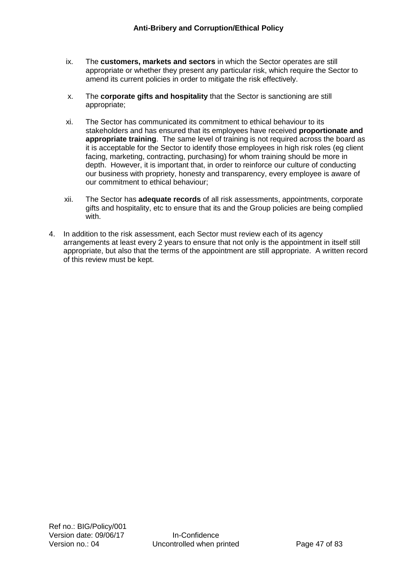- ix. The **customers, markets and sectors** in which the Sector operates are still appropriate or whether they present any particular risk, which require the Sector to amend its current policies in order to mitigate the risk effectively.
- x. The **corporate gifts and hospitality** that the Sector is sanctioning are still appropriate;
- xi. The Sector has communicated its commitment to ethical behaviour to its stakeholders and has ensured that its employees have received **proportionate and appropriate training**. The same level of training is not required across the board as it is acceptable for the Sector to identify those employees in high risk roles (eg client facing, marketing, contracting, purchasing) for whom training should be more in depth. However, it is important that, in order to reinforce our culture of conducting our business with propriety, honesty and transparency, every employee is aware of our commitment to ethical behaviour;
- xii. The Sector has **adequate records** of all risk assessments, appointments, corporate gifts and hospitality, etc to ensure that its and the Group policies are being complied with.
- 4. In addition to the risk assessment, each Sector must review each of its agency arrangements at least every 2 years to ensure that not only is the appointment in itself still appropriate, but also that the terms of the appointment are still appropriate. A written record of this review must be kept.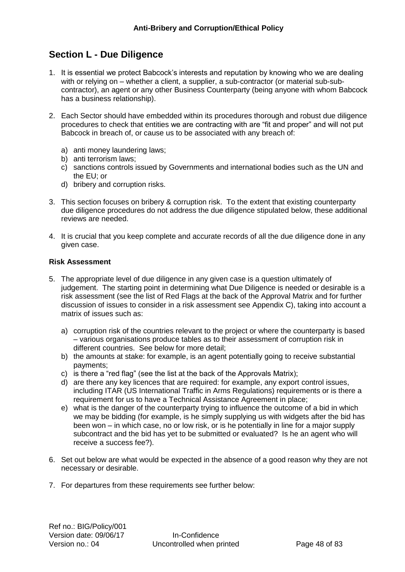# **Section L - Due Diligence**

- 1. It is essential we protect Babcock's interests and reputation by knowing who we are dealing with or relying on – whether a client, a supplier, a sub-contractor (or material sub-subcontractor), an agent or any other Business Counterparty (being anyone with whom Babcock has a business relationship).
- 2. Each Sector should have embedded within its procedures thorough and robust due diligence procedures to check that entities we are contracting with are "fit and proper" and will not put Babcock in breach of, or cause us to be associated with any breach of:
	- a) anti money laundering laws;
	- b) anti terrorism laws;
	- c) sanctions controls issued by Governments and international bodies such as the UN and the EU; or
	- d) bribery and corruption risks.
- 3. This section focuses on bribery & corruption risk. To the extent that existing counterparty due diligence procedures do not address the due diligence stipulated below, these additional reviews are needed.
- 4. It is crucial that you keep complete and accurate records of all the due diligence done in any given case.

### **Risk Assessment**

- 5. The appropriate level of due diligence in any given case is a question ultimately of judgement. The starting point in determining what Due Diligence is needed or desirable is a risk assessment (see the list of Red Flags at the back of the Approval Matrix and for further discussion of issues to consider in a risk assessment see Appendix C), taking into account a matrix of issues such as:
	- a) corruption risk of the countries relevant to the project or where the counterparty is based – various organisations produce tables as to their assessment of corruption risk in different countries. See below for more detail;
	- b) the amounts at stake: for example, is an agent potentially going to receive substantial payments;
	- c) is there a "red flag" (see the list at the back of the Approvals Matrix);
	- d) are there any key licences that are required: for example, any export control issues, including ITAR (US International Traffic in Arms Regulations) requirements or is there a requirement for us to have a Technical Assistance Agreement in place;
	- e) what is the danger of the counterparty trying to influence the outcome of a bid in which we may be bidding (for example, is he simply supplying us with widgets after the bid has been won – in which case, no or low risk, or is he potentially in line for a major supply subcontract and the bid has yet to be submitted or evaluated? Is he an agent who will receive a success fee?).
- 6. Set out below are what would be expected in the absence of a good reason why they are not necessary or desirable.
- 7. For departures from these requirements see further below: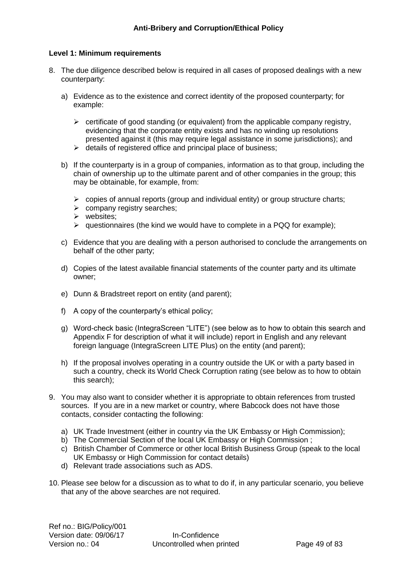#### **Level 1: Minimum requirements**

- 8. The due diligence described below is required in all cases of proposed dealings with a new counterparty:
	- a) Evidence as to the existence and correct identity of the proposed counterparty; for example:
		- $\triangleright$  certificate of good standing (or equivalent) from the applicable company registry, evidencing that the corporate entity exists and has no winding up resolutions presented against it (this may require legal assistance in some jurisdictions); and
		- $\triangleright$  details of registered office and principal place of business;
	- b) If the counterparty is in a group of companies, information as to that group, including the chain of ownership up to the ultimate parent and of other companies in the group; this may be obtainable, for example, from:
		- $\triangleright$  copies of annual reports (group and individual entity) or group structure charts;
		- $\triangleright$  company registry searches;
		- $\triangleright$  websites;
		- $\triangleright$  questionnaires (the kind we would have to complete in a PQQ for example);
	- c) Evidence that you are dealing with a person authorised to conclude the arrangements on behalf of the other party;
	- d) Copies of the latest available financial statements of the counter party and its ultimate owner;
	- e) Dunn & Bradstreet report on entity (and parent);
	- f) A copy of the counterparty's ethical policy;
	- g) Word-check basic (IntegraScreen "LITE") (see below as to how to obtain this search and Appendix F for description of what it will include) report in English and any relevant foreign language (IntegraScreen LITE Plus) on the entity (and parent);
	- h) If the proposal involves operating in a country outside the UK or with a party based in such a country, check its World Check Corruption rating (see below as to how to obtain this search);
- 9. You may also want to consider whether it is appropriate to obtain references from trusted sources. If you are in a new market or country, where Babcock does not have those contacts, consider contacting the following:
	- a) UK Trade Investment (either in country via the UK Embassy or High Commission);
	- b) The Commercial Section of the local UK Embassy or High Commission ;
	- c) British Chamber of Commerce or other local British Business Group (speak to the local UK Embassy or High Commission for contact details)
	- d) Relevant trade associations such as ADS.
- 10. Please see below for a discussion as to what to do if, in any particular scenario, you believe that any of the above searches are not required.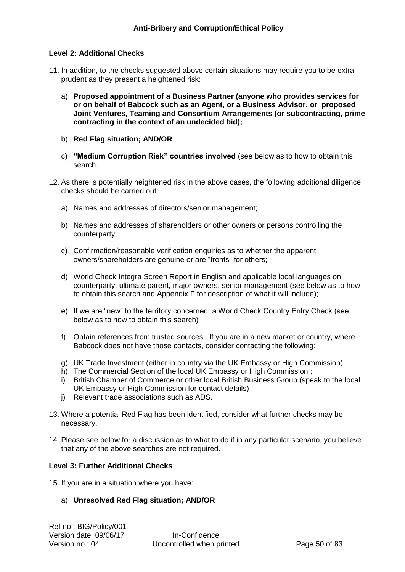### **Level 2: Additional Checks**

- 11. In addition, to the checks suggested above certain situations may require you to be extra prudent as they present a heightened risk:
	- a) **Proposed appointment of a Business Partner (anyone who provides services for or on behalf of Babcock such as an Agent, or a Business Advisor, or proposed Joint Ventures, Teaming and Consortium Arrangements (or subcontracting, prime contracting in the context of an undecided bid);**
	- b) **Red Flag situation; AND/OR**
	- c) **"Medium Corruption Risk" countries involved** (see below as to how to obtain this search.
- 12. As there is potentially heightened risk in the above cases, the following additional diligence checks should be carried out:
	- a) Names and addresses of directors/senior management;
	- b) Names and addresses of shareholders or other owners or persons controlling the counterparty;
	- c) Confirmation/reasonable verification enquiries as to whether the apparent owners/shareholders are genuine or are "fronts" for others;
	- d) World Check Integra Screen Report in English and applicable local languages on counterparty, ultimate parent, major owners, senior management (see below as to how to obtain this search and Appendix F for description of what it will include);
	- e) If we are "new" to the territory concerned: a World Check Country Entry Check (see below as to how to obtain this search)
	- f) Obtain references from trusted sources. If you are in a new market or country, where Babcock does not have those contacts, consider contacting the following:
	- g) UK Trade Investment (either in country via the UK Embassy or High Commission);
	- h) The Commercial Section of the local UK Embassy or High Commission ;
	- i) British Chamber of Commerce or other local British Business Group (speak to the local UK Embassy or High Commission for contact details)
	- j) Relevant trade associations such as ADS.
- 13. Where a potential Red Flag has been identified, consider what further checks may be necessary.
- 14. Please see below for a discussion as to what to do if in any particular scenario, you believe that any of the above searches are not required.

### **Level 3: Further Additional Checks**

15. If you are in a situation where you have:

### a) **Unresolved Red Flag situation; AND/OR**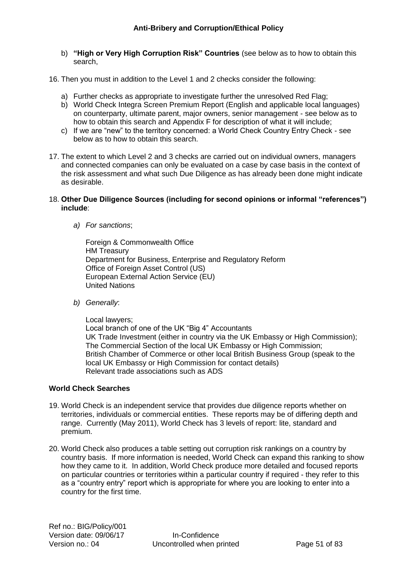- b) **"High or Very High Corruption Risk" Countries** (see below as to how to obtain this search,
- 16. Then you must in addition to the Level 1 and 2 checks consider the following:
	- a) Further checks as appropriate to investigate further the unresolved Red Flag;
	- b) World Check Integra Screen Premium Report (English and applicable local languages) on counterparty, ultimate parent, major owners, senior management - see below as to how to obtain this search and Appendix F for description of what it will include;
	- c) If we are "new" to the territory concerned: a World Check Country Entry Check see below as to how to obtain this search.
- 17. The extent to which Level 2 and 3 checks are carried out on individual owners, managers and connected companies can only be evaluated on a case by case basis in the context of the risk assessment and what such Due Diligence as has already been done might indicate as desirable.

#### 18. **Other Due Diligence Sources (including for second opinions or informal "references") include**:

#### *a) For sanctions*;

Foreign & Commonwealth Office HM Treasury Department for Business, Enterprise and Regulatory Reform Office of Foreign Asset Control (US) European External Action Service (EU) United Nations

*b) Generally*:

Local lawyers; Local branch of one of the UK "Big 4" Accountants UK Trade Investment (either in country via the UK Embassy or High Commission); The Commercial Section of the local UK Embassy or High Commission; British Chamber of Commerce or other local British Business Group (speak to the local UK Embassy or High Commission for contact details) Relevant trade associations such as ADS

#### **World Check Searches**

- 19. World Check is an independent service that provides due diligence reports whether on territories, individuals or commercial entities. These reports may be of differing depth and range. Currently (May 2011), World Check has 3 levels of report: lite, standard and premium.
- 20. World Check also produces a table setting out corruption risk rankings on a country by country basis. If more information is needed, World Check can expand this ranking to show how they came to it. In addition, World Check produce more detailed and focused reports on particular countries or territories within a particular country if required - they refer to this as a "country entry" report which is appropriate for where you are looking to enter into a country for the first time.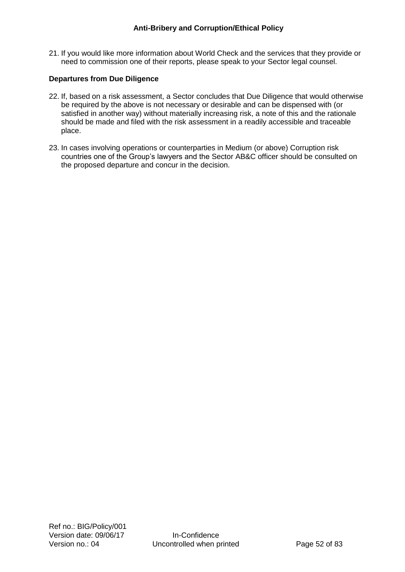21. If you would like more information about World Check and the services that they provide or need to commission one of their reports, please speak to your Sector legal counsel.

## **Departures from Due Diligence**

- 22. If, based on a risk assessment, a Sector concludes that Due Diligence that would otherwise be required by the above is not necessary or desirable and can be dispensed with (or satisfied in another way) without materially increasing risk, a note of this and the rationale should be made and filed with the risk assessment in a readily accessible and traceable place.
- 23. In cases involving operations or counterparties in Medium (or above) Corruption risk countries one of the Group's lawyers and the Sector AB&C officer should be consulted on the proposed departure and concur in the decision.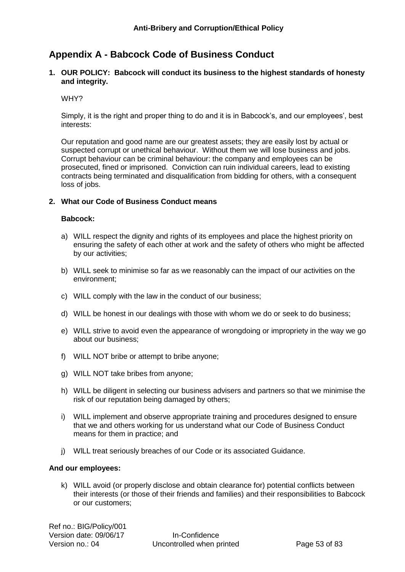# **Appendix A - Babcock Code of Business Conduct**

**1. OUR POLICY: Babcock will conduct its business to the highest standards of honesty and integrity.**

WHY?

Simply, it is the right and proper thing to do and it is in Babcock's, and our employees', best interests:

Our reputation and good name are our greatest assets; they are easily lost by actual or suspected corrupt or unethical behaviour. Without them we will lose business and jobs. Corrupt behaviour can be criminal behaviour: the company and employees can be prosecuted, fined or imprisoned. Conviction can ruin individual careers, lead to existing contracts being terminated and disqualification from bidding for others, with a consequent loss of jobs.

# **2. What our Code of Business Conduct means**

### **Babcock:**

- a) WILL respect the dignity and rights of its employees and place the highest priority on ensuring the safety of each other at work and the safety of others who might be affected by our activities;
- b) WILL seek to minimise so far as we reasonably can the impact of our activities on the environment;
- c) WILL comply with the law in the conduct of our business;
- d) WILL be honest in our dealings with those with whom we do or seek to do business;
- e) WILL strive to avoid even the appearance of wrongdoing or impropriety in the way we go about our business;
- f) WILL NOT bribe or attempt to bribe anyone;
- g) WILL NOT take bribes from anyone;
- h) WILL be diligent in selecting our business advisers and partners so that we minimise the risk of our reputation being damaged by others;
- i) WILL implement and observe appropriate training and procedures designed to ensure that we and others working for us understand what our Code of Business Conduct means for them in practice; and
- j) WlLL treat seriously breaches of our Code or its associated Guidance.

### **And our employees:**

k) WILL avoid (or properly disclose and obtain clearance for) potential conflicts between their interests (or those of their friends and families) and their responsibilities to Babcock or our customers;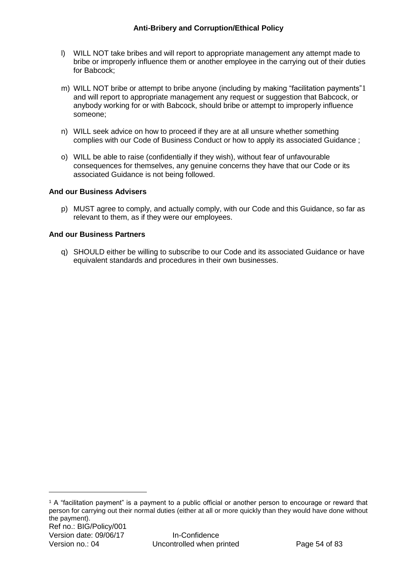- l) WILL NOT take bribes and will report to appropriate management any attempt made to bribe or improperly influence them or another employee in the carrying out of their duties for Babcock;
- m) WILL NOT bribe or attempt to bribe anyone (including by making "facilitation payments"1 and will report to appropriate management any request or suggestion that Babcock, or anybody working for or with Babcock, should bribe or attempt to improperly influence someone;
- n) WILL seek advice on how to proceed if they are at all unsure whether something complies with our Code of Business Conduct or how to apply its associated Guidance ;
- o) WILL be able to raise (confidentially if they wish), without fear of unfavourable consequences for themselves, any genuine concerns they have that our Code or its associated Guidance is not being followed.

### **And our Business Advisers**

p) MUST agree to comply, and actually comply, with our Code and this Guidance, so far as relevant to them, as if they were our employees.

## **And our Business Partners**

q) SHOULD either be willing to subscribe to our Code and its associated Guidance or have equivalent standards and procedures in their own businesses.

Ref no.: BIG/Policy/001 <sup>1</sup> A "facilitation payment" is a payment to a public official or another person to encourage or reward that person for carrying out their normal duties (either at all or more quickly than they would have done without the payment).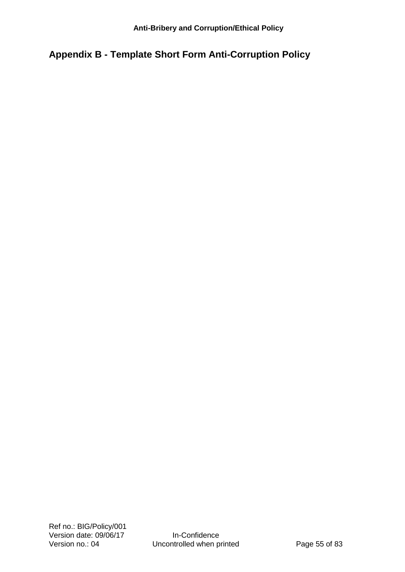# **Appendix B - Template Short Form Anti-Corruption Policy**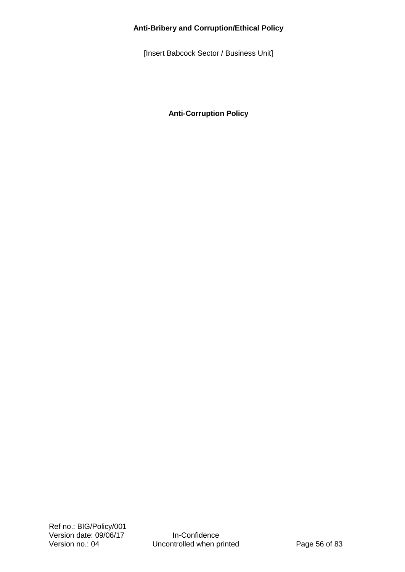# **Anti-Bribery and Corruption/Ethical Policy**

[Insert Babcock Sector / Business Unit]

**Anti-Corruption Policy**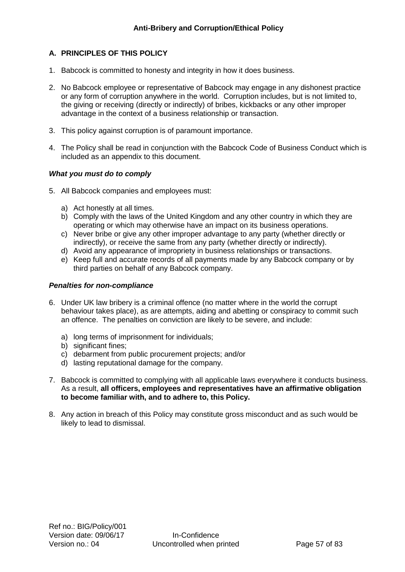## **A. PRINCIPLES OF THIS POLICY**

- 1. Babcock is committed to honesty and integrity in how it does business.
- 2. No Babcock employee or representative of Babcock may engage in any dishonest practice or any form of corruption anywhere in the world. Corruption includes, but is not limited to, the giving or receiving (directly or indirectly) of bribes, kickbacks or any other improper advantage in the context of a business relationship or transaction.
- 3. This policy against corruption is of paramount importance.
- 4. The Policy shall be read in conjunction with the Babcock Code of Business Conduct which is included as an appendix to this document.

### *What you must do to comply*

- 5. All Babcock companies and employees must:
	- a) Act honestly at all times.
	- b) Comply with the laws of the United Kingdom and any other country in which they are operating or which may otherwise have an impact on its business operations.
	- c) Never bribe or give any other improper advantage to any party (whether directly or indirectly), or receive the same from any party (whether directly or indirectly).
	- d) Avoid any appearance of impropriety in business relationships or transactions.
	- e) Keep full and accurate records of all payments made by any Babcock company or by third parties on behalf of any Babcock company.

#### *Penalties for non-compliance*

- 6. Under UK law bribery is a criminal offence (no matter where in the world the corrupt behaviour takes place), as are attempts, aiding and abetting or conspiracy to commit such an offence. The penalties on conviction are likely to be severe, and include:
	- a) long terms of imprisonment for individuals;
	- b) significant fines;
	- c) debarment from public procurement projects; and/or
	- d) lasting reputational damage for the company.
- 7. Babcock is committed to complying with all applicable laws everywhere it conducts business. As a result, **all officers, employees and representatives have an affirmative obligation to become familiar with, and to adhere to, this Policy.**
- 8. Any action in breach of this Policy may constitute gross misconduct and as such would be likely to lead to dismissal.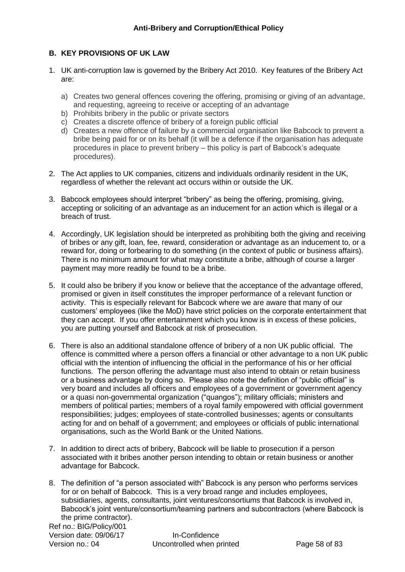## **B. KEY PROVISIONS OF UK LAW**

- 1. UK anti-corruption law is governed by the Bribery Act 2010. Key features of the Bribery Act are:
	- a) Creates two general offences covering the offering, promising or giving of an advantage, and requesting, agreeing to receive or accepting of an advantage
	- b) Prohibits bribery in the public or private sectors
	- c) Creates a discrete offence of bribery of a foreign public official
	- d) Creates a new offence of failure by a commercial organisation like Babcock to prevent a bribe being paid for or on its behalf (it will be a defence if the organisation has adequate procedures in place to prevent bribery – this policy is part of Babcock's adequate procedures).
- 2. The Act applies to UK companies, citizens and individuals ordinarily resident in the UK, regardless of whether the relevant act occurs within or outside the UK.
- 3. Babcock employees should interpret "bribery" as being the offering, promising, giving, accepting or soliciting of an advantage as an inducement for an action which is illegal or a breach of trust.
- 4. Accordingly, UK legislation should be interpreted as prohibiting both the giving and receiving of bribes or any gift, loan, fee, reward, consideration or advantage as an inducement to, or a reward for, doing or forbearing to do something (in the context of public or business affairs). There is no minimum amount for what may constitute a bribe, although of course a larger payment may more readily be found to be a bribe.
- 5. It could also be bribery if you know or believe that the acceptance of the advantage offered, promised or given in itself constitutes the improper performance of a relevant function or activity. This is especially relevant for Babcock where we are aware that many of our customers' employees (like the MoD) have strict policies on the corporate entertainment that they can accept. If you offer entertainment which you know is in excess of these policies, you are putting yourself and Babcock at risk of prosecution.
- 6. There is also an additional standalone offence of bribery of a non UK public official. The offence is committed where a person offers a financial or other advantage to a non UK public official with the intention of influencing the official in the performance of his or her official functions. The person offering the advantage must also intend to obtain or retain business or a business advantage by doing so. Please also note the definition of "public official" is very board and includes all officers and employees of a government or government agency or a quasi non-governmental organization ("quangos"); military officials; ministers and members of political parties; members of a royal family empowered with official government responsibilities; judges; employees of state-controlled businesses; agents or consultants acting for and on behalf of a government; and employees or officials of public international organisations, such as the World Bank or the United Nations.
- 7. In addition to direct acts of bribery, Babcock will be liable to prosecution if a person associated with it bribes another person intending to obtain or retain business or another advantage for Babcock.
- 8. The definition of "a person associated with" Babcock is any person who performs services for or on behalf of Babcock. This is a very broad range and includes employees, subsidiaries, agents, consultants, joint ventures/consortiums that Babcock is involved in, Babcock's joint venture/consortium/teaming partners and subcontractors (where Babcock is the prime contractor).

Ref no.: BIG/Policy/001 Version date: 09/06/17 In-Confidence

Version no.: 04 Uncontrolled when printed Page 58 of 83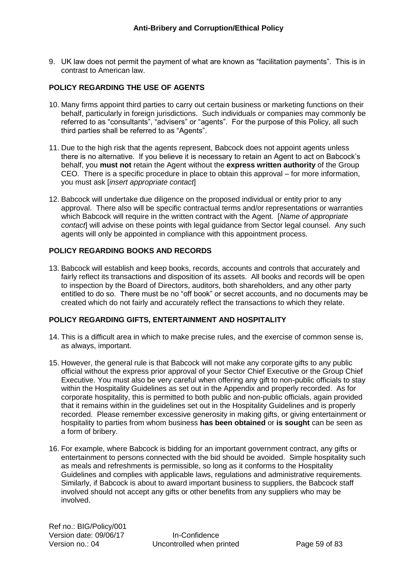9. UK law does not permit the payment of what are known as "facilitation payments". This is in contrast to American law.

# **POLICY REGARDING THE USE OF AGENTS**

- 10. Many firms appoint third parties to carry out certain business or marketing functions on their behalf, particularly in foreign jurisdictions. Such individuals or companies may commonly be referred to as "consultants", "advisers" or "agents". For the purpose of this Policy, all such third parties shall be referred to as "Agents".
- 11. Due to the high risk that the agents represent, Babcock does not appoint agents unless there is no alternative. If you believe it is necessary to retain an Agent to act on Babcock's behalf, you **must not** retain the Agent without the **express written authority** of the Group CEO. There is a specific procedure in place to obtain this approval – for more information, you must ask [*insert appropriate contact*]
- 12. Babcock will undertake due diligence on the proposed individual or entity prior to any approval. There also will be specific contractual terms and/or representations or warranties which Babcock will require in the written contract with the Agent. [*Name of appropriate contact*] will advise on these points with legal guidance from Sector legal counsel. Any such agents will only be appointed in compliance with this appointment process.

## **POLICY REGARDING BOOKS AND RECORDS**

13. Babcock will establish and keep books, records, accounts and controls that accurately and fairly reflect its transactions and disposition of its assets. All books and records will be open to inspection by the Board of Directors, auditors, both shareholders, and any other party entitled to do so. There must be no "off book" or secret accounts, and no documents may be created which do not fairly and accurately reflect the transactions to which they relate.

### **POLICY REGARDING GIFTS, ENTERTAINMENT AND HOSPITALITY**

- 14. This is a difficult area in which to make precise rules, and the exercise of common sense is, as always, important.
- 15. However, the general rule is that Babcock will not make any corporate gifts to any public official without the express prior approval of your Sector Chief Executive or the Group Chief Executive. You must also be very careful when offering any gift to non-public officials to stay within the Hospitality Guidelines as set out in the Appendix and properly recorded. As for corporate hospitality, this is permitted to both public and non-public officials, again provided that it remains within in the guidelines set out in the Hospitality Guidelines and is properly recorded. Please remember excessive generosity in making gifts, or giving entertainment or hospitality to parties from whom business **has been obtained** or **is sought** can be seen as a form of bribery.
- 16. For example, where Babcock is bidding for an important government contract, any gifts or entertainment to persons connected with the bid should be avoided. Simple hospitality such as meals and refreshments is permissible, so long as it conforms to the Hospitality Guidelines and complies with applicable laws, regulations and administrative requirements. Similarly, if Babcock is about to award important business to suppliers, the Babcock staff involved should not accept any gifts or other benefits from any suppliers who may be involved.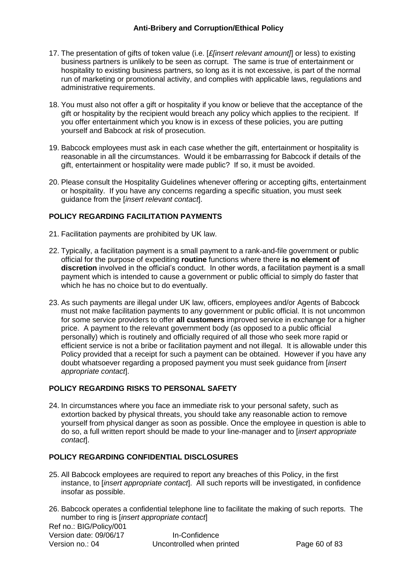- 17. The presentation of gifts of token value (i.e. [*£[insert relevant amount]*] or less) to existing business partners is unlikely to be seen as corrupt. The same is true of entertainment or hospitality to existing business partners, so long as it is not excessive, is part of the normal run of marketing or promotional activity, and complies with applicable laws, regulations and administrative requirements.
- 18. You must also not offer a gift or hospitality if you know or believe that the acceptance of the gift or hospitality by the recipient would breach any policy which applies to the recipient. If you offer entertainment which you know is in excess of these policies, you are putting yourself and Babcock at risk of prosecution.
- 19. Babcock employees must ask in each case whether the gift, entertainment or hospitality is reasonable in all the circumstances. Would it be embarrassing for Babcock if details of the gift, entertainment or hospitality were made public? If so, it must be avoided.
- 20. Please consult the Hospitality Guidelines whenever offering or accepting gifts, entertainment or hospitality. If you have any concerns regarding a specific situation, you must seek guidance from the [*insert relevant contact*].

## **POLICY REGARDING FACILITATION PAYMENTS**

- 21. Facilitation payments are prohibited by UK law.
- 22. Typically, a facilitation payment is a small payment to a rank-and-file government or public official for the purpose of expediting **routine** functions where there **is no element of discretion** involved in the official's conduct. In other words, a facilitation payment is a small payment which is intended to cause a government or public official to simply do faster that which he has no choice but to do eventually.
- 23. As such payments are illegal under UK law, officers, employees and/or Agents of Babcock must not make facilitation payments to any government or public official. It is not uncommon for some service providers to offer **all customers** improved service in exchange for a higher price. A payment to the relevant government body (as opposed to a public official personally) which is routinely and officially required of all those who seek more rapid or efficient service is not a bribe or facilitation payment and not illegal. It is allowable under this Policy provided that a receipt for such a payment can be obtained. However if you have any doubt whatsoever regarding a proposed payment you must seek guidance from [*insert appropriate contact*].

# **POLICY REGARDING RISKS TO PERSONAL SAFETY**

24. In circumstances where you face an immediate risk to your personal safety, such as extortion backed by physical threats, you should take any reasonable action to remove yourself from physical danger as soon as possible. Once the employee in question is able to do so, a full written report should be made to your line-manager and to [*insert appropriate contact*].

### **POLICY REGARDING CONFIDENTIAL DISCLOSURES**

- 25. All Babcock employees are required to report any breaches of this Policy, in the first instance, to [*insert appropriate contact*]. All such reports will be investigated, in confidence insofar as possible.
- 26. Babcock operates a confidential telephone line to facilitate the making of such reports. The number to ring is [*insert appropriate contact*]

Ref no.: BIG/Policy/001 Version date: 09/06/17 In-Confidence

Version no.: 04 Uncontrolled when printed Page 60 of 83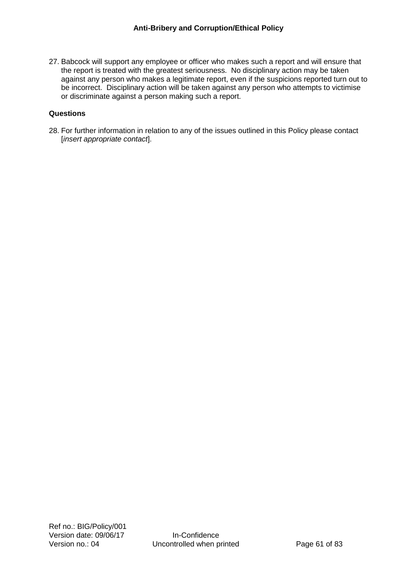27. Babcock will support any employee or officer who makes such a report and will ensure that the report is treated with the greatest seriousness. No disciplinary action may be taken against any person who makes a legitimate report, even if the suspicions reported turn out to be incorrect. Disciplinary action will be taken against any person who attempts to victimise or discriminate against a person making such a report.

# **Questions**

28. For further information in relation to any of the issues outlined in this Policy please contact [*insert appropriate contact*].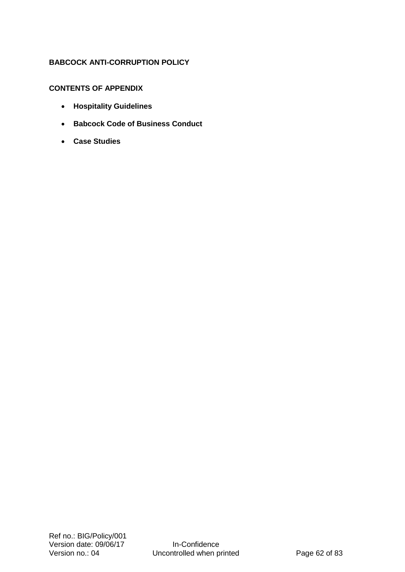# **BABCOCK ANTI-CORRUPTION POLICY**

# **CONTENTS OF APPENDIX**

- **Hospitality Guidelines**
- **Babcock Code of Business Conduct**
- **Case Studies**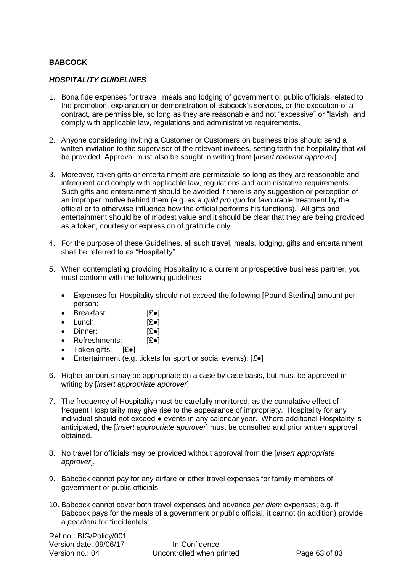# **BABCOCK**

### *HOSPITALITY GUIDELINES*

- 1. Bona fide expenses for travel, meals and lodging of government or public officials related to the promotion, explanation or demonstration of Babcock's services, or the execution of a contract, are permissible, so long as they are reasonable and not "excessive" or "lavish" and comply with applicable law, regulations and administrative requirements.
- 2. Anyone considering inviting a Customer or Customers on business trips should send a written invitation to the supervisor of the relevant invitees, setting forth the hospitality that will be provided. Approval must also be sought in writing from [*insert relevant approver*].
- 3. Moreover, token gifts or entertainment are permissible so long as they are reasonable and infrequent and comply with applicable law, regulations and administrative requirements. Such gifts and entertainment should be avoided if there is any suggestion or perception of an improper motive behind them (e.g. as a *quid pro quo* for favourable treatment by the official or to otherwise influence how the official performs his functions). All gifts and entertainment should be of modest value and it should be clear that they are being provided as a token, courtesy or expression of gratitude only.
- 4. For the purpose of these Guidelines, all such travel, meals, lodging, gifts and entertainment shall be referred to as "Hospitality".
- 5. When contemplating providing Hospitality to a current or prospective business partner, you must conform with the following guidelines
	- Expenses for Hospitality should not exceed the following [Pound Sterling] amount per person:
	- Breakfast: [£●]
	- Lunch: [£●]
	- Dinner: [£●]
	- Refreshments: [£●]
	- Token gifts: [£●]
	- Entertainment (e.g. tickets for sport or social events): [*£●*]
- 6. Higher amounts may be appropriate on a case by case basis, but must be approved in writing by [*insert appropriate approver*]
- 7. The frequency of Hospitality must be carefully monitored, as the cumulative effect of frequent Hospitality may give rise to the appearance of impropriety. Hospitality for any individual should not exceed ● events in any calendar year. Where additional Hospitality is anticipated, the [*insert appropriate approver*] must be consulted and prior written approval obtained.
- 8. No travel for officials may be provided without approval from the [*insert appropriate approver*].
- 9. Babcock cannot pay for any airfare or other travel expenses for family members of government or public officials.
- 10. Babcock cannot cover both travel expenses and advance *per diem* expenses; e.g. if Babcock pays for the meals of a government or public official, it cannot (in addition) provide a *per diem* for "incidentals".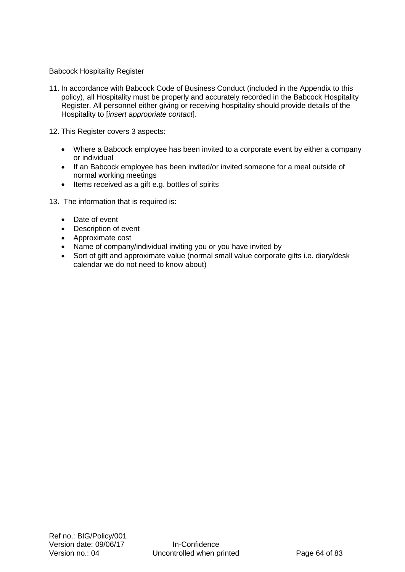Babcock Hospitality Register

- 11. In accordance with Babcock Code of Business Conduct (included in the Appendix to this policy), all Hospitality must be properly and accurately recorded in the Babcock Hospitality Register. All personnel either giving or receiving hospitality should provide details of the Hospitality to [*insert appropriate contact*].
- 12. This Register covers 3 aspects:
	- Where a Babcock employee has been invited to a corporate event by either a company or individual
	- If an Babcock employee has been invited/or invited someone for a meal outside of normal working meetings
	- $\bullet$  Items received as a gift e.g. bottles of spirits
- 13. The information that is required is:
	- Date of event
	- Description of event
	- Approximate cost
	- Name of company/individual inviting you or you have invited by
	- Sort of gift and approximate value (normal small value corporate gifts i.e. diary/desk calendar we do not need to know about)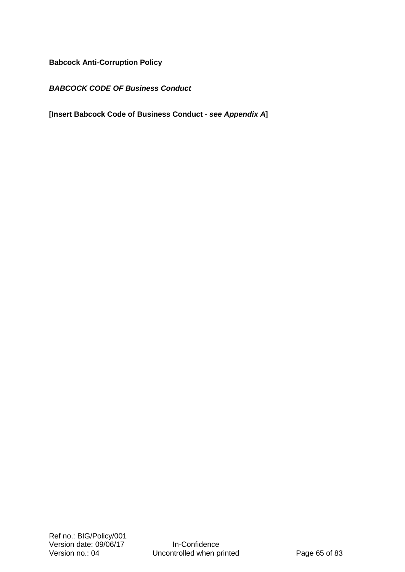# **Babcock Anti-Corruption Policy**

# *BABCOCK CODE OF Business Conduct*

**[Insert Babcock Code of Business Conduct** *- see Appendix A***]**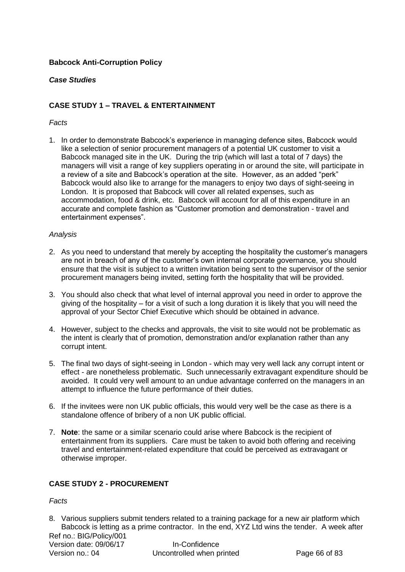## **Babcock Anti-Corruption Policy**

### *Case Studies*

# **CASE STUDY 1 – TRAVEL & ENTERTAINMENT**

#### *Facts*

1. In order to demonstrate Babcock's experience in managing defence sites, Babcock would like a selection of senior procurement managers of a potential UK customer to visit a Babcock managed site in the UK. During the trip (which will last a total of 7 days) the managers will visit a range of key suppliers operating in or around the site, will participate in a review of a site and Babcock's operation at the site. However, as an added "perk" Babcock would also like to arrange for the managers to enjoy two days of sight-seeing in London. It is proposed that Babcock will cover all related expenses, such as accommodation, food & drink, etc. Babcock will account for all of this expenditure in an accurate and complete fashion as "Customer promotion and demonstration - travel and entertainment expenses".

#### *Analysis*

- 2. As you need to understand that merely by accepting the hospitality the customer's managers are not in breach of any of the customer's own internal corporate governance, you should ensure that the visit is subject to a written invitation being sent to the supervisor of the senior procurement managers being invited, setting forth the hospitality that will be provided.
- 3. You should also check that what level of internal approval you need in order to approve the giving of the hospitality – for a visit of such a long duration it is likely that you will need the approval of your Sector Chief Executive which should be obtained in advance.
- 4. However, subject to the checks and approvals, the visit to site would not be problematic as the intent is clearly that of promotion, demonstration and/or explanation rather than any corrupt intent.
- 5. The final two days of sight-seeing in London which may very well lack any corrupt intent or effect - are nonetheless problematic. Such unnecessarily extravagant expenditure should be avoided. It could very well amount to an undue advantage conferred on the managers in an attempt to influence the future performance of their duties.
- 6. If the invitees were non UK public officials, this would very well be the case as there is a standalone offence of bribery of a non UK public official.
- 7. **Note**: the same or a similar scenario could arise where Babcock is the recipient of entertainment from its suppliers. Care must be taken to avoid both offering and receiving travel and entertainment-related expenditure that could be perceived as extravagant or otherwise improper.

### **CASE STUDY 2 - PROCUREMENT**

#### *Facts*

8. Various suppliers submit tenders related to a training package for a new air platform which Babcock is letting as a prime contractor. In the end, XYZ Ltd wins the tender. A week after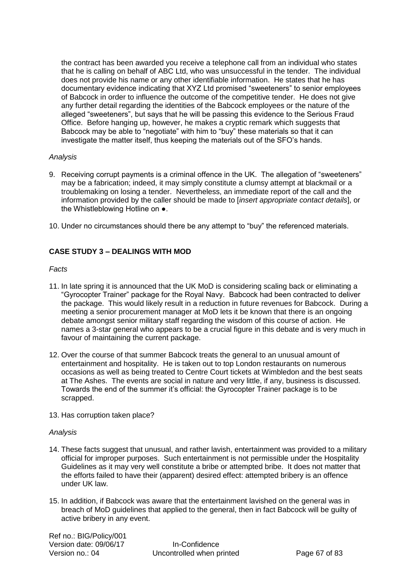the contract has been awarded you receive a telephone call from an individual who states that he is calling on behalf of ABC Ltd, who was unsuccessful in the tender. The individual does not provide his name or any other identifiable information. He states that he has documentary evidence indicating that XYZ Ltd promised "sweeteners" to senior employees of Babcock in order to influence the outcome of the competitive tender. He does not give any further detail regarding the identities of the Babcock employees or the nature of the alleged "sweeteners", but says that he will be passing this evidence to the Serious Fraud Office. Before hanging up, however, he makes a cryptic remark which suggests that Babcock may be able to "negotiate" with him to "buy" these materials so that it can investigate the matter itself, thus keeping the materials out of the SFO's hands.

### *Analysis*

- 9. Receiving corrupt payments is a criminal offence in the UK. The allegation of "sweeteners" may be a fabrication; indeed, it may simply constitute a clumsy attempt at blackmail or a troublemaking on losing a tender. Nevertheless, an immediate report of the call and the information provided by the caller should be made to [*insert appropriate contact details*], or the Whistleblowing Hotline on ●.
- 10. Under no circumstances should there be any attempt to "buy" the referenced materials.

# **CASE STUDY 3 – DEALINGS WITH MOD**

#### *Facts*

- 11. In late spring it is announced that the UK MoD is considering scaling back or eliminating a "Gyrocopter Trainer" package for the Royal Navy. Babcock had been contracted to deliver the package. This would likely result in a reduction in future revenues for Babcock. During a meeting a senior procurement manager at MoD lets it be known that there is an ongoing debate amongst senior military staff regarding the wisdom of this course of action. He names a 3-star general who appears to be a crucial figure in this debate and is very much in favour of maintaining the current package.
- 12. Over the course of that summer Babcock treats the general to an unusual amount of entertainment and hospitality. He is taken out to top London restaurants on numerous occasions as well as being treated to Centre Court tickets at Wimbledon and the best seats at The Ashes. The events are social in nature and very little, if any, business is discussed. Towards the end of the summer it's official: the Gyrocopter Trainer package is to be scrapped.
- 13. Has corruption taken place?

#### *Analysis*

- 14. These facts suggest that unusual, and rather lavish, entertainment was provided to a military official for improper purposes. Such entertainment is not permissible under the Hospitality Guidelines as it may very well constitute a bribe or attempted bribe. It does not matter that the efforts failed to have their (apparent) desired effect: attempted bribery is an offence under UK law.
- 15. In addition, if Babcock was aware that the entertainment lavished on the general was in breach of MoD guidelines that applied to the general, then in fact Babcock will be guilty of active bribery in any event.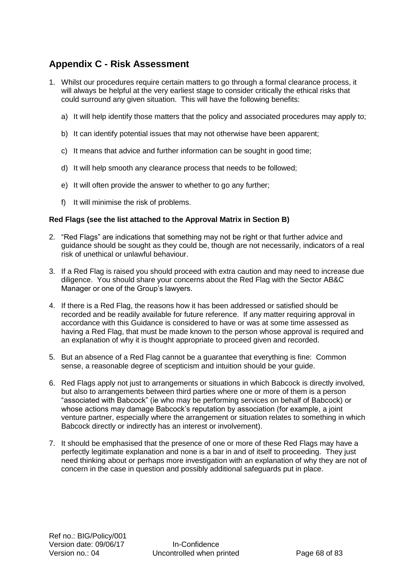# **Appendix C - Risk Assessment**

- 1. Whilst our procedures require certain matters to go through a formal clearance process, it will always be helpful at the very earliest stage to consider critically the ethical risks that could surround any given situation. This will have the following benefits:
	- a) It will help identify those matters that the policy and associated procedures may apply to;
	- b) It can identify potential issues that may not otherwise have been apparent;
	- c) It means that advice and further information can be sought in good time;
	- d) It will help smooth any clearance process that needs to be followed;
	- e) It will often provide the answer to whether to go any further;
	- f) It will minimise the risk of problems.

# **Red Flags (see the list attached to the Approval Matrix in Section B)**

- 2. "Red Flags" are indications that something may not be right or that further advice and guidance should be sought as they could be, though are not necessarily, indicators of a real risk of unethical or unlawful behaviour.
- 3. If a Red Flag is raised you should proceed with extra caution and may need to increase due diligence. You should share your concerns about the Red Flag with the Sector AB&C Manager or one of the Group's lawyers.
- 4. If there is a Red Flag, the reasons how it has been addressed or satisfied should be recorded and be readily available for future reference. If any matter requiring approval in accordance with this Guidance is considered to have or was at some time assessed as having a Red Flag, that must be made known to the person whose approval is required and an explanation of why it is thought appropriate to proceed given and recorded.
- 5. But an absence of a Red Flag cannot be a guarantee that everything is fine: Common sense, a reasonable degree of scepticism and intuition should be your guide.
- 6. Red Flags apply not just to arrangements or situations in which Babcock is directly involved, but also to arrangements between third parties where one or more of them is a person "associated with Babcock" (ie who may be performing services on behalf of Babcock) or whose actions may damage Babcock's reputation by association (for example, a joint venture partner, especially where the arrangement or situation relates to something in which Babcock directly or indirectly has an interest or involvement).
- 7. It should be emphasised that the presence of one or more of these Red Flags may have a perfectly legitimate explanation and none is a bar in and of itself to proceeding. They just need thinking about or perhaps more investigation with an explanation of why they are not of concern in the case in question and possibly additional safeguards put in place.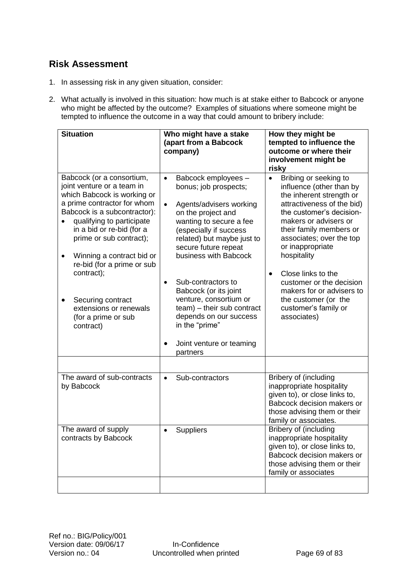# **Risk Assessment**

- 1. In assessing risk in any given situation, consider:
- 2. What actually is involved in this situation: how much is at stake either to Babcock or anyone who might be affected by the outcome? Examples of situations where someone might be tempted to influence the outcome in a way that could amount to bribery include:

| <b>Situation</b>                                                                                                                                                                                                                                                                                                                                                                                                    | Who might have a stake<br>(apart from a Babcock<br>company)                                                                                                                                                                                                                                                                                                                                                                                                           | How they might be<br>tempted to influence the<br>outcome or where their<br>involvement might be<br>risky                                                                                                                                                                                                                                                                                                                           |
|---------------------------------------------------------------------------------------------------------------------------------------------------------------------------------------------------------------------------------------------------------------------------------------------------------------------------------------------------------------------------------------------------------------------|-----------------------------------------------------------------------------------------------------------------------------------------------------------------------------------------------------------------------------------------------------------------------------------------------------------------------------------------------------------------------------------------------------------------------------------------------------------------------|------------------------------------------------------------------------------------------------------------------------------------------------------------------------------------------------------------------------------------------------------------------------------------------------------------------------------------------------------------------------------------------------------------------------------------|
| Babcock (or a consortium,<br>joint venture or a team in<br>which Babcock is working or<br>a prime contractor for whom<br>Babcock is a subcontractor):<br>qualifying to participate<br>in a bid or re-bid (for a<br>prime or sub contract);<br>Winning a contract bid or<br>$\bullet$<br>re-bid (for a prime or sub<br>contract);<br>Securing contract<br>extensions or renewals<br>(for a prime or sub<br>contract) | Babcock employees -<br>$\bullet$<br>bonus; job prospects;<br>$\bullet$<br>Agents/advisers working<br>on the project and<br>wanting to secure a fee<br>(especially if success<br>related) but maybe just to<br>secure future repeat<br>business with Babcock<br>Sub-contractors to<br>$\bullet$<br>Babcock (or its joint<br>venture, consortium or<br>$team) - their sub contract$<br>depends on our success<br>in the "prime"<br>Joint venture or teaming<br>partners | Bribing or seeking to<br>$\bullet$<br>influence (other than by<br>the inherent strength or<br>attractiveness of the bid)<br>the customer's decision-<br>makers or advisers or<br>their family members or<br>associates; over the top<br>or inappropriate<br>hospitality<br>Close links to the<br>$\bullet$<br>customer or the decision<br>makers for or advisers to<br>the customer (or the<br>customer's family or<br>associates) |
|                                                                                                                                                                                                                                                                                                                                                                                                                     |                                                                                                                                                                                                                                                                                                                                                                                                                                                                       |                                                                                                                                                                                                                                                                                                                                                                                                                                    |
| The award of sub-contracts<br>by Babcock                                                                                                                                                                                                                                                                                                                                                                            | Sub-contractors<br>$\bullet$                                                                                                                                                                                                                                                                                                                                                                                                                                          | <b>Bribery of (including</b><br>inappropriate hospitality<br>given to), or close links to,<br>Babcock decision makers or<br>those advising them or their<br>family or associates.                                                                                                                                                                                                                                                  |
| The award of supply<br>contracts by Babcock                                                                                                                                                                                                                                                                                                                                                                         | Suppliers                                                                                                                                                                                                                                                                                                                                                                                                                                                             | <b>Bribery of (including</b><br>inappropriate hospitality<br>given to), or close links to,<br>Babcock decision makers or<br>those advising them or their<br>family or associates                                                                                                                                                                                                                                                   |
|                                                                                                                                                                                                                                                                                                                                                                                                                     |                                                                                                                                                                                                                                                                                                                                                                                                                                                                       |                                                                                                                                                                                                                                                                                                                                                                                                                                    |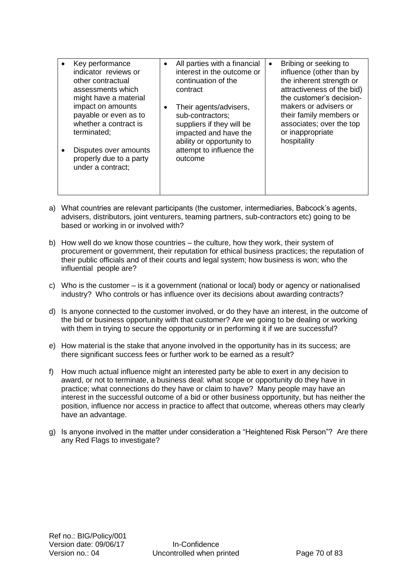| Key performance<br>indicator reviews or<br>other contractual<br>assessments which<br>might have a material<br>impact on amounts<br>payable or even as to<br>whether a contract is<br>terminated;<br>Disputes over amounts<br>properly due to a party<br>under a contract; | All parties with a financial<br>$\bullet$<br>interest in the outcome or<br>continuation of the<br>contract<br>Their agents/advisers,<br>$\bullet$<br>sub-contractors;<br>suppliers if they will be<br>impacted and have the<br>ability or opportunity to<br>attempt to influence the<br>outcome | Bribing or seeking to<br>influence (other than by<br>the inherent strength or<br>attractiveness of the bid)<br>the customer's decision-<br>makers or advisers or<br>their family members or<br>associates; over the top<br>or inappropriate<br>hospitality |
|---------------------------------------------------------------------------------------------------------------------------------------------------------------------------------------------------------------------------------------------------------------------------|-------------------------------------------------------------------------------------------------------------------------------------------------------------------------------------------------------------------------------------------------------------------------------------------------|------------------------------------------------------------------------------------------------------------------------------------------------------------------------------------------------------------------------------------------------------------|
|---------------------------------------------------------------------------------------------------------------------------------------------------------------------------------------------------------------------------------------------------------------------------|-------------------------------------------------------------------------------------------------------------------------------------------------------------------------------------------------------------------------------------------------------------------------------------------------|------------------------------------------------------------------------------------------------------------------------------------------------------------------------------------------------------------------------------------------------------------|

- a) What countries are relevant participants (the customer, intermediaries, Babcock's agents, advisers, distributors, joint venturers, teaming partners, sub-contractors etc) going to be based or working in or involved with?
- b) How well do we know those countries the culture, how they work, their system of procurement or government, their reputation for ethical business practices; the reputation of their public officials and of their courts and legal system; how business is won; who the influential people are?
- c) Who is the customer is it a government (national or local) body or agency or nationalised industry? Who controls or has influence over its decisions about awarding contracts?
- d) Is anyone connected to the customer involved, or do they have an interest, in the outcome of the bid or business opportunity with that customer? Are we going to be dealing or working with them in trying to secure the opportunity or in performing it if we are successful?
- e) How material is the stake that anyone involved in the opportunity has in its success; are there significant success fees or further work to be earned as a result?
- f) How much actual influence might an interested party be able to exert in any decision to award, or not to terminate, a business deal: what scope or opportunity do they have in practice; what connections do they have or claim to have? Many people may have an interest in the successful outcome of a bid or other business opportunity, but has neither the position, influence nor access in practice to affect that outcome, whereas others may clearly have an advantage.
- g) Is anyone involved in the matter under consideration a "Heightened Risk Person"? Are there any Red Flags to investigate?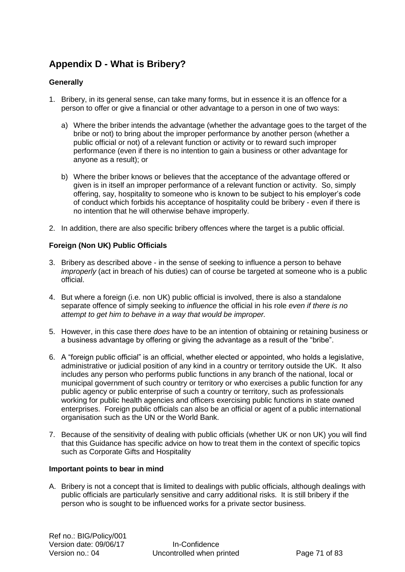# **Appendix D - What is Bribery?**

# **Generally**

- 1. Bribery, in its general sense, can take many forms, but in essence it is an offence for a person to offer or give a financial or other advantage to a person in one of two ways:
	- a) Where the briber intends the advantage (whether the advantage goes to the target of the bribe or not) to bring about the improper performance by another person (whether a public official or not) of a relevant function or activity or to reward such improper performance (even if there is no intention to gain a business or other advantage for anyone as a result); or
	- b) Where the briber knows or believes that the acceptance of the advantage offered or given is in itself an improper performance of a relevant function or activity. So, simply offering, say, hospitality to someone who is known to be subject to his employer's code of conduct which forbids his acceptance of hospitality could be bribery - even if there is no intention that he will otherwise behave improperly.
- 2. In addition, there are also specific bribery offences where the target is a public official.

# **Foreign (Non UK) Public Officials**

- 3. Bribery as described above in the sense of seeking to influence a person to behave *improperly* (act in breach of his duties) can of course be targeted at someone who is a public official.
- 4. But where a foreign (i.e. non UK) public official is involved, there is also a standalone separate offence of simply seeking to *influence* the official in his role *even if there is no attempt to get him to behave in a way that would be improper.*
- 5. However, in this case there *does* have to be an intention of obtaining or retaining business or a business advantage by offering or giving the advantage as a result of the "bribe".
- 6. A "foreign public official" is an official, whether elected or appointed, who holds a legislative, administrative or judicial position of any kind in a country or territory outside the UK. It also includes any person who performs public functions in any branch of the national, local or municipal government of such country or territory or who exercises a public function for any public agency or public enterprise of such a country or territory, such as professionals working for public health agencies and officers exercising public functions in state owned enterprises. Foreign public officials can also be an official or agent of a public international organisation such as the UN or the World Bank.
- 7. Because of the sensitivity of dealing with public officials (whether UK or non UK) you will find that this Guidance has specific advice on how to treat them in the context of specific topics such as Corporate Gifts and Hospitality

# **Important points to bear in mind**

A. Bribery is not a concept that is limited to dealings with public officials, although dealings with public officials are particularly sensitive and carry additional risks. It is still bribery if the person who is sought to be influenced works for a private sector business.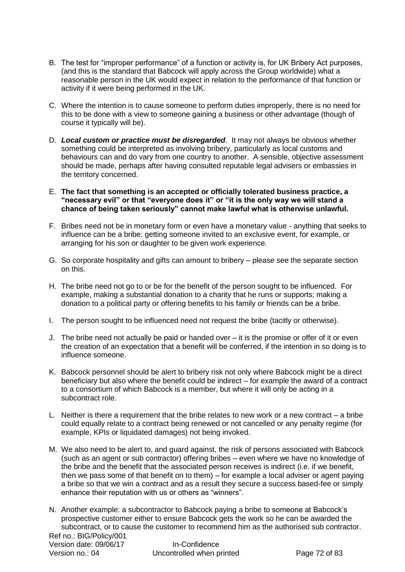- B. The test for "improper performance" of a function or activity is, for UK Bribery Act purposes, (and this is the standard that Babcock will apply across the Group worldwide) what a reasonable person in the UK would expect in relation to the performance of that function or activity if it were being performed in the UK.
- C. Where the intention is to cause someone to perform duties improperly, there is no need for this to be done with a view to someone gaining a business or other advantage (though of course it typically will be).
- D. *Local custom or practice must be disregarded*. It may not always be obvious whether something could be interpreted as involving bribery, particularly as local customs and behaviours can and do vary from one country to another. A sensible, objective assessment should be made, perhaps after having consulted reputable legal advisers or embassies in the territory concerned.
- E. **The fact that something is an accepted or officially tolerated business practice, a "necessary evil" or that "everyone does it" or "it is the only way we will stand a chance of being taken seriously" cannot make lawful what is otherwise unlawful.**
- F. Bribes need not be in monetary form or even have a monetary value anything that seeks to influence can be a bribe: getting someone invited to an exclusive event, for example, or arranging for his son or daughter to be given work experience.
- G. So corporate hospitality and gifts can amount to bribery please see the separate section on this.
- H. The bribe need not go to or be for the benefit of the person sought to be influenced. For example, making a substantial donation to a charity that he runs or supports; making a donation to a political party or offering benefits to his family or friends can be a bribe.
- I. The person sought to be influenced need not request the bribe (tacitly or otherwise).
- J. The bribe need not actually be paid or handed over it is the promise or offer of it or even the creation of an expectation that a benefit will be conferred, if the intention in so doing is to influence someone.
- K. Babcock personnel should be alert to bribery risk not only where Babcock might be a direct beneficiary but also where the benefit could be indirect – for example the award of a contract to a consortium of which Babcock is a member, but where it will only be acting in a subcontract role.
- L. Neither is there a requirement that the bribe relates to new work or a new contract a bribe could equally relate to a contract being renewed or not cancelled or any penalty regime (for example, KPIs or liquidated damages) not being invoked.
- M. We also need to be alert to, and guard against, the risk of persons associated with Babcock (such as an agent or sub contractor) offering bribes – even where we have no knowledge of the bribe and the benefit that the associated person receives is indirect (i.e. if we benefit, then we pass some of that benefit on to them) – for example a local adviser or agent paying a bribe so that we win a contract and as a result they secure a success based-fee or simply enhance their reputation with us or others as "winners".
- N. Another example: a subcontractor to Babcock paying a bribe to someone at Babcock's prospective customer either to ensure Babcock gets the work so he can be awarded the subcontract, or to cause the customer to recommend him as the authorised sub contractor.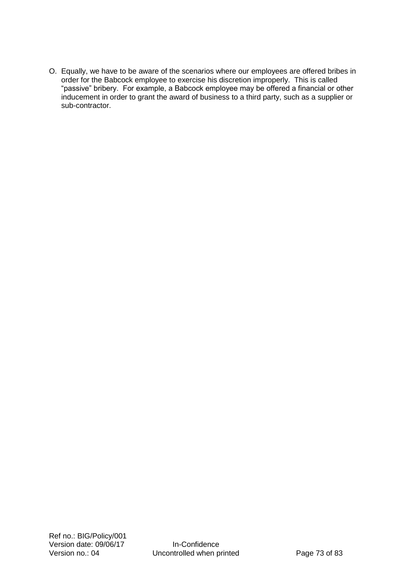O. Equally, we have to be aware of the scenarios where our employees are offered bribes in order for the Babcock employee to exercise his discretion improperly. This is called "passive" bribery. For example, a Babcock employee may be offered a financial or other inducement in order to grant the award of business to a third party, such as a supplier or sub-contractor.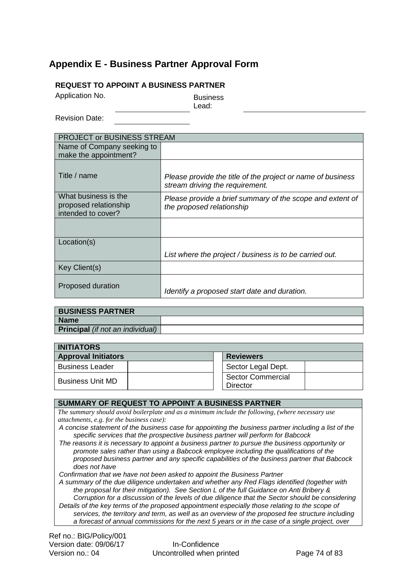## **Appendix E - Business Partner Approval Form**

### **REQUEST TO APPOINT A BUSINESS PARTNER**

Application No. 6. Business

Lead:

Revision Date:

| PROJECT or BUSINESS STREAM                                          |                                                                                                |  |  |
|---------------------------------------------------------------------|------------------------------------------------------------------------------------------------|--|--|
| Name of Company seeking to<br>make the appointment?                 |                                                                                                |  |  |
| Title / name                                                        | Please provide the title of the project or name of business<br>stream driving the requirement. |  |  |
| What business is the<br>proposed relationship<br>intended to cover? | Please provide a brief summary of the scope and extent of<br>the proposed relationship         |  |  |
|                                                                     |                                                                                                |  |  |
| Location(s)                                                         |                                                                                                |  |  |
|                                                                     | List where the project / business is to be carried out.                                        |  |  |
| Key Client(s)                                                       |                                                                                                |  |  |
| Proposed duration                                                   | Identify a proposed start date and duration.                                                   |  |  |

| <b>BUSINESS PARTNER</b>          |  |
|----------------------------------|--|
| <b>Name</b>                      |  |
| Principal (if not an individual) |  |

| <b>INITIATORS</b>          |                               |  |  |
|----------------------------|-------------------------------|--|--|
| <b>Approval Initiators</b> | <b>Reviewers</b>              |  |  |
| <b>Business Leader</b>     | Sector Legal Dept.            |  |  |
| <b>Business Unit MD</b>    | Sector Commercial<br>Director |  |  |

#### **SUMMARY OF REQUEST TO APPOINT A BUSINESS PARTNER**

*The summary should avoid boilerplate and as a minimum include the following, (where necessary use attachments, e.g. for the business case):*

*A concise statement of the business case for appointing the business partner including a list of the specific services that the prospective business partner will perform for Babcock*

*The reasons it is necessary to appoint a business partner to pursue the business opportunity or promote sales rather than using a Babcock employee including the qualifications of the proposed business partner and any specific capabilities of the business partner that Babcock does not have*

*Confirmation that we have not been asked to appoint the Business Partner*

*A summary of the due diligence undertaken and whether any Red Flags identified (together with the proposal for their mitigation). See Section L of the full Guidance on Anti Bribery & Corruption for a discussion of the levels of due diligence that the Sector should be considering Details of the key terms of the proposed appointment especially those relating to the scope of services, the territory and term, as well as an overview of the proposed fee structure including a forecast of annual commissions for the next 5 years or in the case of a single project, over*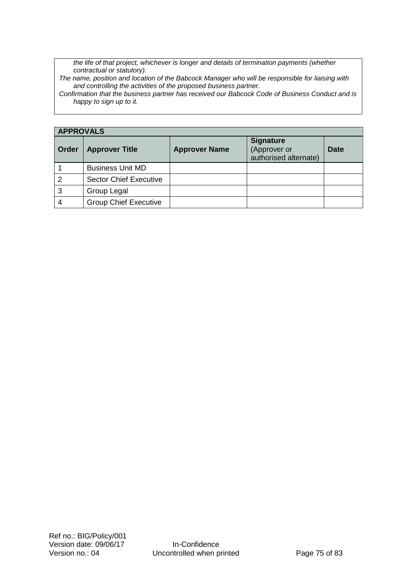*the life of that project, whichever is longer and details of termination payments (whether contractual or statutory).*

*The name, position and location of the Babcock Manager who will be responsible for liaising with and controlling the activities of the proposed business partner.*

*Confirmation that the business partner has received our Babcock Code of Business Conduct and is happy to sign up to it.*

| <b>APPROVALS</b> |                               |                      |                                                           |             |
|------------------|-------------------------------|----------------------|-----------------------------------------------------------|-------------|
| Order            | <b>Approver Title</b>         | <b>Approver Name</b> | <b>Signature</b><br>(Approver or<br>authorised alternate) | <b>Date</b> |
|                  | <b>Business Unit MD</b>       |                      |                                                           |             |
| 2                | <b>Sector Chief Executive</b> |                      |                                                           |             |
| 3                | Group Legal                   |                      |                                                           |             |
| 4                | <b>Group Chief Executive</b>  |                      |                                                           |             |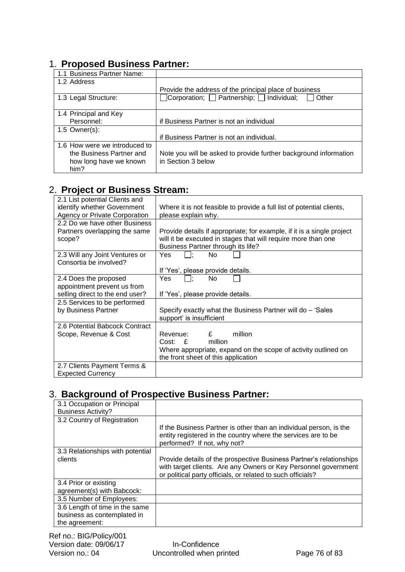## 1. **Proposed Business Partner:**

| 1.1 Business Partner Name:    |                                                                        |
|-------------------------------|------------------------------------------------------------------------|
| 1.2 Address                   |                                                                        |
|                               | Provide the address of the principal place of business                 |
| 1.3 Legal Structure:          | $\exists$ Corporation; $\Box$ Partnership; $\Box$ Individual;<br>Other |
|                               |                                                                        |
| 1.4 Principal and Key         |                                                                        |
| Personnel:                    | if Business Partner is not an individual                               |
| $1.5$ Owner(s):               |                                                                        |
|                               | if Business Partner is not an individual.                              |
| 1.6 How were we introduced to |                                                                        |
| the Business Partner and      | Note you will be asked to provide further background information       |
| how long have we known        | in Section 3 below                                                     |
| him?                          |                                                                        |

## 2. **Project or Business Stream:**

| 2.1 List potential Clients and  |                                                                        |  |  |  |
|---------------------------------|------------------------------------------------------------------------|--|--|--|
| identify whether Government     | Where it is not feasible to provide a full list of potential clients,  |  |  |  |
| Agency or Private Corporation   | please explain why.                                                    |  |  |  |
| 2.2 Do we have other Business   |                                                                        |  |  |  |
| Partners overlapping the same   | Provide details if appropriate; for example, if it is a single project |  |  |  |
| scope?                          | will it be executed in stages that will require more than one          |  |  |  |
|                                 | Business Partner through its life?                                     |  |  |  |
| 2.3 Will any Joint Ventures or  | <b>Yes</b><br>No                                                       |  |  |  |
| Consortia be involved?          |                                                                        |  |  |  |
|                                 | If 'Yes', please provide details.                                      |  |  |  |
| 2.4 Does the proposed           | No<br>Yes                                                              |  |  |  |
| appointment prevent us from     |                                                                        |  |  |  |
| selling direct to the end user? | If 'Yes', please provide details.                                      |  |  |  |
| 2.5 Services to be performed    |                                                                        |  |  |  |
| by Business Partner             | Specify exactly what the Business Partner will do – 'Sales'            |  |  |  |
|                                 | support' is insufficient                                               |  |  |  |
| 2.6 Potential Babcock Contract  |                                                                        |  |  |  |
| Scope, Revenue & Cost           | million<br>Revenue:<br>£                                               |  |  |  |
|                                 | million<br>$\mathbf{f}$<br>Cost:                                       |  |  |  |
|                                 | Where appropriate, expand on the scope of activity outlined on         |  |  |  |
|                                 | the front sheet of this application                                    |  |  |  |
| 2.7 Clients Payment Terms &     |                                                                        |  |  |  |
| <b>Expected Currency</b>        |                                                                        |  |  |  |

# 3. **Background of Prospective Business Partner:**

| 3.1 Occupation or Principal      |                                                                                                                                                                                                       |
|----------------------------------|-------------------------------------------------------------------------------------------------------------------------------------------------------------------------------------------------------|
| <b>Business Activity?</b>        |                                                                                                                                                                                                       |
| 3.2 Country of Registration      |                                                                                                                                                                                                       |
|                                  | If the Business Partner is other than an individual person, is the<br>entity registered in the country where the services are to be<br>performed? If not, why not?                                    |
| 3.3 Relationships with potential |                                                                                                                                                                                                       |
| clients                          | Provide details of the prospective Business Partner's relationships<br>with target clients. Are any Owners or Key Personnel government<br>or political party officials, or related to such officials? |
| 3.4 Prior or existing            |                                                                                                                                                                                                       |
| agreement(s) with Babcock:       |                                                                                                                                                                                                       |
| 3.5 Number of Employees:         |                                                                                                                                                                                                       |
| 3.6 Length of time in the same   |                                                                                                                                                                                                       |
| business as contemplated in      |                                                                                                                                                                                                       |
| the agreement:                   |                                                                                                                                                                                                       |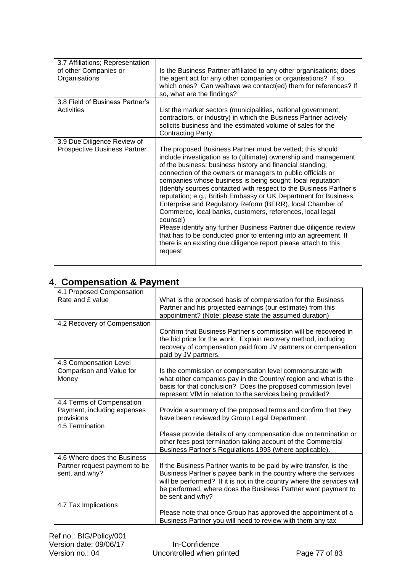| 3.7 Affiliations; Representation<br>of other Companies or<br>Organisations | Is the Business Partner affiliated to any other organisations; does<br>the agent act for any other companies or organisations? If so,<br>which ones? Can we/have we contact(ed) them for references? If<br>so, what are the findings?                                                                                                                                                                                                                                                                                                                                                                                                                                                                                                                                                                                         |
|----------------------------------------------------------------------------|-------------------------------------------------------------------------------------------------------------------------------------------------------------------------------------------------------------------------------------------------------------------------------------------------------------------------------------------------------------------------------------------------------------------------------------------------------------------------------------------------------------------------------------------------------------------------------------------------------------------------------------------------------------------------------------------------------------------------------------------------------------------------------------------------------------------------------|
| 3.8 Field of Business Partner's                                            |                                                                                                                                                                                                                                                                                                                                                                                                                                                                                                                                                                                                                                                                                                                                                                                                                               |
| Activities                                                                 | List the market sectors (municipalities, national government,<br>contractors, or industry) in which the Business Partner actively<br>solicits business and the estimated volume of sales for the<br>Contracting Party.                                                                                                                                                                                                                                                                                                                                                                                                                                                                                                                                                                                                        |
| 3.9 Due Diligence Review of                                                |                                                                                                                                                                                                                                                                                                                                                                                                                                                                                                                                                                                                                                                                                                                                                                                                                               |
| <b>Prospective Business Partner</b>                                        | The proposed Business Partner must be vetted; this should<br>include investigation as to (ultimate) ownership and management<br>of the business; business history and financial standing;<br>connection of the owners or managers to public officials or<br>companies whose business is being sought; local reputation<br>(Identify sources contacted with respect to the Business Partner's<br>reputation; e.g., British Embassy or UK Department for Business,<br>Enterprise and Regulatory Reform (BERR), local Chamber of<br>Commerce, local banks, customers, references, local legal<br>counsel)<br>Please identify any further Business Partner due diligence review<br>that has to be conducted prior to entering into an agreement. If<br>there is an existing due diligence report please attach to this<br>request |

## 4. **Compensation & Payment**

| 4.1 Proposed Compensation<br>Rate and £ value   | What is the proposed basis of compensation for the Business<br>Partner and his projected earnings (our estimate) from this<br>appointment? (Note: please state the assumed duration)                                                                                                                |
|-------------------------------------------------|-----------------------------------------------------------------------------------------------------------------------------------------------------------------------------------------------------------------------------------------------------------------------------------------------------|
| 4.2 Recovery of Compensation                    |                                                                                                                                                                                                                                                                                                     |
|                                                 | Confirm that Business Partner's commission will be recovered in<br>the bid price for the work. Explain recovery method, including<br>recovery of compensation paid from JV partners or compensation<br>paid by JV partners.                                                                         |
| 4.3 Compensation Level                          |                                                                                                                                                                                                                                                                                                     |
| Comparison and Value for<br>Money               | Is the commission or compensation level commensurate with<br>what other companies pay in the Country/ region and what is the<br>basis for that conclusion? Does the proposed commission level<br>represent VfM in relation to the services being provided?                                          |
| 4.4 Terms of Compensation                       |                                                                                                                                                                                                                                                                                                     |
| Payment, including expenses<br>provisions       | Provide a summary of the proposed terms and confirm that they<br>have been reviewed by Group Legal Department.                                                                                                                                                                                      |
| 4.5 Termination                                 |                                                                                                                                                                                                                                                                                                     |
|                                                 | Please provide details of any compensation due on termination or<br>other fees post termination taking account of the Commercial<br>Business Partner's Regulations 1993 (where applicable).                                                                                                         |
| 4.6 Where does the Business                     |                                                                                                                                                                                                                                                                                                     |
| Partner request payment to be<br>sent, and why? | If the Business Partner wants to be paid by wire transfer, is the<br>Business Partner's payee bank in the country where the services<br>will be performed? If it is not in the country where the services will<br>be performed, where does the Business Partner want payment to<br>be sent and why? |
| 4.7 Tax Implications                            |                                                                                                                                                                                                                                                                                                     |
|                                                 | Please note that once Group has approved the appointment of a<br>Business Partner you will need to review with them any tax                                                                                                                                                                         |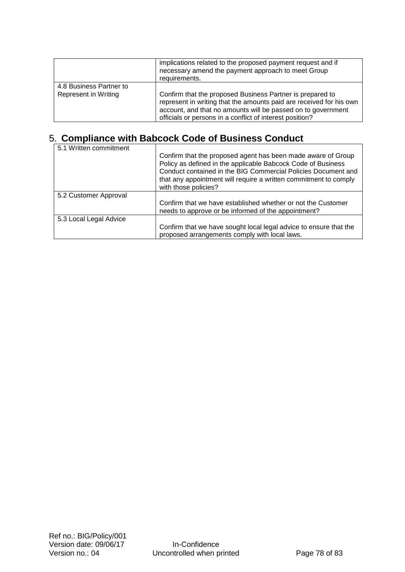|                                                 | implications related to the proposed payment request and if<br>necessary amend the payment approach to meet Group<br>requirements.                                                                                                                           |
|-------------------------------------------------|--------------------------------------------------------------------------------------------------------------------------------------------------------------------------------------------------------------------------------------------------------------|
| 4.8 Business Partner to<br>Represent in Writing | Confirm that the proposed Business Partner is prepared to<br>represent in writing that the amounts paid are received for his own<br>account, and that no amounts will be passed on to government<br>officials or persons in a conflict of interest position? |

## 5. **Compliance with Babcock Code of Business Conduct**

| 5.1 Written commitment |                                                                   |
|------------------------|-------------------------------------------------------------------|
|                        | Confirm that the proposed agent has been made aware of Group      |
|                        | Policy as defined in the applicable Babcock Code of Business      |
|                        | Conduct contained in the BIG Commercial Policies Document and     |
|                        | that any appointment will require a written commitment to comply  |
|                        | with those policies?                                              |
| 5.2 Customer Approval  |                                                                   |
|                        | Confirm that we have established whether or not the Customer      |
|                        | needs to approve or be informed of the appointment?               |
| 5.3 Local Legal Advice |                                                                   |
|                        | Confirm that we have sought local legal advice to ensure that the |
|                        | proposed arrangements comply with local laws.                     |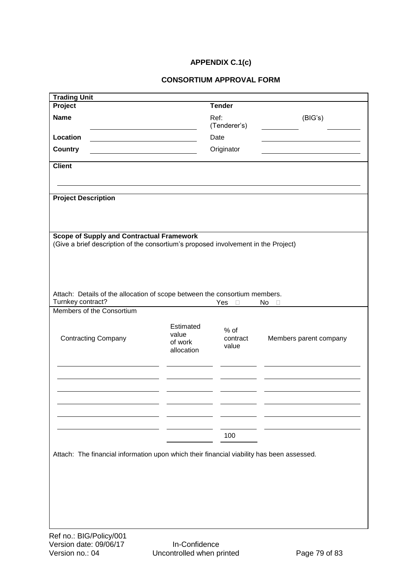### **APPENDIX C.1(c)**

### **CONSORTIUM APPROVAL FORM**

| <b>Trading Unit</b>                                                                       |                                             |                           |                        |
|-------------------------------------------------------------------------------------------|---------------------------------------------|---------------------------|------------------------|
| Project                                                                                   |                                             | <b>Tender</b>             |                        |
| <b>Name</b>                                                                               |                                             | Ref:<br>(Tenderer's)      | (BIG's)                |
| Location                                                                                  |                                             | Date                      |                        |
| <b>Country</b>                                                                            |                                             | Originator                |                        |
| <b>Client</b>                                                                             |                                             |                           |                        |
|                                                                                           |                                             |                           |                        |
| <b>Project Description</b>                                                                |                                             |                           |                        |
|                                                                                           |                                             |                           |                        |
| Scope of Supply and Contractual Framework                                                 |                                             |                           |                        |
| (Give a brief description of the consortium's proposed involvement in the Project)        |                                             |                           |                        |
|                                                                                           |                                             |                           |                        |
|                                                                                           |                                             |                           |                        |
|                                                                                           |                                             |                           |                        |
| Attach: Details of the allocation of scope between the consortium members.                |                                             |                           |                        |
| Turnkey contract?                                                                         |                                             | Yes<br>$\Box$             | No<br>$\Box$           |
| Members of the Consortium                                                                 |                                             |                           |                        |
| <b>Contracting Company</b>                                                                | Estimated<br>value<br>of work<br>allocation | % of<br>contract<br>value | Members parent company |
|                                                                                           |                                             |                           |                        |
|                                                                                           |                                             |                           |                        |
|                                                                                           |                                             |                           |                        |
|                                                                                           |                                             | 100                       |                        |
|                                                                                           |                                             |                           |                        |
| Attach: The financial information upon which their financial viability has been assessed. |                                             |                           |                        |
|                                                                                           |                                             |                           |                        |
|                                                                                           |                                             |                           |                        |
|                                                                                           |                                             |                           |                        |
|                                                                                           |                                             |                           |                        |
|                                                                                           |                                             |                           |                        |
|                                                                                           |                                             |                           |                        |
| Ref no.: BIG/Policy/001                                                                   |                                             |                           |                        |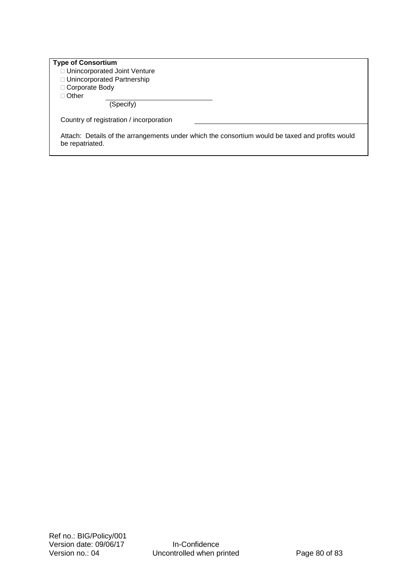| <b>Type of Consortium</b>               |                                                                                                 |
|-----------------------------------------|-------------------------------------------------------------------------------------------------|
| □ Unincorporated Joint Venture          |                                                                                                 |
| □ Unincorporated Partnership            |                                                                                                 |
| $\Box$ Corporate Body                   |                                                                                                 |
| □ Other                                 |                                                                                                 |
| (Specify)                               |                                                                                                 |
| Country of registration / incorporation |                                                                                                 |
| be repatriated.                         | Attach: Details of the arrangements under which the consortium would be taxed and profits would |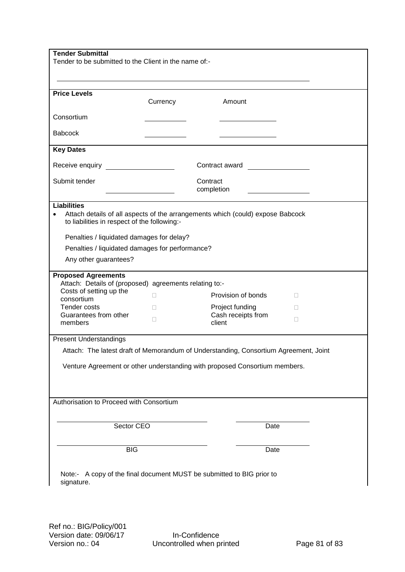| <b>Tender Submittal</b><br>Tender to be submitted to the Client in the name of:-  |          |                                                                                      |  |
|-----------------------------------------------------------------------------------|----------|--------------------------------------------------------------------------------------|--|
|                                                                                   |          |                                                                                      |  |
|                                                                                   |          |                                                                                      |  |
| <b>Price Levels</b>                                                               | Currency | Amount                                                                               |  |
| Consortium                                                                        |          |                                                                                      |  |
|                                                                                   |          |                                                                                      |  |
| <b>Babcock</b>                                                                    |          |                                                                                      |  |
| <b>Key Dates</b>                                                                  |          |                                                                                      |  |
| Receive enquiry __________________                                                |          | Contract award                                                                       |  |
| Submit tender                                                                     |          | Contract                                                                             |  |
|                                                                                   |          | completion                                                                           |  |
| <b>Liabilities</b>                                                                |          |                                                                                      |  |
| ٠<br>to liabilities in respect of the following:-                                 |          | Attach details of all aspects of the arrangements which (could) expose Babcock       |  |
| Penalties / liquidated damages for delay?                                         |          |                                                                                      |  |
| Penalties / liquidated damages for performance?                                   |          |                                                                                      |  |
| Any other guarantees?                                                             |          |                                                                                      |  |
| <b>Proposed Agreements</b>                                                        |          |                                                                                      |  |
| Attach: Details of (proposed) agreements relating to:-<br>Costs of setting up the | П        | Provision of bonds<br>$\Box$                                                         |  |
| consortium<br>Tender costs                                                        | П        | Project funding<br>П                                                                 |  |
| Guarantees from other                                                             | П        | Cash receipts from<br>П                                                              |  |
| members                                                                           |          | client                                                                               |  |
| <b>Present Understandings</b>                                                     |          |                                                                                      |  |
|                                                                                   |          | Attach: The latest draft of Memorandum of Understanding, Consortium Agreement, Joint |  |
|                                                                                   |          | Venture Agreement or other understanding with proposed Consortium members.           |  |
|                                                                                   |          |                                                                                      |  |
| Authorisation to Proceed with Consortium                                          |          |                                                                                      |  |
|                                                                                   |          |                                                                                      |  |
| Sector CEO                                                                        |          | Date                                                                                 |  |
|                                                                                   |          |                                                                                      |  |
| BIG                                                                               |          | Date                                                                                 |  |
|                                                                                   |          |                                                                                      |  |
|                                                                                   |          | Note:- A copy of the final document MUST be submitted to BIG prior to                |  |
| signature.                                                                        |          |                                                                                      |  |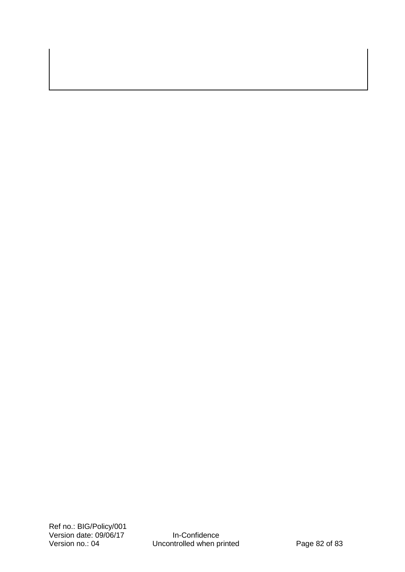Ref no.: BIG/Policy/001 Version date: 09/06/17 ln